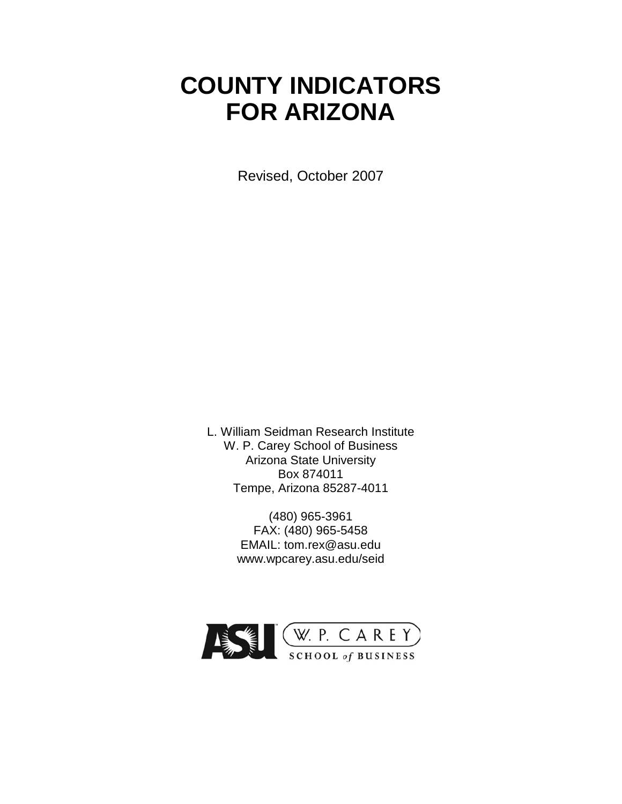# **COUNTY INDICATORS FOR ARIZONA**

Revised, October 2007

L. William Seidman Research Institute W. P. Carey School of Business Arizona State University Box 874011 Tempe, Arizona 85287-4011

> (480) 965-3961 FAX: (480) 965-5458 EMAIL: tom.rex@asu.edu www.wpcarey.asu.edu/seid

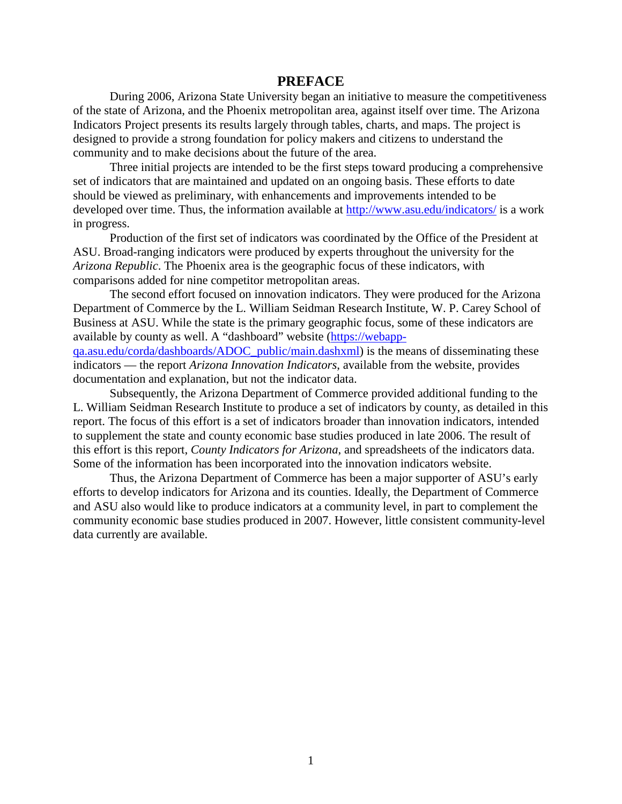#### **PREFACE**

During 2006, Arizona State University began an initiative to measure the competitiveness of the state of Arizona, and the Phoenix metropolitan area, against itself over time. The Arizona Indicators Project presents its results largely through tables, charts, and maps. The project is designed to provide a strong foundation for policy makers and citizens to understand the community and to make decisions about the future of the area.

Three initial projects are intended to be the first steps toward producing a comprehensive set of indicators that are maintained and updated on an ongoing basis. These efforts to date should be viewed as preliminary, with enhancements and improvements intended to be developed over time. Thus, the information available at<http://www.asu.edu/indicators/> is a work in progress.

Production of the first set of indicators was coordinated by the Office of the President at ASU. Broad-ranging indicators were produced by experts throughout the university for the *Arizona Republic*. The Phoenix area is the geographic focus of these indicators, with comparisons added for nine competitor metropolitan areas.

The second effort focused on innovation indicators. They were produced for the Arizona Department of Commerce by the L. William Seidman Research Institute, W. P. Carey School of Business at ASU. While the state is the primary geographic focus, some of these indicators are available by county as well. A "dashboard" website [\(https://webapp](https://exchange.asu.edu/exchweb/bin/redir.asp?URL=https://webapp-qa.asu.edu/corda/dashboards/ADOC_public/main.dashxml)[qa.asu.edu/corda/dashboards/ADOC\\_public/main.dashxml\)](https://exchange.asu.edu/exchweb/bin/redir.asp?URL=https://webapp-qa.asu.edu/corda/dashboards/ADOC_public/main.dashxml) is the means of disseminating these

indicators — the report *Arizona Innovation Indicators*, available from the website, provides documentation and explanation, but not the indicator data.

Subsequently, the Arizona Department of Commerce provided additional funding to the L. William Seidman Research Institute to produce a set of indicators by county, as detailed in this report. The focus of this effort is a set of indicators broader than innovation indicators, intended to supplement the state and county economic base studies produced in late 2006. The result of this effort is this report, *County Indicators for Arizona*, and spreadsheets of the indicators data. Some of the information has been incorporated into the innovation indicators website.

Thus, the Arizona Department of Commerce has been a major supporter of ASU's early efforts to develop indicators for Arizona and its counties. Ideally, the Department of Commerce and ASU also would like to produce indicators at a community level, in part to complement the community economic base studies produced in 2007. However, little consistent community-level data currently are available.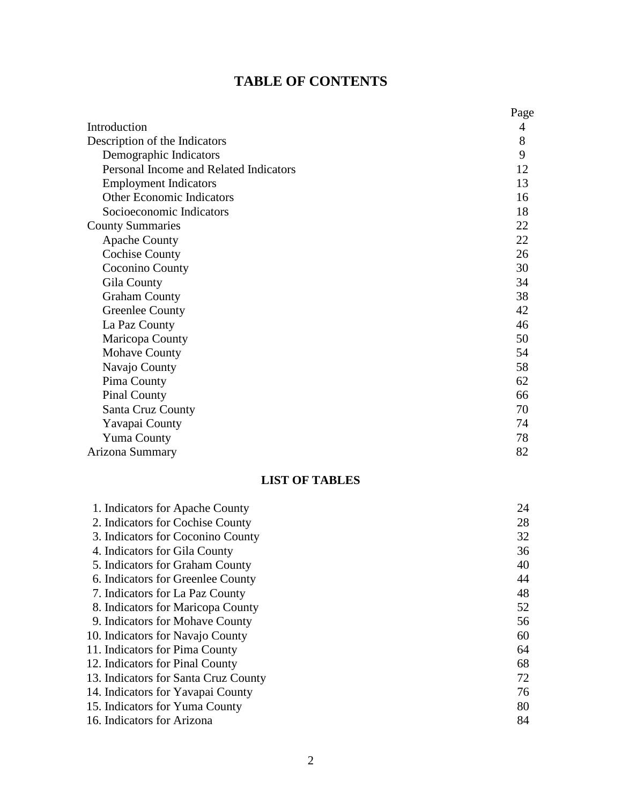# **TABLE OF CONTENTS**

|                                        | Page |
|----------------------------------------|------|
| Introduction                           | 4    |
| Description of the Indicators          | 8    |
| Demographic Indicators                 | 9    |
| Personal Income and Related Indicators | 12   |
| <b>Employment Indicators</b>           | 13   |
| <b>Other Economic Indicators</b>       | 16   |
| Socioeconomic Indicators               | 18   |
| <b>County Summaries</b>                | 22   |
| <b>Apache County</b>                   | 22   |
| <b>Cochise County</b>                  | 26   |
| Coconino County                        | 30   |
| Gila County                            | 34   |
| <b>Graham County</b>                   | 38   |
| <b>Greenlee County</b>                 | 42   |
| La Paz County                          | 46   |
| Maricopa County                        | 50   |
| <b>Mohave County</b>                   | 54   |
| Navajo County                          | 58   |
| Pima County                            | 62   |
| <b>Pinal County</b>                    | 66   |
| Santa Cruz County                      | 70   |
| Yavapai County                         | 74   |
| <b>Yuma County</b>                     | 78   |
| Arizona Summary                        | 82   |

### **LIST OF TABLES**

| 1. Indicators for Apache County      | 24 |
|--------------------------------------|----|
| 2. Indicators for Cochise County     | 28 |
| 3. Indicators for Coconino County    | 32 |
| 4. Indicators for Gila County        | 36 |
| 5. Indicators for Graham County      | 40 |
| 6. Indicators for Greenlee County    | 44 |
| 7. Indicators for La Paz County      | 48 |
| 8. Indicators for Maricopa County    | 52 |
| 9. Indicators for Mohave County      | 56 |
| 10. Indicators for Navajo County     | 60 |
| 11. Indicators for Pima County       | 64 |
| 12. Indicators for Pinal County      | 68 |
| 13. Indicators for Santa Cruz County | 72 |
| 14. Indicators for Yavapai County    | 76 |
| 15. Indicators for Yuma County       | 80 |
| 16. Indicators for Arizona           | 84 |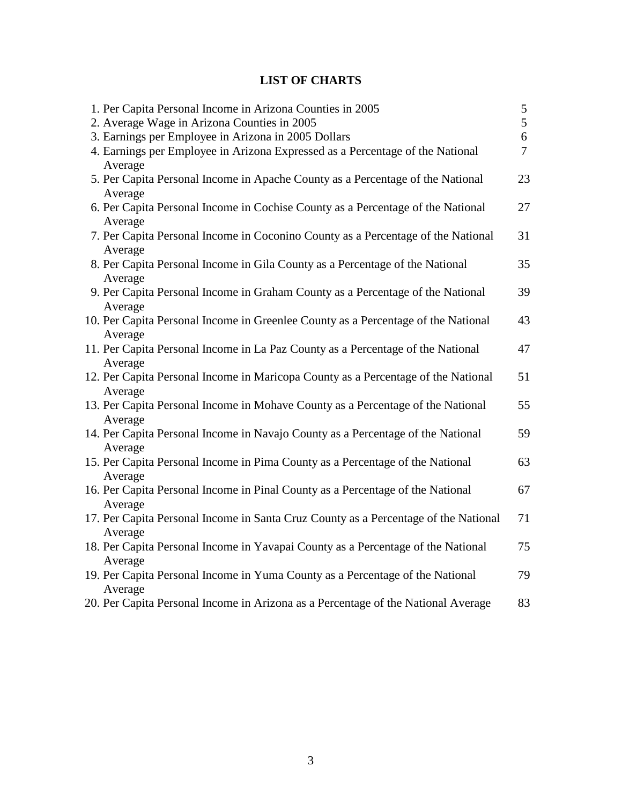### **LIST OF CHARTS**

| 1. Per Capita Personal Income in Arizona Counties in 2005                                      | 5              |
|------------------------------------------------------------------------------------------------|----------------|
| 2. Average Wage in Arizona Counties in 2005                                                    | 5              |
| 3. Earnings per Employee in Arizona in 2005 Dollars                                            | 6              |
| 4. Earnings per Employee in Arizona Expressed as a Percentage of the National<br>Average       | $\overline{7}$ |
| 5. Per Capita Personal Income in Apache County as a Percentage of the National<br>Average      | 23             |
| 6. Per Capita Personal Income in Cochise County as a Percentage of the National<br>Average     | 27             |
| 7. Per Capita Personal Income in Coconino County as a Percentage of the National<br>Average    | 31             |
| 8. Per Capita Personal Income in Gila County as a Percentage of the National<br>Average        | 35             |
| 9. Per Capita Personal Income in Graham County as a Percentage of the National<br>Average      | 39             |
| 10. Per Capita Personal Income in Greenlee County as a Percentage of the National<br>Average   | 43             |
| 11. Per Capita Personal Income in La Paz County as a Percentage of the National<br>Average     | 47             |
| 12. Per Capita Personal Income in Maricopa County as a Percentage of the National<br>Average   | 51             |
| 13. Per Capita Personal Income in Mohave County as a Percentage of the National<br>Average     | 55             |
| 14. Per Capita Personal Income in Navajo County as a Percentage of the National<br>Average     | 59             |
| 15. Per Capita Personal Income in Pima County as a Percentage of the National<br>Average       | 63             |
| 16. Per Capita Personal Income in Pinal County as a Percentage of the National<br>Average      | 67             |
| 17. Per Capita Personal Income in Santa Cruz County as a Percentage of the National<br>Average | 71             |
| 18. Per Capita Personal Income in Yavapai County as a Percentage of the National<br>Average    | 75             |
| 19. Per Capita Personal Income in Yuma County as a Percentage of the National<br>Average       | 79             |
| 20. Per Capita Personal Income in Arizona as a Percentage of the National Average              | 83             |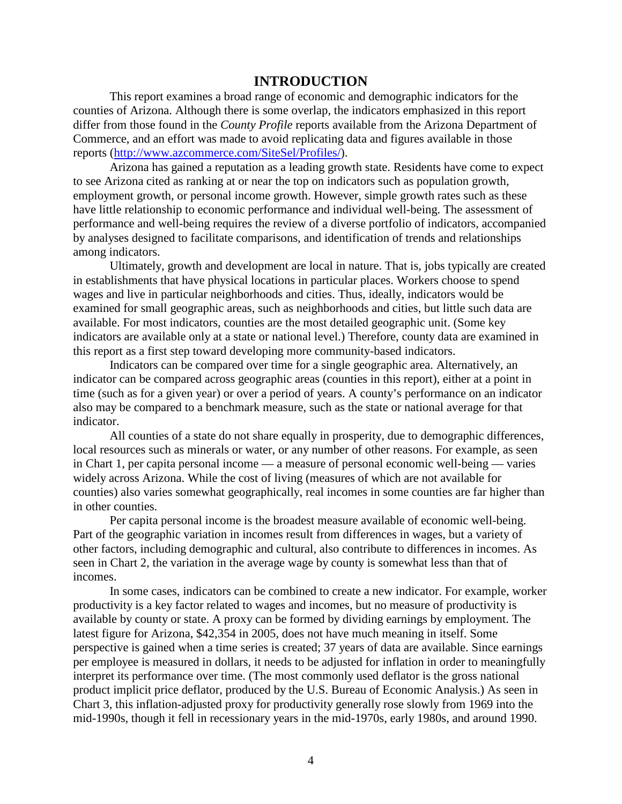### **INTRODUCTION**

This report examines a broad range of economic and demographic indicators for the counties of Arizona. Although there is some overlap, the indicators emphasized in this report differ from those found in the *County Profile* reports available from the Arizona Department of Commerce, and an effort was made to avoid replicating data and figures available in those reports [\(http://www.azcommerce.com/SiteSel/Profiles/\)](http://www.azcommerce.com/SiteSel/Profiles/).

Arizona has gained a reputation as a leading growth state. Residents have come to expect to see Arizona cited as ranking at or near the top on indicators such as population growth, employment growth, or personal income growth. However, simple growth rates such as these have little relationship to economic performance and individual well-being. The assessment of performance and well-being requires the review of a diverse portfolio of indicators, accompanied by analyses designed to facilitate comparisons, and identification of trends and relationships among indicators.

Ultimately, growth and development are local in nature. That is, jobs typically are created in establishments that have physical locations in particular places. Workers choose to spend wages and live in particular neighborhoods and cities. Thus, ideally, indicators would be examined for small geographic areas, such as neighborhoods and cities, but little such data are available. For most indicators, counties are the most detailed geographic unit. (Some key indicators are available only at a state or national level.) Therefore, county data are examined in this report as a first step toward developing more community-based indicators.

Indicators can be compared over time for a single geographic area. Alternatively, an indicator can be compared across geographic areas (counties in this report), either at a point in time (such as for a given year) or over a period of years. A county's performance on an indicator also may be compared to a benchmark measure, such as the state or national average for that indicator.

All counties of a state do not share equally in prosperity, due to demographic differences, local resources such as minerals or water, or any number of other reasons. For example, as seen in Chart 1, per capita personal income — a measure of personal economic well-being — varies widely across Arizona. While the cost of living (measures of which are not available for counties) also varies somewhat geographically, real incomes in some counties are far higher than in other counties.

Per capita personal income is the broadest measure available of economic well-being. Part of the geographic variation in incomes result from differences in wages, but a variety of other factors, including demographic and cultural, also contribute to differences in incomes. As seen in Chart 2, the variation in the average wage by county is somewhat less than that of incomes.

In some cases, indicators can be combined to create a new indicator. For example, worker productivity is a key factor related to wages and incomes, but no measure of productivity is available by county or state. A proxy can be formed by dividing earnings by employment. The latest figure for Arizona, \$42,354 in 2005, does not have much meaning in itself. Some perspective is gained when a time series is created; 37 years of data are available. Since earnings per employee is measured in dollars, it needs to be adjusted for inflation in order to meaningfully interpret its performance over time. (The most commonly used deflator is the gross national product implicit price deflator, produced by the U.S. Bureau of Economic Analysis.) As seen in Chart 3, this inflation-adjusted proxy for productivity generally rose slowly from 1969 into the mid-1990s, though it fell in recessionary years in the mid-1970s, early 1980s, and around 1990.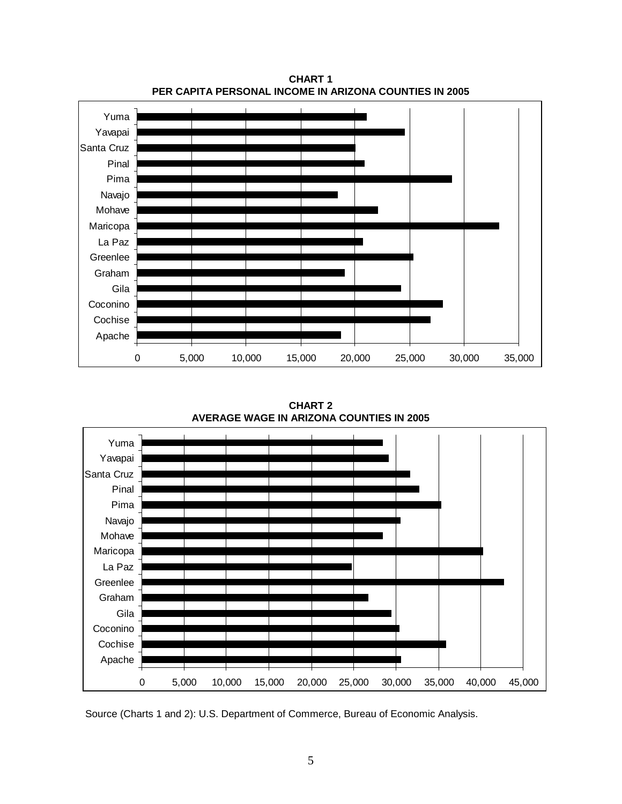

**CHART 1 PER CAPITA PERSONAL INCOME IN ARIZONA COUNTIES IN 2005**

**CHART 2 AVERAGE WAGE IN ARIZONA COUNTIES IN 2005**



Source (Charts 1 and 2): U.S. Department of Commerce, Bureau of Economic Analysis.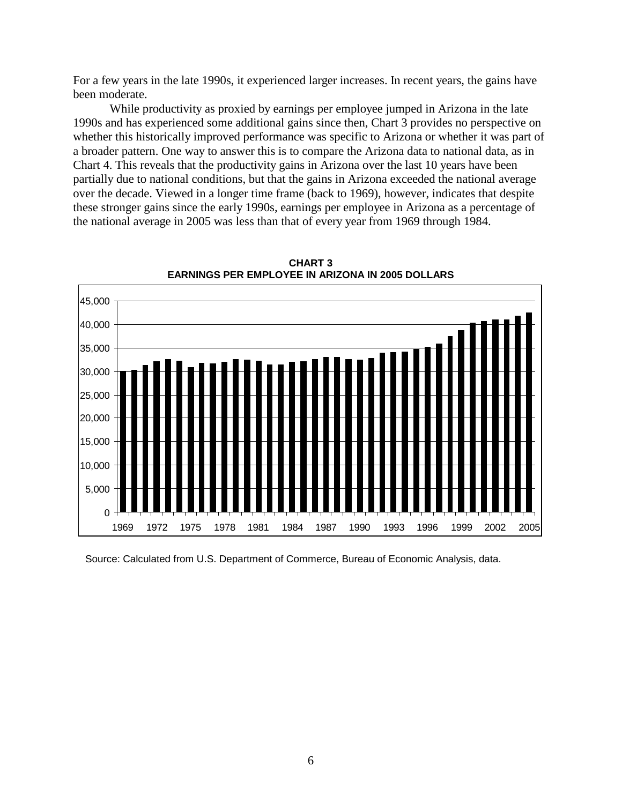For a few years in the late 1990s, it experienced larger increases. In recent years, the gains have been moderate.

While productivity as proxied by earnings per employee jumped in Arizona in the late 1990s and has experienced some additional gains since then, Chart 3 provides no perspective on whether this historically improved performance was specific to Arizona or whether it was part of a broader pattern. One way to answer this is to compare the Arizona data to national data, as in Chart 4. This reveals that the productivity gains in Arizona over the last 10 years have been partially due to national conditions, but that the gains in Arizona exceeded the national average over the decade. Viewed in a longer time frame (back to 1969), however, indicates that despite these stronger gains since the early 1990s, earnings per employee in Arizona as a percentage of the national average in 2005 was less than that of every year from 1969 through 1984.



**CHART 3 EARNINGS PER EMPLOYEE IN ARIZONA IN 2005 DOLLARS**

Source: Calculated from U.S. Department of Commerce, Bureau of Economic Analysis, data.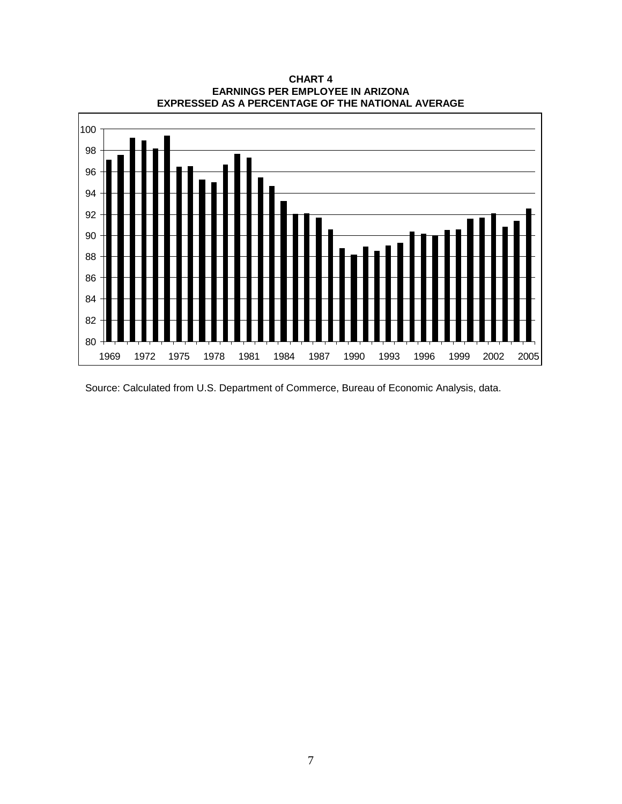

**CHART 4 EARNINGS PER EMPLOYEE IN ARIZONA EXPRESSED AS A PERCENTAGE OF THE NATIONAL AVERAGE**

Source: Calculated from U.S. Department of Commerce, Bureau of Economic Analysis, data.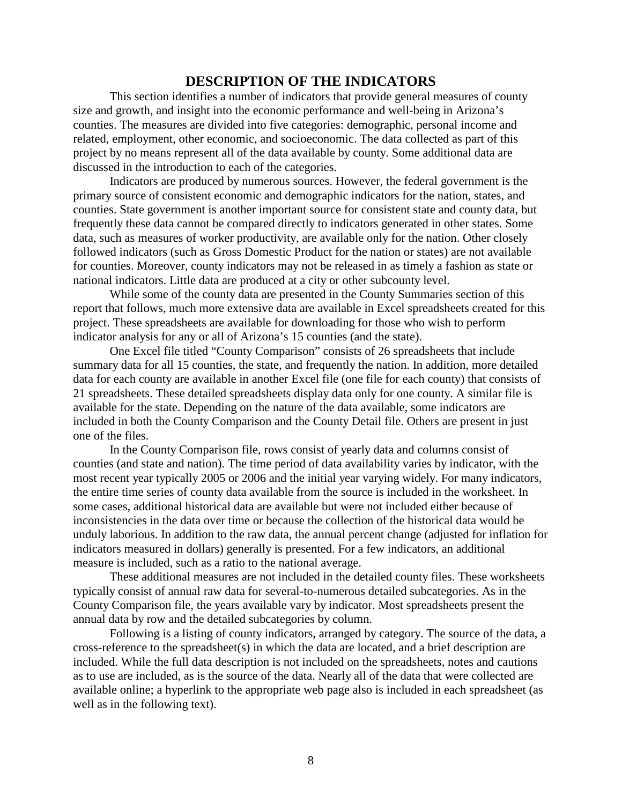### **DESCRIPTION OF THE INDICATORS**

This section identifies a number of indicators that provide general measures of county size and growth, and insight into the economic performance and well-being in Arizona's counties. The measures are divided into five categories: demographic, personal income and related, employment, other economic, and socioeconomic. The data collected as part of this project by no means represent all of the data available by county. Some additional data are discussed in the introduction to each of the categories.

Indicators are produced by numerous sources. However, the federal government is the primary source of consistent economic and demographic indicators for the nation, states, and counties. State government is another important source for consistent state and county data, but frequently these data cannot be compared directly to indicators generated in other states. Some data, such as measures of worker productivity, are available only for the nation. Other closely followed indicators (such as Gross Domestic Product for the nation or states) are not available for counties. Moreover, county indicators may not be released in as timely a fashion as state or national indicators. Little data are produced at a city or other subcounty level.

While some of the county data are presented in the County Summaries section of this report that follows, much more extensive data are available in Excel spreadsheets created for this project. These spreadsheets are available for downloading for those who wish to perform indicator analysis for any or all of Arizona's 15 counties (and the state).

One Excel file titled "County Comparison" consists of 26 spreadsheets that include summary data for all 15 counties, the state, and frequently the nation. In addition, more detailed data for each county are available in another Excel file (one file for each county) that consists of 21 spreadsheets. These detailed spreadsheets display data only for one county. A similar file is available for the state. Depending on the nature of the data available, some indicators are included in both the County Comparison and the County Detail file. Others are present in just one of the files.

In the County Comparison file, rows consist of yearly data and columns consist of counties (and state and nation). The time period of data availability varies by indicator, with the most recent year typically 2005 or 2006 and the initial year varying widely. For many indicators, the entire time series of county data available from the source is included in the worksheet. In some cases, additional historical data are available but were not included either because of inconsistencies in the data over time or because the collection of the historical data would be unduly laborious. In addition to the raw data, the annual percent change (adjusted for inflation for indicators measured in dollars) generally is presented. For a few indicators, an additional measure is included, such as a ratio to the national average.

These additional measures are not included in the detailed county files. These worksheets typically consist of annual raw data for several-to-numerous detailed subcategories. As in the County Comparison file, the years available vary by indicator. Most spreadsheets present the annual data by row and the detailed subcategories by column.

Following is a listing of county indicators, arranged by category. The source of the data, a cross-reference to the spreadsheet(s) in which the data are located, and a brief description are included. While the full data description is not included on the spreadsheets, notes and cautions as to use are included, as is the source of the data. Nearly all of the data that were collected are available online; a hyperlink to the appropriate web page also is included in each spreadsheet (as well as in the following text).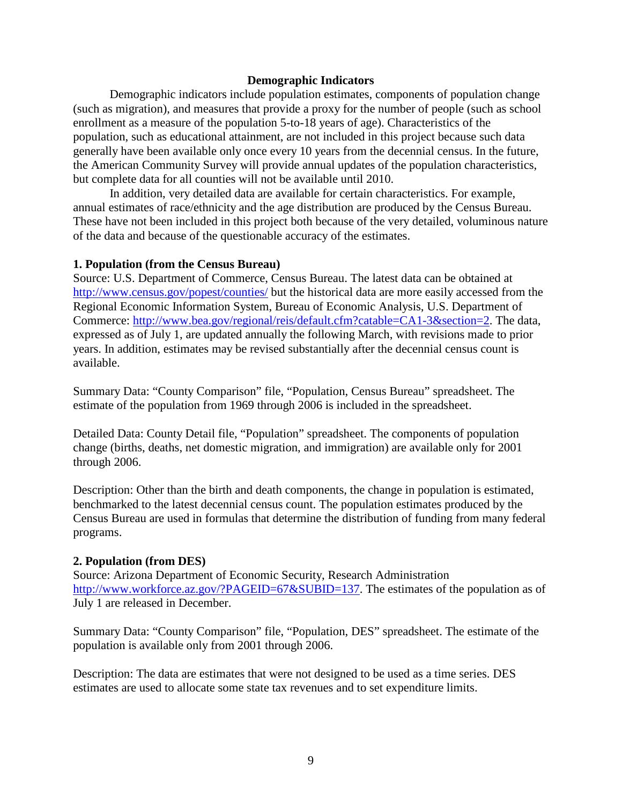#### **Demographic Indicators**

Demographic indicators include population estimates, components of population change (such as migration), and measures that provide a proxy for the number of people (such as school enrollment as a measure of the population 5-to-18 years of age). Characteristics of the population, such as educational attainment, are not included in this project because such data generally have been available only once every 10 years from the decennial census. In the future, the American Community Survey will provide annual updates of the population characteristics, but complete data for all counties will not be available until 2010.

In addition, very detailed data are available for certain characteristics. For example, annual estimates of race/ethnicity and the age distribution are produced by the Census Bureau. These have not been included in this project both because of the very detailed, voluminous nature of the data and because of the questionable accuracy of the estimates.

#### **1. Population (from the Census Bureau)**

Source: U.S. Department of Commerce, Census Bureau. The latest data can be obtained at <http://www.census.gov/popest/counties/> but the historical data are more easily accessed from the Regional Economic Information System, Bureau of Economic Analysis, U.S. Department of Commerce: [http://www.bea.gov/regional/reis/default.cfm?catable=CA1-3&section=2.](http://www.bea.gov/regional/reis/default.cfm?catable=CA1-3§ion=2) The data, expressed as of July 1, are updated annually the following March, with revisions made to prior years. In addition, estimates may be revised substantially after the decennial census count is available.

Summary Data: "County Comparison" file, "Population, Census Bureau" spreadsheet. The estimate of the population from 1969 through 2006 is included in the spreadsheet.

Detailed Data: County Detail file, "Population" spreadsheet. The components of population change (births, deaths, net domestic migration, and immigration) are available only for 2001 through 2006.

Description: Other than the birth and death components, the change in population is estimated, benchmarked to the latest decennial census count. The population estimates produced by the Census Bureau are used in formulas that determine the distribution of funding from many federal programs.

#### **2. Population (from DES)**

Source: Arizona Department of Economic Security, Research Administration [http://www.workforce.az.gov/?PAGEID=67&SUBID=137.](http://www.workforce.az.gov/?PAGEID=67&SUBID=137) The estimates of the population as of July 1 are released in December.

Summary Data: "County Comparison" file, "Population, DES" spreadsheet. The estimate of the population is available only from 2001 through 2006.

Description: The data are estimates that were not designed to be used as a time series. DES estimates are used to allocate some state tax revenues and to set expenditure limits.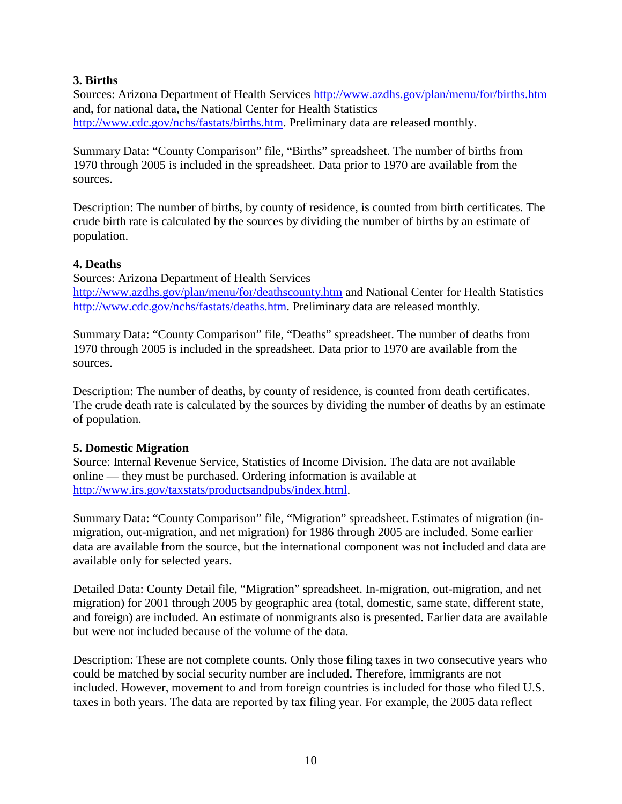### **3. Births**

Sources: Arizona Department of Health Services<http://www.azdhs.gov/plan/menu/for/births.htm> and, for national data, the National Center for Health Statistics [http://www.cdc.gov/nchs/fastats/births.htm.](http://www.cdc.gov/nchs/fastats/births.htm) Preliminary data are released monthly.

Summary Data: "County Comparison" file, "Births" spreadsheet. The number of births from 1970 through 2005 is included in the spreadsheet. Data prior to 1970 are available from the sources.

Description: The number of births, by county of residence, is counted from birth certificates. The crude birth rate is calculated by the sources by dividing the number of births by an estimate of population.

### **4. Deaths**

Sources: Arizona Department of Health Services <http://www.azdhs.gov/plan/menu/for/deathscounty.htm> and National Center for Health Statistics [http://www.cdc.gov/nchs/fastats/deaths.htm.](http://www.cdc.gov/nchs/fastats/deaths.htm) Preliminary data are released monthly.

Summary Data: "County Comparison" file, "Deaths" spreadsheet. The number of deaths from 1970 through 2005 is included in the spreadsheet. Data prior to 1970 are available from the sources.

Description: The number of deaths, by county of residence, is counted from death certificates. The crude death rate is calculated by the sources by dividing the number of deaths by an estimate of population.

### **5. Domestic Migration**

Source: Internal Revenue Service, Statistics of Income Division. The data are not available online — they must be purchased. Ordering information is available at [http://www.irs.gov/taxstats/productsandpubs/index.html.](http://www.irs.gov/taxstats/productsandpubs/index.html)

Summary Data: "County Comparison" file, "Migration" spreadsheet. Estimates of migration (inmigration, out-migration, and net migration) for 1986 through 2005 are included. Some earlier data are available from the source, but the international component was not included and data are available only for selected years.

Detailed Data: County Detail file, "Migration" spreadsheet. In-migration, out-migration, and net migration) for 2001 through 2005 by geographic area (total, domestic, same state, different state, and foreign) are included. An estimate of nonmigrants also is presented. Earlier data are available but were not included because of the volume of the data.

Description: These are not complete counts. Only those filing taxes in two consecutive years who could be matched by social security number are included. Therefore, immigrants are not included. However, movement to and from foreign countries is included for those who filed U.S. taxes in both years. The data are reported by tax filing year. For example, the 2005 data reflect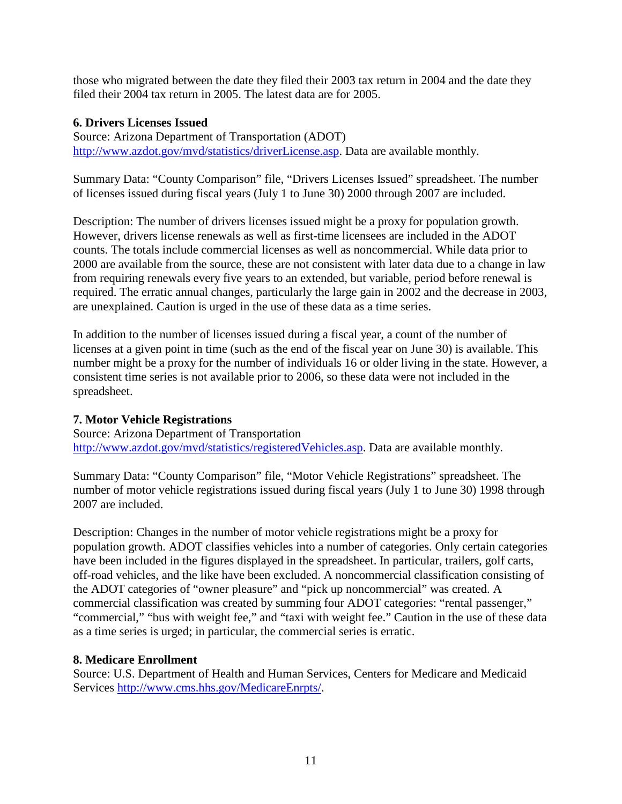those who migrated between the date they filed their 2003 tax return in 2004 and the date they filed their 2004 tax return in 2005. The latest data are for 2005.

### **6. Drivers Licenses Issued**

Source: Arizona Department of Transportation (ADOT) [http://www.azdot.gov/mvd/statistics/driverLicense.asp.](http://www.azdot.gov/mvd/statistics/driverLicense.asp) Data are available monthly.

Summary Data: "County Comparison" file, "Drivers Licenses Issued" spreadsheet. The number of licenses issued during fiscal years (July 1 to June 30) 2000 through 2007 are included.

Description: The number of drivers licenses issued might be a proxy for population growth. However, drivers license renewals as well as first-time licensees are included in the ADOT counts. The totals include commercial licenses as well as noncommercial. While data prior to 2000 are available from the source, these are not consistent with later data due to a change in law from requiring renewals every five years to an extended, but variable, period before renewal is required. The erratic annual changes, particularly the large gain in 2002 and the decrease in 2003, are unexplained. Caution is urged in the use of these data as a time series.

In addition to the number of licenses issued during a fiscal year, a count of the number of licenses at a given point in time (such as the end of the fiscal year on June 30) is available. This number might be a proxy for the number of individuals 16 or older living in the state. However, a consistent time series is not available prior to 2006, so these data were not included in the spreadsheet.

### **7. Motor Vehicle Registrations**

Source: Arizona Department of Transportation [http://www.azdot.gov/mvd/statistics/registeredVehicles.asp.](http://www.azdot.gov/mvd/statistics/registeredVehicles.asp) Data are available monthly.

Summary Data: "County Comparison" file, "Motor Vehicle Registrations" spreadsheet. The number of motor vehicle registrations issued during fiscal years (July 1 to June 30) 1998 through 2007 are included.

Description: Changes in the number of motor vehicle registrations might be a proxy for population growth. ADOT classifies vehicles into a number of categories. Only certain categories have been included in the figures displayed in the spreadsheet. In particular, trailers, golf carts, off-road vehicles, and the like have been excluded. A noncommercial classification consisting of the ADOT categories of "owner pleasure" and "pick up noncommercial" was created. A commercial classification was created by summing four ADOT categories: "rental passenger," "commercial," "bus with weight fee," and "taxi with weight fee." Caution in the use of these data as a time series is urged; in particular, the commercial series is erratic.

#### **8. Medicare Enrollment**

Source: U.S. Department of Health and Human Services, Centers for Medicare and Medicaid Services [http://www.cms.hhs.gov/MedicareEnrpts/.](http://www.cms.hhs.gov/MedicareEnrpts/)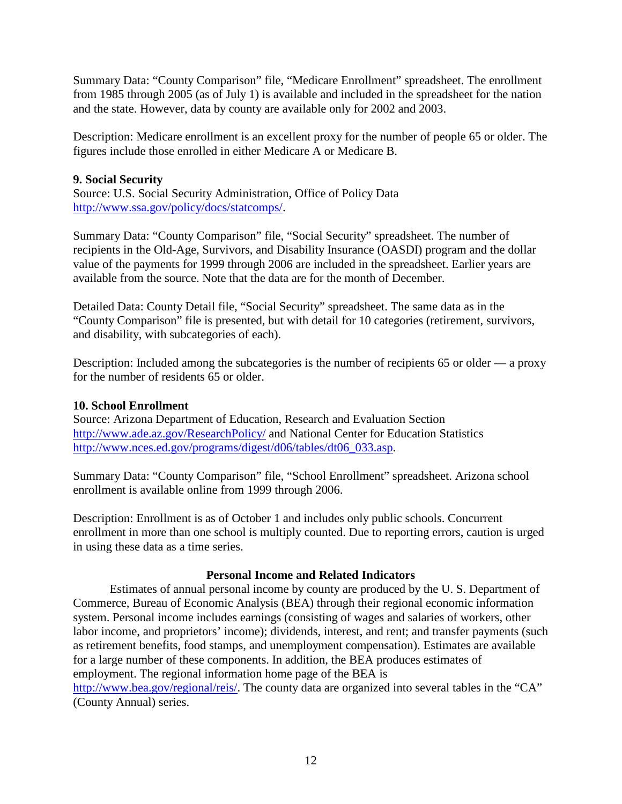Summary Data: "County Comparison" file, "Medicare Enrollment" spreadsheet. The enrollment from 1985 through 2005 (as of July 1) is available and included in the spreadsheet for the nation and the state. However, data by county are available only for 2002 and 2003.

Description: Medicare enrollment is an excellent proxy for the number of people 65 or older. The figures include those enrolled in either Medicare A or Medicare B.

### **9. Social Security**

Source: U.S. Social Security Administration, Office of Policy Data [http://www.ssa.gov/policy/docs/statcomps/.](http://www.ssa.gov/policy/docs/statcomps/)

Summary Data: "County Comparison" file, "Social Security" spreadsheet. The number of recipients in the Old-Age, Survivors, and Disability Insurance (OASDI) program and the dollar value of the payments for 1999 through 2006 are included in the spreadsheet. Earlier years are available from the source. Note that the data are for the month of December.

Detailed Data: County Detail file, "Social Security" spreadsheet. The same data as in the "County Comparison" file is presented, but with detail for 10 categories (retirement, survivors, and disability, with subcategories of each).

Description: Included among the subcategories is the number of recipients 65 or older — a proxy for the number of residents 65 or older.

### **10. School Enrollment**

Source: Arizona Department of Education, Research and Evaluation Section <http://www.ade.az.gov/ResearchPolicy/> and National Center for Education Statistics [http://www.nces.ed.gov/programs/digest/d06/tables/dt06\\_033.asp.](http://www.nces.ed.gov/programs/digest/d06/tables/dt06_033.asp)

Summary Data: "County Comparison" file, "School Enrollment" spreadsheet. Arizona school enrollment is available online from 1999 through 2006.

Description: Enrollment is as of October 1 and includes only public schools. Concurrent enrollment in more than one school is multiply counted. Due to reporting errors, caution is urged in using these data as a time series.

### **Personal Income and Related Indicators**

Estimates of annual personal income by county are produced by the U. S. Department of Commerce, Bureau of Economic Analysis (BEA) through their regional economic information system. Personal income includes earnings (consisting of wages and salaries of workers, other labor income, and proprietors' income); dividends, interest, and rent; and transfer payments (such as retirement benefits, food stamps, and unemployment compensation). Estimates are available for a large number of these components. In addition, the BEA produces estimates of employment. The regional information home page of the BEA is

[http://www.bea.gov/regional/reis/.](http://www.bea.gov/regional/reis/) The county data are organized into several tables in the "CA" (County Annual) series.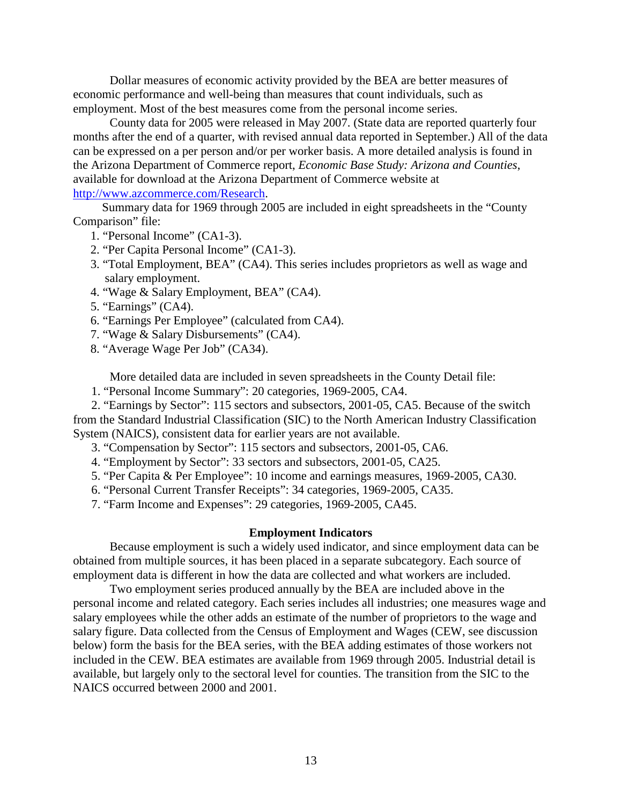Dollar measures of economic activity provided by the BEA are better measures of economic performance and well-being than measures that count individuals, such as employment. Most of the best measures come from the personal income series.

County data for 2005 were released in May 2007. (State data are reported quarterly four months after the end of a quarter, with revised annual data reported in September.) All of the data can be expressed on a per person and/or per worker basis. A more detailed analysis is found in the Arizona Department of Commerce report, *Economic Base Study: Arizona and Counties*, available for download at the Arizona Department of Commerce website at [http://www.azcommerce.com/Research.](http://www.azcommerce.com/Research)

Summary data for 1969 through 2005 are included in eight spreadsheets in the "County Comparison" file:

- 1. "Personal Income" (CA1-3).
- 2. "Per Capita Personal Income" (CA1-3).
- 3. "Total Employment, BEA" (CA4). This series includes proprietors as well as wage and salary employment.
- 4. "Wage & Salary Employment, BEA" (CA4).
- 5. "Earnings" (CA4).
- 6. "Earnings Per Employee" (calculated from CA4).
- 7. "Wage & Salary Disbursements" (CA4).
- 8. "Average Wage Per Job" (CA34).

More detailed data are included in seven spreadsheets in the County Detail file:

1. "Personal Income Summary": 20 categories, 1969-2005, CA4.

2. "Earnings by Sector": 115 sectors and subsectors, 2001-05, CA5. Because of the switch from the Standard Industrial Classification (SIC) to the North American Industry Classification System (NAICS), consistent data for earlier years are not available.

- 3. "Compensation by Sector": 115 sectors and subsectors, 2001-05, CA6.
- 4. "Employment by Sector": 33 sectors and subsectors, 2001-05, CA25.
- 5. "Per Capita & Per Employee": 10 income and earnings measures, 1969-2005, CA30.
- 6. "Personal Current Transfer Receipts": 34 categories, 1969-2005, CA35.
- 7. "Farm Income and Expenses": 29 categories, 1969-2005, CA45.

#### **Employment Indicators**

Because employment is such a widely used indicator, and since employment data can be obtained from multiple sources, it has been placed in a separate subcategory. Each source of employment data is different in how the data are collected and what workers are included.

Two employment series produced annually by the BEA are included above in the personal income and related category. Each series includes all industries; one measures wage and salary employees while the other adds an estimate of the number of proprietors to the wage and salary figure. Data collected from the Census of Employment and Wages (CEW, see discussion below) form the basis for the BEA series, with the BEA adding estimates of those workers not included in the CEW. BEA estimates are available from 1969 through 2005. Industrial detail is available, but largely only to the sectoral level for counties. The transition from the SIC to the NAICS occurred between 2000 and 2001.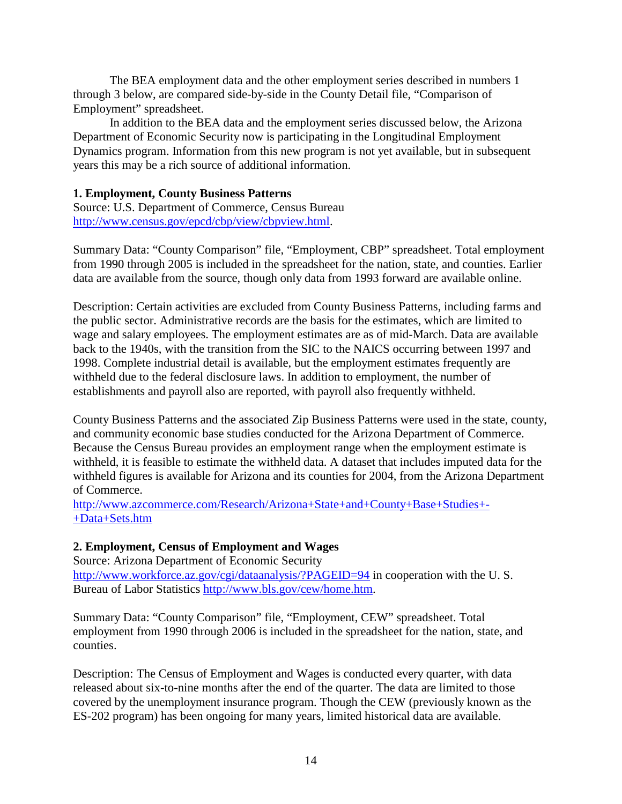The BEA employment data and the other employment series described in numbers 1 through 3 below, are compared side-by-side in the County Detail file, "Comparison of Employment" spreadsheet.

In addition to the BEA data and the employment series discussed below, the Arizona Department of Economic Security now is participating in the Longitudinal Employment Dynamics program. Information from this new program is not yet available, but in subsequent years this may be a rich source of additional information.

#### **1. Employment, County Business Patterns**

Source: U.S. Department of Commerce, Census Bureau [http://www.census.gov/epcd/cbp/view/cbpview.html.](http://www.census.gov/epcd/cbp/view/cbpview.html)

Summary Data: "County Comparison" file, "Employment, CBP" spreadsheet. Total employment from 1990 through 2005 is included in the spreadsheet for the nation, state, and counties. Earlier data are available from the source, though only data from 1993 forward are available online.

Description: Certain activities are excluded from County Business Patterns, including farms and the public sector. Administrative records are the basis for the estimates, which are limited to wage and salary employees. The employment estimates are as of mid-March. Data are available back to the 1940s, with the transition from the SIC to the NAICS occurring between 1997 and 1998. Complete industrial detail is available, but the employment estimates frequently are withheld due to the federal disclosure laws. In addition to employment, the number of establishments and payroll also are reported, with payroll also frequently withheld.

County Business Patterns and the associated Zip Business Patterns were used in the state, county, and community economic base studies conducted for the Arizona Department of Commerce. Because the Census Bureau provides an employment range when the employment estimate is withheld, it is feasible to estimate the withheld data. A dataset that includes imputed data for the withheld figures is available for Arizona and its counties for 2004, from the Arizona Department of Commerce.

[http://www.azcommerce.com/Research/Arizona+State+and+County+Base+Studies+-](http://www.azcommerce.com/Research/Arizona+State+and+County+Base+Studies+-+Data+Sets.htm) [+Data+Sets.htm](http://www.azcommerce.com/Research/Arizona+State+and+County+Base+Studies+-+Data+Sets.htm)

#### **2. Employment, Census of Employment and Wages**

Source: Arizona Department of Economic Security <http://www.workforce.az.gov/cgi/dataanalysis/?PAGEID=94> in cooperation with the U.S. Bureau of Labor Statistics [http://www.bls.gov/cew/home.htm.](http://www.bls.gov/cew/home.htm)

Summary Data: "County Comparison" file, "Employment, CEW" spreadsheet. Total employment from 1990 through 2006 is included in the spreadsheet for the nation, state, and counties.

Description: The Census of Employment and Wages is conducted every quarter, with data released about six-to-nine months after the end of the quarter. The data are limited to those covered by the unemployment insurance program. Though the CEW (previously known as the ES-202 program) has been ongoing for many years, limited historical data are available.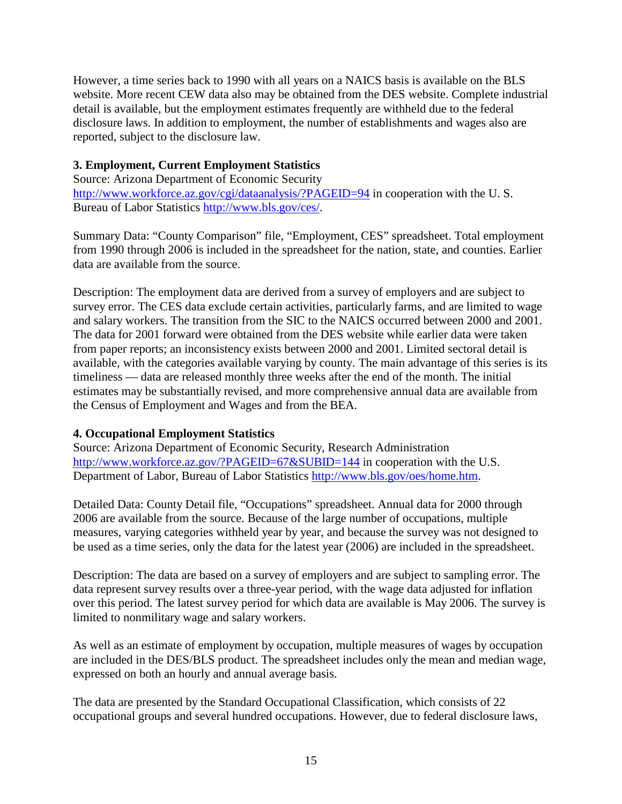However, a time series back to 1990 with all years on a NAICS basis is available on the BLS website. More recent CEW data also may be obtained from the DES website. Complete industrial detail is available, but the employment estimates frequently are withheld due to the federal disclosure laws. In addition to employment, the number of establishments and wages also are reported, subject to the disclosure law.

### **3. Employment, Current Employment Statistics**

Source: Arizona Department of Economic Security <http://www.workforce.az.gov/cgi/dataanalysis/?PAGEID=94> in cooperation with the U.S. Bureau of Labor Statistics [http://www.bls.gov/ces/.](http://www.bls.gov/ces/)

Summary Data: "County Comparison" file, "Employment, CES" spreadsheet. Total employment from 1990 through 2006 is included in the spreadsheet for the nation, state, and counties. Earlier data are available from the source.

Description: The employment data are derived from a survey of employers and are subject to survey error. The CES data exclude certain activities, particularly farms, and are limited to wage and salary workers. The transition from the SIC to the NAICS occurred between 2000 and 2001. The data for 2001 forward were obtained from the DES website while earlier data were taken from paper reports; an inconsistency exists between 2000 and 2001. Limited sectoral detail is available, with the categories available varying by county. The main advantage of this series is its timeliness — data are released monthly three weeks after the end of the month. The initial estimates may be substantially revised, and more comprehensive annual data are available from the Census of Employment and Wages and from the BEA.

### **4. Occupational Employment Statistics**

Source: Arizona Department of Economic Security, Research Administration <http://www.workforce.az.gov/?PAGEID=67&SUBID=144> in cooperation with the U.S. Department of Labor, Bureau of Labor Statistics [http://www.bls.gov/oes/home.htm.](http://www.bls.gov/oes/home.htm)

Detailed Data: County Detail file, "Occupations" spreadsheet. Annual data for 2000 through 2006 are available from the source. Because of the large number of occupations, multiple measures, varying categories withheld year by year, and because the survey was not designed to be used as a time series, only the data for the latest year (2006) are included in the spreadsheet.

Description: The data are based on a survey of employers and are subject to sampling error. The data represent survey results over a three-year period, with the wage data adjusted for inflation over this period. The latest survey period for which data are available is May 2006. The survey is limited to nonmilitary wage and salary workers.

As well as an estimate of employment by occupation, multiple measures of wages by occupation are included in the DES/BLS product. The spreadsheet includes only the mean and median wage, expressed on both an hourly and annual average basis.

The data are presented by the Standard Occupational Classification, which consists of 22 occupational groups and several hundred occupations. However, due to federal disclosure laws,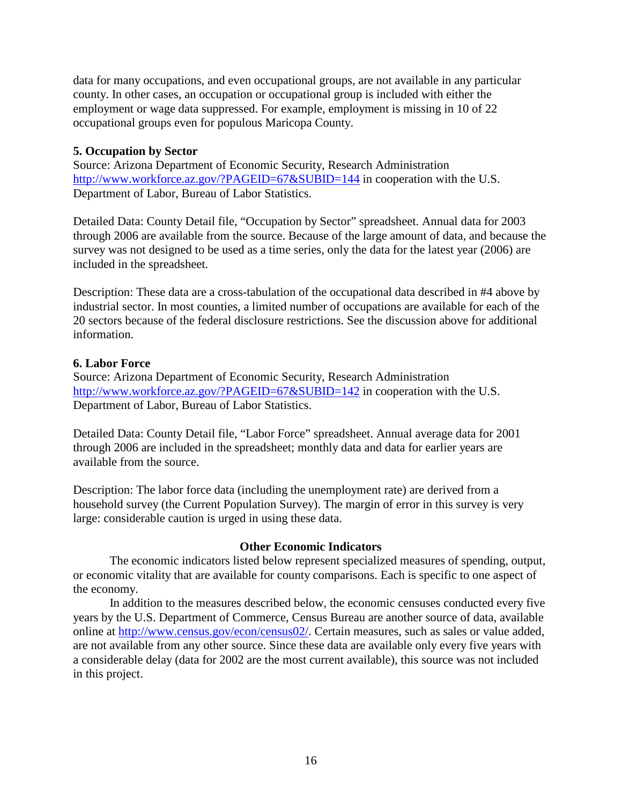data for many occupations, and even occupational groups, are not available in any particular county. In other cases, an occupation or occupational group is included with either the employment or wage data suppressed. For example, employment is missing in 10 of 22 occupational groups even for populous Maricopa County.

### **5. Occupation by Sector**

Source: Arizona Department of Economic Security, Research Administration <http://www.workforce.az.gov/?PAGEID=67&SUBID=144> in cooperation with the U.S. Department of Labor, Bureau of Labor Statistics.

Detailed Data: County Detail file, "Occupation by Sector" spreadsheet. Annual data for 2003 through 2006 are available from the source. Because of the large amount of data, and because the survey was not designed to be used as a time series, only the data for the latest year (2006) are included in the spreadsheet.

Description: These data are a cross-tabulation of the occupational data described in #4 above by industrial sector. In most counties, a limited number of occupations are available for each of the 20 sectors because of the federal disclosure restrictions. See the discussion above for additional information.

### **6. Labor Force**

Source: Arizona Department of Economic Security, Research Administration <http://www.workforce.az.gov/?PAGEID=67&SUBID=142> in cooperation with the U.S. Department of Labor, Bureau of Labor Statistics.

Detailed Data: County Detail file, "Labor Force" spreadsheet. Annual average data for 2001 through 2006 are included in the spreadsheet; monthly data and data for earlier years are available from the source.

Description: The labor force data (including the unemployment rate) are derived from a household survey (the Current Population Survey). The margin of error in this survey is very large: considerable caution is urged in using these data.

#### **Other Economic Indicators**

The economic indicators listed below represent specialized measures of spending, output, or economic vitality that are available for county comparisons. Each is specific to one aspect of the economy.

In addition to the measures described below, the economic censuses conducted every five years by the U.S. Department of Commerce, Census Bureau are another source of data, available online at [http://www.census.gov/econ/census02/.](http://www.census.gov/econ/census02/) Certain measures, such as sales or value added, are not available from any other source. Since these data are available only every five years with a considerable delay (data for 2002 are the most current available), this source was not included in this project.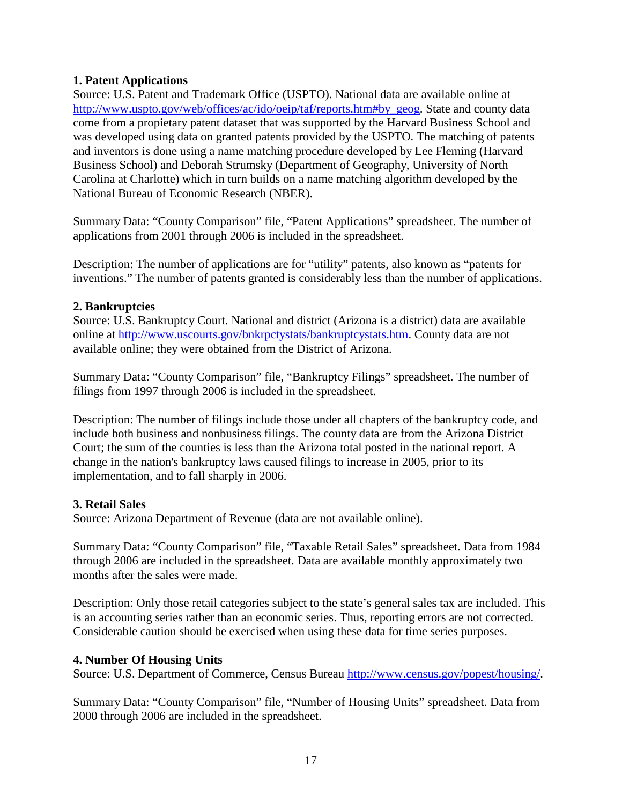### **1. Patent Applications**

Source: U.S. Patent and Trademark Office (USPTO). National data are available online at [http://www.uspto.gov/web/offices/ac/ido/oeip/taf/reports.htm#by\\_geog.](http://www.uspto.gov/web/offices/ac/ido/oeip/taf/reports.htm#by_geog) State and county data come from a propietary patent dataset that was supported by the Harvard Business School and was developed using data on granted patents provided by the USPTO. The matching of patents and inventors is done using a name matching procedure developed by Lee Fleming (Harvard Business School) and Deborah Strumsky (Department of Geography, University of North Carolina at Charlotte) which in turn builds on a name matching algorithm developed by the National Bureau of Economic Research (NBER).

Summary Data: "County Comparison" file, "Patent Applications" spreadsheet. The number of applications from 2001 through 2006 is included in the spreadsheet.

Description: The number of applications are for "utility" patents, also known as "patents for inventions." The number of patents granted is considerably less than the number of applications.

### **2. Bankruptcies**

Source: U.S. Bankruptcy Court. National and district (Arizona is a district) data are available online at [http://www.uscourts.gov/bnkrpctystats/bankruptcystats.htm.](http://www.uscourts.gov/bnkrpctystats/bankruptcystats.htm) County data are not available online; they were obtained from the District of Arizona.

Summary Data: "County Comparison" file, "Bankruptcy Filings" spreadsheet. The number of filings from 1997 through 2006 is included in the spreadsheet.

Description: The number of filings include those under all chapters of the bankruptcy code, and include both business and nonbusiness filings. The county data are from the Arizona District Court; the sum of the counties is less than the Arizona total posted in the national report. A change in the nation's bankruptcy laws caused filings to increase in 2005, prior to its implementation, and to fall sharply in 2006.

### **3. Retail Sales**

Source: Arizona Department of Revenue (data are not available online).

Summary Data: "County Comparison" file, "Taxable Retail Sales" spreadsheet. Data from 1984 through 2006 are included in the spreadsheet. Data are available monthly approximately two months after the sales were made.

Description: Only those retail categories subject to the state's general sales tax are included. This is an accounting series rather than an economic series. Thus, reporting errors are not corrected. Considerable caution should be exercised when using these data for time series purposes.

### **4. Number Of Housing Units**

Source: U.S. Department of Commerce, Census Bureau [http://www.census.gov/popest/housing/.](http://www.census.gov/popest/housing/)

Summary Data: "County Comparison" file, "Number of Housing Units" spreadsheet. Data from 2000 through 2006 are included in the spreadsheet.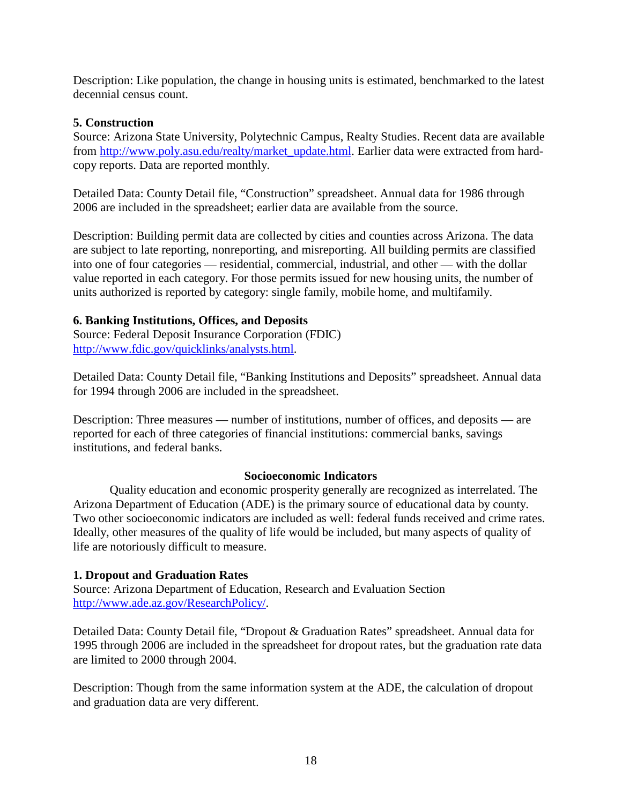Description: Like population, the change in housing units is estimated, benchmarked to the latest decennial census count.

### **5. Construction**

Source: Arizona State University, Polytechnic Campus, Realty Studies. Recent data are available from [http://www.poly.asu.edu/realty/market\\_update.html.](http://www.poly.asu.edu/realty/market_update.html) Earlier data were extracted from hardcopy reports. Data are reported monthly.

Detailed Data: County Detail file, "Construction" spreadsheet. Annual data for 1986 through 2006 are included in the spreadsheet; earlier data are available from the source.

Description: Building permit data are collected by cities and counties across Arizona. The data are subject to late reporting, nonreporting, and misreporting. All building permits are classified into one of four categories — residential, commercial, industrial, and other — with the dollar value reported in each category. For those permits issued for new housing units, the number of units authorized is reported by category: single family, mobile home, and multifamily.

### **6. Banking Institutions, Offices, and Deposits**

Source: Federal Deposit Insurance Corporation (FDIC) [http://www.fdic.gov/quicklinks/analysts.html.](http://www.fdic.gov/quicklinks/analysts.html)

Detailed Data: County Detail file, "Banking Institutions and Deposits" spreadsheet. Annual data for 1994 through 2006 are included in the spreadsheet.

Description: Three measures — number of institutions, number of offices, and deposits — are reported for each of three categories of financial institutions: commercial banks, savings institutions, and federal banks.

#### **Socioeconomic Indicators**

Quality education and economic prosperity generally are recognized as interrelated. The Arizona Department of Education (ADE) is the primary source of educational data by county. Two other socioeconomic indicators are included as well: federal funds received and crime rates. Ideally, other measures of the quality of life would be included, but many aspects of quality of life are notoriously difficult to measure.

### **1. Dropout and Graduation Rates**

Source: Arizona Department of Education, Research and Evaluation Section [http://www.ade.az.gov/ResearchPolicy/.](http://www.ade.az.gov/ResearchPolicy/)

Detailed Data: County Detail file, "Dropout & Graduation Rates" spreadsheet. Annual data for 1995 through 2006 are included in the spreadsheet for dropout rates, but the graduation rate data are limited to 2000 through 2004.

Description: Though from the same information system at the ADE, the calculation of dropout and graduation data are very different.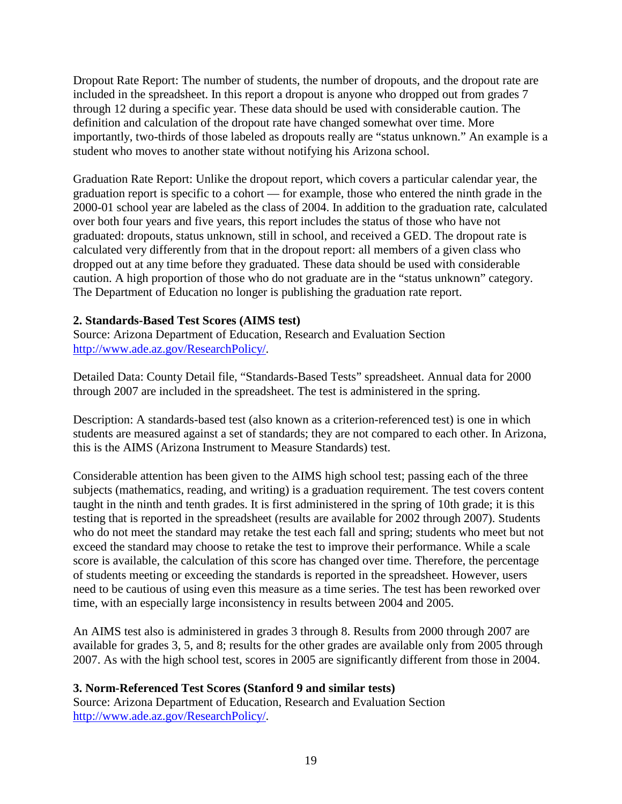Dropout Rate Report: The number of students, the number of dropouts, and the dropout rate are included in the spreadsheet. In this report a dropout is anyone who dropped out from grades 7 through 12 during a specific year. These data should be used with considerable caution. The definition and calculation of the dropout rate have changed somewhat over time. More importantly, two-thirds of those labeled as dropouts really are "status unknown." An example is a student who moves to another state without notifying his Arizona school.

Graduation Rate Report: Unlike the dropout report, which covers a particular calendar year, the graduation report is specific to a cohort — for example, those who entered the ninth grade in the 2000-01 school year are labeled as the class of 2004. In addition to the graduation rate, calculated over both four years and five years, this report includes the status of those who have not graduated: dropouts, status unknown, still in school, and received a GED. The dropout rate is calculated very differently from that in the dropout report: all members of a given class who dropped out at any time before they graduated. These data should be used with considerable caution. A high proportion of those who do not graduate are in the "status unknown" category. The Department of Education no longer is publishing the graduation rate report.

### **2. Standards-Based Test Scores (AIMS test)**

Source: Arizona Department of Education, Research and Evaluation Section [http://www.ade.az.gov/ResearchPolicy/.](http://www.ade.az.gov/ResearchPolicy/)

Detailed Data: County Detail file, "Standards-Based Tests" spreadsheet. Annual data for 2000 through 2007 are included in the spreadsheet. The test is administered in the spring.

Description: A standards-based test (also known as a criterion-referenced test) is one in which students are measured against a set of standards; they are not compared to each other. In Arizona, this is the AIMS (Arizona Instrument to Measure Standards) test.

Considerable attention has been given to the AIMS high school test; passing each of the three subjects (mathematics, reading, and writing) is a graduation requirement. The test covers content taught in the ninth and tenth grades. It is first administered in the spring of 10th grade; it is this testing that is reported in the spreadsheet (results are available for 2002 through 2007). Students who do not meet the standard may retake the test each fall and spring; students who meet but not exceed the standard may choose to retake the test to improve their performance. While a scale score is available, the calculation of this score has changed over time. Therefore, the percentage of students meeting or exceeding the standards is reported in the spreadsheet. However, users need to be cautious of using even this measure as a time series. The test has been reworked over time, with an especially large inconsistency in results between 2004 and 2005.

An AIMS test also is administered in grades 3 through 8. Results from 2000 through 2007 are available for grades 3, 5, and 8; results for the other grades are available only from 2005 through 2007. As with the high school test, scores in 2005 are significantly different from those in 2004.

### **3. Norm-Referenced Test Scores (Stanford 9 and similar tests)**

Source: Arizona Department of Education, Research and Evaluation Section [http://www.ade.az.gov/ResearchPolicy/.](http://www.ade.az.gov/ResearchPolicy/)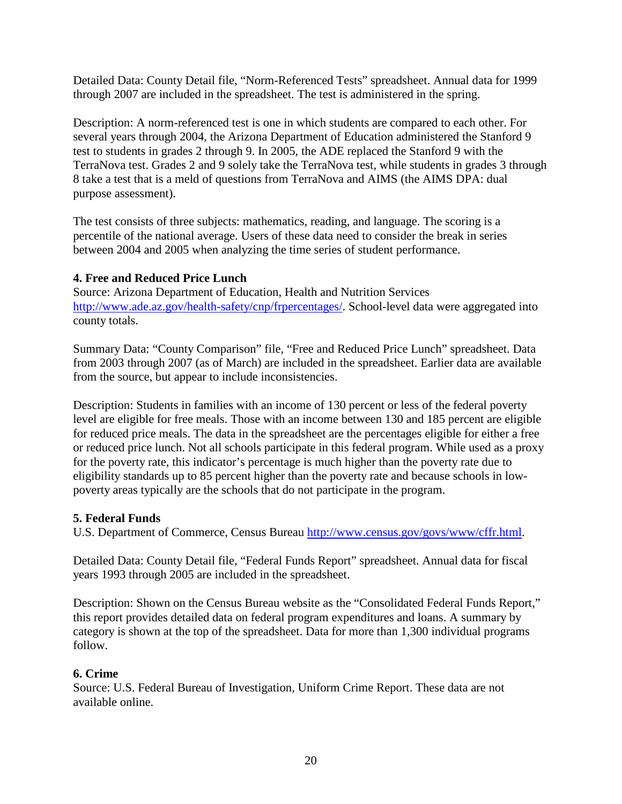Detailed Data: County Detail file, "Norm-Referenced Tests" spreadsheet. Annual data for 1999 through 2007 are included in the spreadsheet. The test is administered in the spring.

Description: A norm-referenced test is one in which students are compared to each other. For several years through 2004, the Arizona Department of Education administered the Stanford 9 test to students in grades 2 through 9. In 2005, the ADE replaced the Stanford 9 with the TerraNova test. Grades 2 and 9 solely take the TerraNova test, while students in grades 3 through 8 take a test that is a meld of questions from TerraNova and AIMS (the AIMS DPA: dual purpose assessment).

The test consists of three subjects: mathematics, reading, and language. The scoring is a percentile of the national average. Users of these data need to consider the break in series between 2004 and 2005 when analyzing the time series of student performance.

### **4. Free and Reduced Price Lunch**

Source: Arizona Department of Education, Health and Nutrition Services [http://www.ade.az.gov/health-safety/cnp/frpercentages/.](http://www.ade.az.gov/health-safety/cnp/frpercentages/) School-level data were aggregated into county totals.

Summary Data: "County Comparison" file, "Free and Reduced Price Lunch" spreadsheet. Data from 2003 through 2007 (as of March) are included in the spreadsheet. Earlier data are available from the source, but appear to include inconsistencies.

Description: Students in families with an income of 130 percent or less of the federal poverty level are eligible for free meals. Those with an income between 130 and 185 percent are eligible for reduced price meals. The data in the spreadsheet are the percentages eligible for either a free or reduced price lunch. Not all schools participate in this federal program. While used as a proxy for the poverty rate, this indicator's percentage is much higher than the poverty rate due to eligibility standards up to 85 percent higher than the poverty rate and because schools in lowpoverty areas typically are the schools that do not participate in the program.

### **5. Federal Funds**

U.S. Department of Commerce, Census Bureau [http://www.census.gov/govs/www/cffr.html.](http://www.census.gov/govs/www/cffr.html)

Detailed Data: County Detail file, "Federal Funds Report" spreadsheet. Annual data for fiscal years 1993 through 2005 are included in the spreadsheet.

Description: Shown on the Census Bureau website as the "Consolidated Federal Funds Report," this report provides detailed data on federal program expenditures and loans. A summary by category is shown at the top of the spreadsheet. Data for more than 1,300 individual programs follow.

### **6. Crime**

Source: U.S. Federal Bureau of Investigation, Uniform Crime Report. These data are not available online.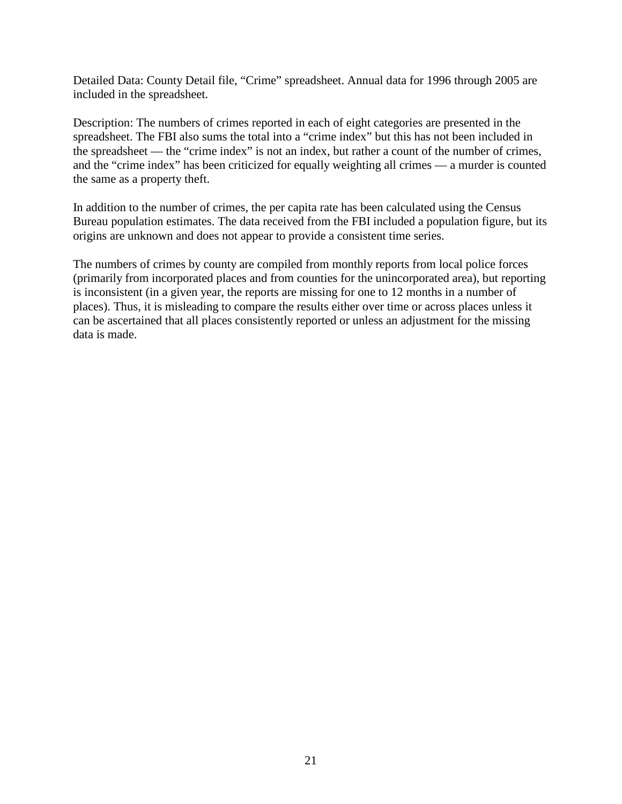Detailed Data: County Detail file, "Crime" spreadsheet. Annual data for 1996 through 2005 are included in the spreadsheet.

Description: The numbers of crimes reported in each of eight categories are presented in the spreadsheet. The FBI also sums the total into a "crime index" but this has not been included in the spreadsheet — the "crime index" is not an index, but rather a count of the number of crimes, and the "crime index" has been criticized for equally weighting all crimes — a murder is counted the same as a property theft.

In addition to the number of crimes, the per capita rate has been calculated using the Census Bureau population estimates. The data received from the FBI included a population figure, but its origins are unknown and does not appear to provide a consistent time series.

The numbers of crimes by county are compiled from monthly reports from local police forces (primarily from incorporated places and from counties for the unincorporated area), but reporting is inconsistent (in a given year, the reports are missing for one to 12 months in a number of places). Thus, it is misleading to compare the results either over time or across places unless it can be ascertained that all places consistently reported or unless an adjustment for the missing data is made.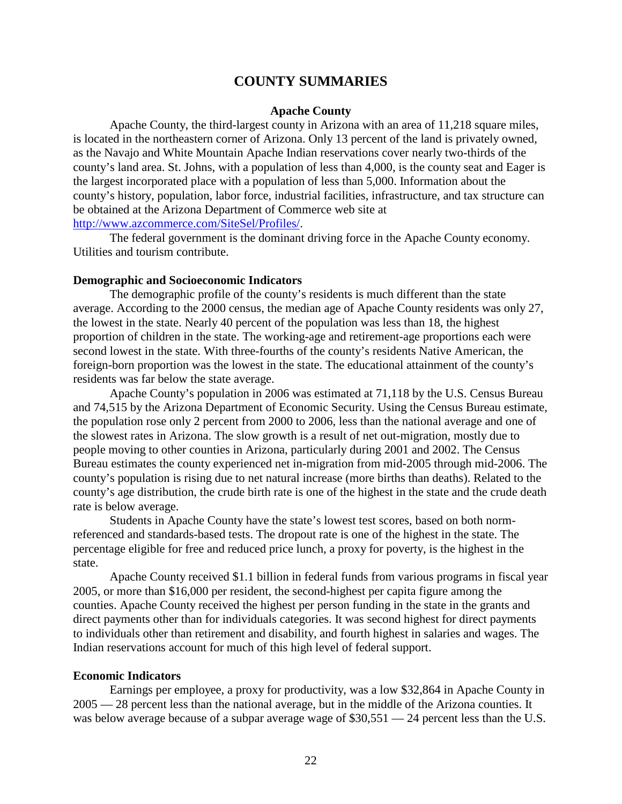### **COUNTY SUMMARIES**

#### **Apache County**

Apache County, the third-largest county in Arizona with an area of 11,218 square miles, is located in the northeastern corner of Arizona. Only 13 percent of the land is privately owned, as the Navajo and White Mountain Apache Indian reservations cover nearly two-thirds of the county's land area. St. Johns, with a population of less than 4,000, is the county seat and Eager is the largest incorporated place with a population of less than 5,000. Information about the county's history, population, labor force, industrial facilities, infrastructure, and tax structure can be obtained at the Arizona Department of Commerce web site at [http://www.azcommerce.com/SiteSel/Profiles/.](http://www.azcommerce.com/SiteSel/Profiles/)

The federal government is the dominant driving force in the Apache County economy. Utilities and tourism contribute.

#### **Demographic and Socioeconomic Indicators**

The demographic profile of the county's residents is much different than the state average. According to the 2000 census, the median age of Apache County residents was only 27, the lowest in the state. Nearly 40 percent of the population was less than 18, the highest proportion of children in the state. The working-age and retirement-age proportions each were second lowest in the state. With three-fourths of the county's residents Native American, the foreign-born proportion was the lowest in the state. The educational attainment of the county's residents was far below the state average.

Apache County's population in 2006 was estimated at 71,118 by the U.S. Census Bureau and 74,515 by the Arizona Department of Economic Security. Using the Census Bureau estimate, the population rose only 2 percent from 2000 to 2006, less than the national average and one of the slowest rates in Arizona. The slow growth is a result of net out-migration, mostly due to people moving to other counties in Arizona, particularly during 2001 and 2002. The Census Bureau estimates the county experienced net in-migration from mid-2005 through mid-2006. The county's population is rising due to net natural increase (more births than deaths). Related to the county's age distribution, the crude birth rate is one of the highest in the state and the crude death rate is below average.

Students in Apache County have the state's lowest test scores, based on both normreferenced and standards-based tests. The dropout rate is one of the highest in the state. The percentage eligible for free and reduced price lunch, a proxy for poverty, is the highest in the state.

Apache County received \$1.1 billion in federal funds from various programs in fiscal year 2005, or more than \$16,000 per resident, the second-highest per capita figure among the counties. Apache County received the highest per person funding in the state in the grants and direct payments other than for individuals categories. It was second highest for direct payments to individuals other than retirement and disability, and fourth highest in salaries and wages. The Indian reservations account for much of this high level of federal support.

#### **Economic Indicators**

Earnings per employee, a proxy for productivity, was a low \$32,864 in Apache County in 2005 — 28 percent less than the national average, but in the middle of the Arizona counties. It was below average because of a subpar average wage of  $$30,551 - 24$  percent less than the U.S.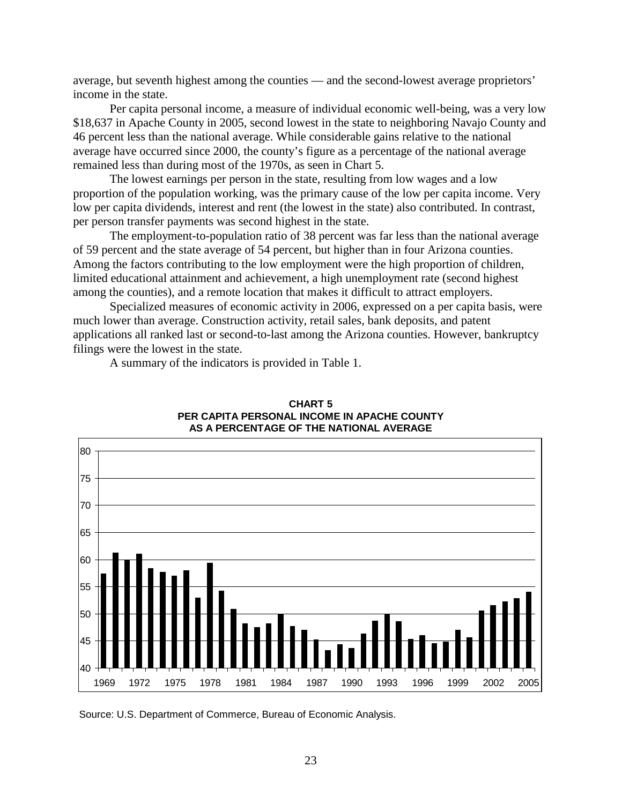average, but seventh highest among the counties — and the second-lowest average proprietors' income in the state.

Per capita personal income, a measure of individual economic well-being, was a very low \$18,637 in Apache County in 2005, second lowest in the state to neighboring Navajo County and 46 percent less than the national average. While considerable gains relative to the national average have occurred since 2000, the county's figure as a percentage of the national average remained less than during most of the 1970s, as seen in Chart 5.

The lowest earnings per person in the state, resulting from low wages and a low proportion of the population working, was the primary cause of the low per capita income. Very low per capita dividends, interest and rent (the lowest in the state) also contributed. In contrast, per person transfer payments was second highest in the state.

The employment-to-population ratio of 38 percent was far less than the national average of 59 percent and the state average of 54 percent, but higher than in four Arizona counties. Among the factors contributing to the low employment were the high proportion of children, limited educational attainment and achievement, a high unemployment rate (second highest among the counties), and a remote location that makes it difficult to attract employers.

Specialized measures of economic activity in 2006, expressed on a per capita basis, were much lower than average. Construction activity, retail sales, bank deposits, and patent applications all ranked last or second-to-last among the Arizona counties. However, bankruptcy filings were the lowest in the state.

A summary of the indicators is provided in Table 1.



#### **CHART 5 PER CAPITA PERSONAL INCOME IN APACHE COUNTY AS A PERCENTAGE OF THE NATIONAL AVERAGE**

Source: U.S. Department of Commerce, Bureau of Economic Analysis.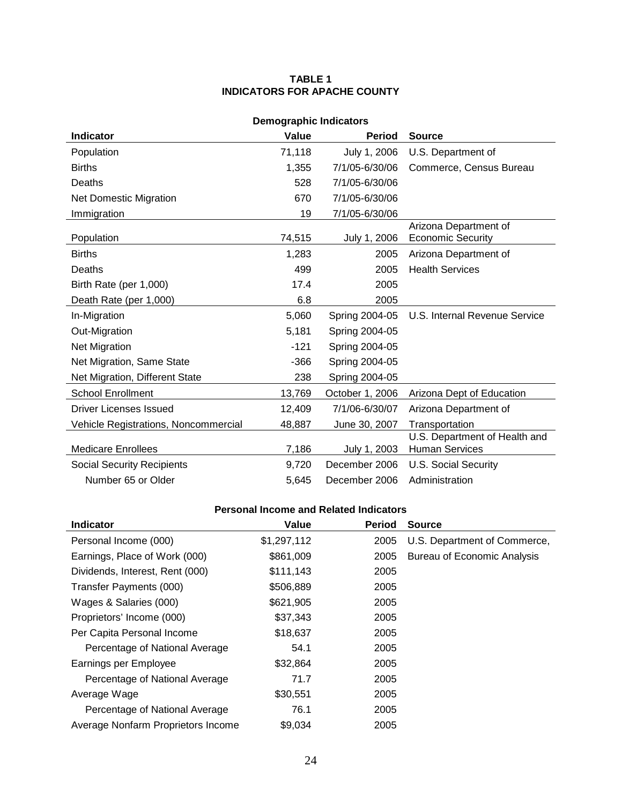#### **TABLE 1 INDICATORS FOR APACHE COUNTY**

| <b>Demographic Indicators</b>        |        |                 |                                                        |  |  |
|--------------------------------------|--------|-----------------|--------------------------------------------------------|--|--|
| <b>Indicator</b>                     | Value  | <b>Period</b>   | <b>Source</b>                                          |  |  |
| Population                           | 71,118 | July 1, 2006    | U.S. Department of                                     |  |  |
| <b>Births</b>                        | 1,355  | 7/1/05-6/30/06  | Commerce, Census Bureau                                |  |  |
| Deaths                               | 528    | 7/1/05-6/30/06  |                                                        |  |  |
| <b>Net Domestic Migration</b>        | 670    | 7/1/05-6/30/06  |                                                        |  |  |
| Immigration                          | 19     | 7/1/05-6/30/06  |                                                        |  |  |
| Population                           | 74,515 | July 1, 2006    | Arizona Department of<br><b>Economic Security</b>      |  |  |
| <b>Births</b>                        | 1,283  | 2005            | Arizona Department of                                  |  |  |
| Deaths                               | 499    | 2005            | <b>Health Services</b>                                 |  |  |
| Birth Rate (per 1,000)               | 17.4   | 2005            |                                                        |  |  |
| Death Rate (per 1,000)               | 6.8    | 2005            |                                                        |  |  |
| In-Migration                         | 5,060  | Spring 2004-05  | U.S. Internal Revenue Service                          |  |  |
| Out-Migration                        | 5,181  | Spring 2004-05  |                                                        |  |  |
| <b>Net Migration</b>                 | $-121$ | Spring 2004-05  |                                                        |  |  |
| Net Migration, Same State            | $-366$ | Spring 2004-05  |                                                        |  |  |
| Net Migration, Different State       | 238    | Spring 2004-05  |                                                        |  |  |
| <b>School Enrollment</b>             | 13,769 | October 1, 2006 | Arizona Dept of Education                              |  |  |
| <b>Driver Licenses Issued</b>        | 12,409 | 7/1/06-6/30/07  | Arizona Department of                                  |  |  |
| Vehicle Registrations, Noncommercial | 48,887 | June 30, 2007   | Transportation                                         |  |  |
| <b>Medicare Enrollees</b>            | 7,186  | July 1, 2003    | U.S. Department of Health and<br><b>Human Services</b> |  |  |
| <b>Social Security Recipients</b>    | 9,720  | December 2006   | <b>U.S. Social Security</b>                            |  |  |
| Number 65 or Older                   | 5,645  | December 2006   | Administration                                         |  |  |

### **Personal Income and Related Indicators**

| <b>Indicator</b>                   | Value       | <b>Period</b> | <b>Source</b>                      |
|------------------------------------|-------------|---------------|------------------------------------|
| Personal Income (000)              | \$1,297,112 | 2005          | U.S. Department of Commerce,       |
| Earnings, Place of Work (000)      | \$861,009   | 2005          | <b>Bureau of Economic Analysis</b> |
| Dividends, Interest, Rent (000)    | \$111,143   | 2005          |                                    |
| Transfer Payments (000)            | \$506,889   | 2005          |                                    |
| Wages & Salaries (000)             | \$621,905   | 2005          |                                    |
| Proprietors' Income (000)          | \$37,343    | 2005          |                                    |
| Per Capita Personal Income         | \$18,637    | 2005          |                                    |
| Percentage of National Average     | 54.1        | 2005          |                                    |
| Earnings per Employee              | \$32,864    | 2005          |                                    |
| Percentage of National Average     | 71.7        | 2005          |                                    |
| Average Wage                       | \$30,551    | 2005          |                                    |
| Percentage of National Average     | 76.1        | 2005          |                                    |
| Average Nonfarm Proprietors Income | \$9,034     | 2005          |                                    |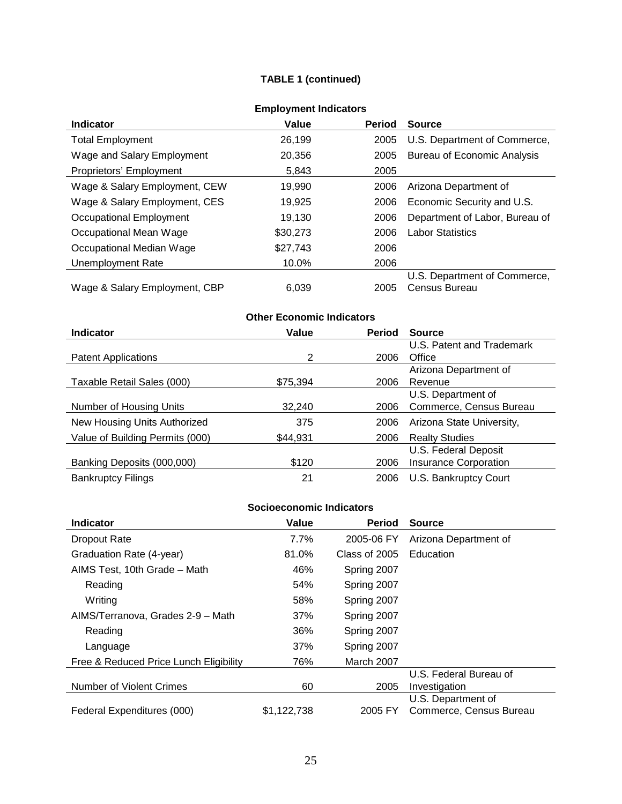### **TABLE 1 (continued)**

|                               | ENDIVINGIN MIGICALUI 3 |               |                                    |
|-------------------------------|------------------------|---------------|------------------------------------|
| <b>Indicator</b>              | Value                  | <b>Period</b> | <b>Source</b>                      |
| <b>Total Employment</b>       | 26.199                 | 2005          | U.S. Department of Commerce,       |
| Wage and Salary Employment    | 20,356                 | 2005          | <b>Bureau of Economic Analysis</b> |
| Proprietors' Employment       | 5,843                  | 2005          |                                    |
| Wage & Salary Employment, CEW | 19.990                 | 2006          | Arizona Department of              |
| Wage & Salary Employment, CES | 19,925                 | 2006          | Economic Security and U.S.         |
| Occupational Employment       | 19.130                 | 2006          | Department of Labor, Bureau of     |
| Occupational Mean Wage        | \$30,273               | 2006          | <b>Labor Statistics</b>            |
| Occupational Median Wage      | \$27,743               | 2006          |                                    |
| Unemployment Rate             | 10.0%                  | 2006          |                                    |
|                               |                        |               | U.S. Department of Commerce,       |
| Wage & Salary Employment, CBP | 6.039                  | 2005          | Census Bureau                      |

### **Employment Indicators**

## **Other Economic Indicators**

| <b>Indicator</b>                | Value    | <b>Period</b> | <b>Source</b>                |
|---------------------------------|----------|---------------|------------------------------|
|                                 |          |               | U.S. Patent and Trademark    |
| <b>Patent Applications</b>      | 2        | 2006          | Office                       |
|                                 |          |               | Arizona Department of        |
| Taxable Retail Sales (000)      | \$75,394 | 2006          | Revenue                      |
|                                 |          |               | U.S. Department of           |
| Number of Housing Units         | 32,240   | 2006          | Commerce, Census Bureau      |
| New Housing Units Authorized    | 375      | 2006          | Arizona State University,    |
| Value of Building Permits (000) | \$44,931 | 2006          | <b>Realty Studies</b>        |
|                                 |          |               | U.S. Federal Deposit         |
| Banking Deposits (000,000)      | \$120    | 2006          | <b>Insurance Corporation</b> |
| <b>Bankruptcy Filings</b>       | 21       | 2006          | U.S. Bankruptcy Court        |

#### **Socioeconomic Indicators**

| <b>Indicator</b>                       | Value       | <b>Period</b> | <b>Source</b>           |
|----------------------------------------|-------------|---------------|-------------------------|
| <b>Dropout Rate</b>                    | 7.7%        | 2005-06 FY    | Arizona Department of   |
| Graduation Rate (4-year)               | 81.0%       | Class of 2005 | Education               |
| AIMS Test, 10th Grade - Math           | 46%         | Spring 2007   |                         |
| Reading                                | 54%         | Spring 2007   |                         |
| Writing                                | 58%         | Spring 2007   |                         |
| AIMS/Terranova, Grades 2-9 - Math      | 37%         | Spring 2007   |                         |
| Reading                                | 36%         | Spring 2007   |                         |
| Language                               | 37%         | Spring 2007   |                         |
| Free & Reduced Price Lunch Eligibility | 76%         | March 2007    |                         |
|                                        |             |               | U.S. Federal Bureau of  |
| Number of Violent Crimes               | 60          | 2005          | Investigation           |
|                                        |             |               | U.S. Department of      |
| Federal Expenditures (000)             | \$1,122,738 | 2005 FY       | Commerce, Census Bureau |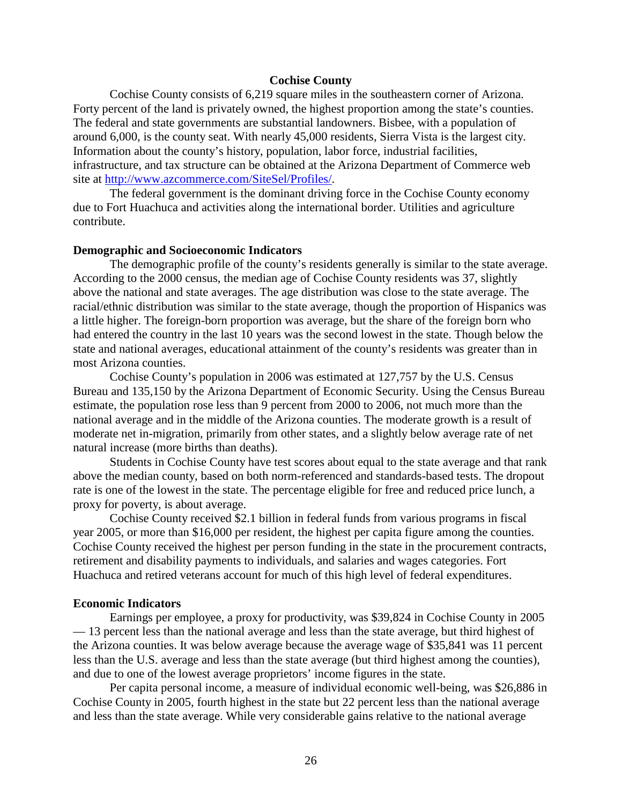#### **Cochise County**

Cochise County consists of 6,219 square miles in the southeastern corner of Arizona. Forty percent of the land is privately owned, the highest proportion among the state's counties. The federal and state governments are substantial landowners. Bisbee, with a population of around 6,000, is the county seat. With nearly 45,000 residents, Sierra Vista is the largest city. Information about the county's history, population, labor force, industrial facilities, infrastructure, and tax structure can be obtained at the Arizona Department of Commerce web site at [http://www.azcommerce.com/SiteSel/Profiles/.](http://www.azcommerce.com/SiteSel/Profiles/)

The federal government is the dominant driving force in the Cochise County economy due to Fort Huachuca and activities along the international border. Utilities and agriculture contribute.

#### **Demographic and Socioeconomic Indicators**

The demographic profile of the county's residents generally is similar to the state average. According to the 2000 census, the median age of Cochise County residents was 37, slightly above the national and state averages. The age distribution was close to the state average. The racial/ethnic distribution was similar to the state average, though the proportion of Hispanics was a little higher. The foreign-born proportion was average, but the share of the foreign born who had entered the country in the last 10 years was the second lowest in the state. Though below the state and national averages, educational attainment of the county's residents was greater than in most Arizona counties.

Cochise County's population in 2006 was estimated at 127,757 by the U.S. Census Bureau and 135,150 by the Arizona Department of Economic Security. Using the Census Bureau estimate, the population rose less than 9 percent from 2000 to 2006, not much more than the national average and in the middle of the Arizona counties. The moderate growth is a result of moderate net in-migration, primarily from other states, and a slightly below average rate of net natural increase (more births than deaths).

Students in Cochise County have test scores about equal to the state average and that rank above the median county, based on both norm-referenced and standards-based tests. The dropout rate is one of the lowest in the state. The percentage eligible for free and reduced price lunch, a proxy for poverty, is about average.

Cochise County received \$2.1 billion in federal funds from various programs in fiscal year 2005, or more than \$16,000 per resident, the highest per capita figure among the counties. Cochise County received the highest per person funding in the state in the procurement contracts, retirement and disability payments to individuals, and salaries and wages categories. Fort Huachuca and retired veterans account for much of this high level of federal expenditures.

#### **Economic Indicators**

Earnings per employee, a proxy for productivity, was \$39,824 in Cochise County in 2005 — 13 percent less than the national average and less than the state average, but third highest of the Arizona counties. It was below average because the average wage of \$35,841 was 11 percent less than the U.S. average and less than the state average (but third highest among the counties), and due to one of the lowest average proprietors' income figures in the state.

Per capita personal income, a measure of individual economic well-being, was \$26,886 in Cochise County in 2005, fourth highest in the state but 22 percent less than the national average and less than the state average. While very considerable gains relative to the national average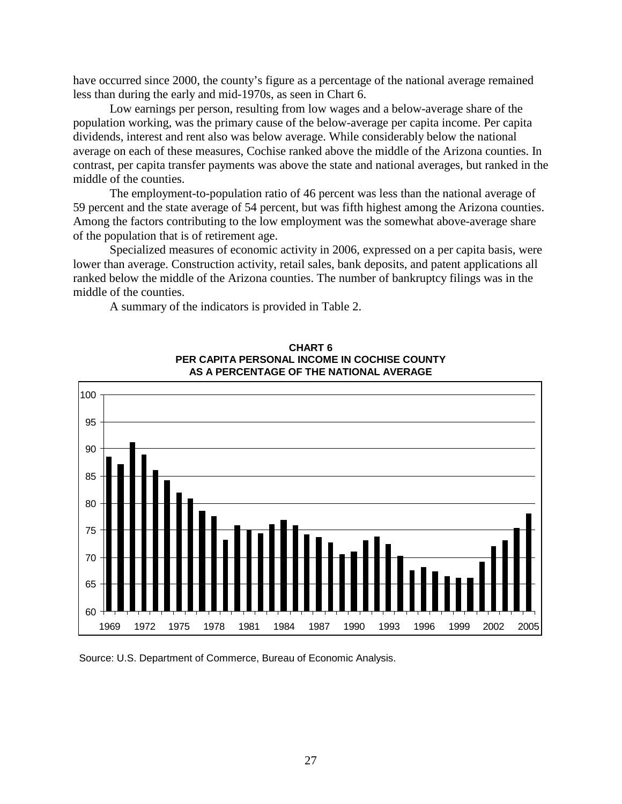have occurred since 2000, the county's figure as a percentage of the national average remained less than during the early and mid-1970s, as seen in Chart 6.

Low earnings per person, resulting from low wages and a below-average share of the population working, was the primary cause of the below-average per capita income. Per capita dividends, interest and rent also was below average. While considerably below the national average on each of these measures, Cochise ranked above the middle of the Arizona counties. In contrast, per capita transfer payments was above the state and national averages, but ranked in the middle of the counties.

The employment-to-population ratio of 46 percent was less than the national average of 59 percent and the state average of 54 percent, but was fifth highest among the Arizona counties. Among the factors contributing to the low employment was the somewhat above-average share of the population that is of retirement age.

Specialized measures of economic activity in 2006, expressed on a per capita basis, were lower than average. Construction activity, retail sales, bank deposits, and patent applications all ranked below the middle of the Arizona counties. The number of bankruptcy filings was in the middle of the counties.

A summary of the indicators is provided in Table 2.



**CHART 6 PER CAPITA PERSONAL INCOME IN COCHISE COUNTY AS A PERCENTAGE OF THE NATIONAL AVERAGE**

Source: U.S. Department of Commerce, Bureau of Economic Analysis.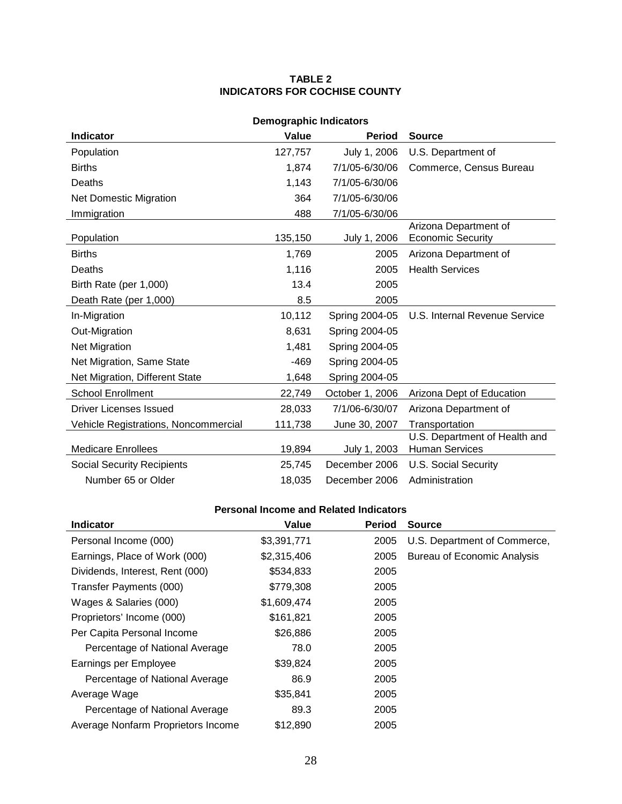#### **TABLE 2 INDICATORS FOR COCHISE COUNTY**

| <b>Demographic Indicators</b>        |         |                 |                                                        |  |  |
|--------------------------------------|---------|-----------------|--------------------------------------------------------|--|--|
| <b>Indicator</b>                     | Value   | <b>Period</b>   | <b>Source</b>                                          |  |  |
| Population                           | 127,757 | July 1, 2006    | U.S. Department of                                     |  |  |
| <b>Births</b>                        | 1,874   | 7/1/05-6/30/06  | Commerce, Census Bureau                                |  |  |
| Deaths                               | 1,143   | 7/1/05-6/30/06  |                                                        |  |  |
| <b>Net Domestic Migration</b>        | 364     | 7/1/05-6/30/06  |                                                        |  |  |
| Immigration                          | 488     | 7/1/05-6/30/06  |                                                        |  |  |
| Population                           | 135,150 | July 1, 2006    | Arizona Department of<br><b>Economic Security</b>      |  |  |
| <b>Births</b>                        | 1,769   | 2005            | Arizona Department of                                  |  |  |
| Deaths                               | 1,116   | 2005            | <b>Health Services</b>                                 |  |  |
| Birth Rate (per 1,000)               | 13.4    | 2005            |                                                        |  |  |
| Death Rate (per 1,000)               | 8.5     | 2005            |                                                        |  |  |
| In-Migration                         | 10,112  | Spring 2004-05  | U.S. Internal Revenue Service                          |  |  |
| Out-Migration                        | 8,631   | Spring 2004-05  |                                                        |  |  |
| <b>Net Migration</b>                 | 1,481   | Spring 2004-05  |                                                        |  |  |
| Net Migration, Same State            | $-469$  | Spring 2004-05  |                                                        |  |  |
| Net Migration, Different State       | 1,648   | Spring 2004-05  |                                                        |  |  |
| <b>School Enrollment</b>             | 22,749  | October 1, 2006 | Arizona Dept of Education                              |  |  |
| Driver Licenses Issued               | 28,033  | 7/1/06-6/30/07  | Arizona Department of                                  |  |  |
| Vehicle Registrations, Noncommercial | 111,738 | June 30, 2007   | Transportation                                         |  |  |
| <b>Medicare Enrollees</b>            | 19,894  | July 1, 2003    | U.S. Department of Health and<br><b>Human Services</b> |  |  |
| <b>Social Security Recipients</b>    | 25,745  | December 2006   | <b>U.S. Social Security</b>                            |  |  |
| Number 65 or Older                   | 18,035  | December 2006   | Administration                                         |  |  |

### **Personal Income and Related Indicators**

| <b>Indicator</b>                   | Value       | <b>Period</b> | <b>Source</b>                      |
|------------------------------------|-------------|---------------|------------------------------------|
| Personal Income (000)              | \$3,391,771 | 2005          | U.S. Department of Commerce,       |
| Earnings, Place of Work (000)      | \$2,315,406 | 2005          | <b>Bureau of Economic Analysis</b> |
| Dividends, Interest, Rent (000)    | \$534,833   | 2005          |                                    |
| Transfer Payments (000)            | \$779,308   | 2005          |                                    |
| Wages & Salaries (000)             | \$1,609,474 | 2005          |                                    |
| Proprietors' Income (000)          | \$161,821   | 2005          |                                    |
| Per Capita Personal Income         | \$26,886    | 2005          |                                    |
| Percentage of National Average     | 78.0        | 2005          |                                    |
| Earnings per Employee              | \$39,824    | 2005          |                                    |
| Percentage of National Average     | 86.9        | 2005          |                                    |
| Average Wage                       | \$35,841    | 2005          |                                    |
| Percentage of National Average     | 89.3        | 2005          |                                    |
| Average Nonfarm Proprietors Income | \$12,890    | 2005          |                                    |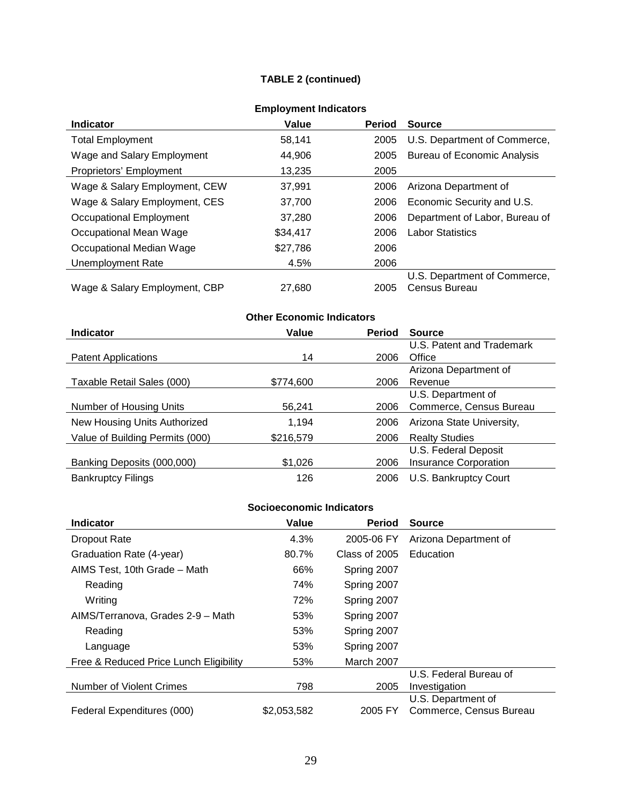#### **TABLE 2 (continued)**

| <b>Indicator</b>              | Value    | <b>Period</b> | <b>Source</b>                  |
|-------------------------------|----------|---------------|--------------------------------|
| <b>Total Employment</b>       | 58,141   | 2005          | U.S. Department of Commerce,   |
| Wage and Salary Employment    | 44,906   | 2005          | Bureau of Economic Analysis    |
| Proprietors' Employment       | 13,235   | 2005          |                                |
| Wage & Salary Employment, CEW | 37.991   | 2006          | Arizona Department of          |
| Wage & Salary Employment, CES | 37,700   | 2006          | Economic Security and U.S.     |
| Occupational Employment       | 37.280   | 2006          | Department of Labor, Bureau of |
| Occupational Mean Wage        | \$34.417 | 2006          | <b>Labor Statistics</b>        |
| Occupational Median Wage      | \$27,786 | 2006          |                                |
| Unemployment Rate             | 4.5%     | 2006          |                                |
|                               |          |               | U.S. Department of Commerce,   |
| Wage & Salary Employment, CBP | 27.680   | 2005          | Census Bureau                  |

#### **Employment Indicators**

#### **Other Economic Indicators Indicator Value Period Source** Patent Applications 14 2006 U.S. Patent and Trademark **Office** Taxable Retail Sales (000) \$774,600 2006 Arizona Department of Revenue Number of Housing Units 56,241 2006 U.S. Department of Commerce, Census Bureau New Housing Units Authorized 1,194 2006 Arizona State University, Value of Building Permits (000) \$216,579 2006 Realty Studies Banking Deposits (000,000) \$1,026 51,026 U.S. Federal Deposit Insurance Corporation Bankruptcy Filings **126** 2006 U.S. Bankruptcy Court

#### **Socioeconomic Indicators**

| <b>Indicator</b>                       | Value       | <b>Period</b> | <b>Source</b>           |
|----------------------------------------|-------------|---------------|-------------------------|
| <b>Dropout Rate</b>                    | 4.3%        | 2005-06 FY    | Arizona Department of   |
| Graduation Rate (4-year)               | 80.7%       | Class of 2005 | Education               |
| AIMS Test, 10th Grade - Math           | 66%         | Spring 2007   |                         |
| Reading                                | 74%         | Spring 2007   |                         |
| Writing                                | 72%         | Spring 2007   |                         |
| AIMS/Terranova, Grades 2-9 - Math      | 53%         | Spring 2007   |                         |
| Reading                                | 53%         | Spring 2007   |                         |
| Language                               | 53%         | Spring 2007   |                         |
| Free & Reduced Price Lunch Eligibility | 53%         | March 2007    |                         |
|                                        |             |               | U.S. Federal Bureau of  |
| Number of Violent Crimes               | 798         | 2005          | Investigation           |
|                                        |             |               | U.S. Department of      |
| Federal Expenditures (000)             | \$2,053,582 | 2005 FY       | Commerce, Census Bureau |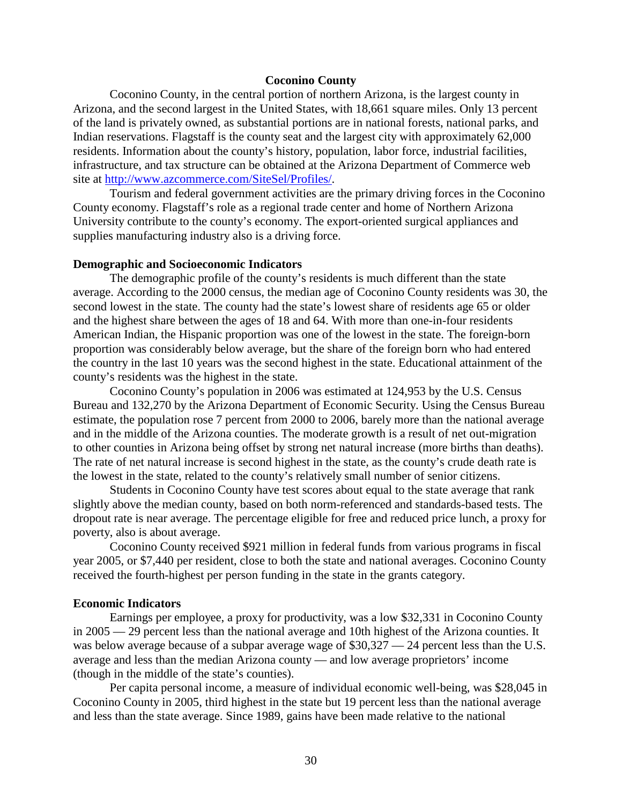#### **Coconino County**

Coconino County, in the central portion of northern Arizona, is the largest county in Arizona, and the second largest in the United States, with 18,661 square miles. Only 13 percent of the land is privately owned, as substantial portions are in national forests, national parks, and Indian reservations. Flagstaff is the county seat and the largest city with approximately 62,000 residents. Information about the county's history, population, labor force, industrial facilities, infrastructure, and tax structure can be obtained at the Arizona Department of Commerce web site at [http://www.azcommerce.com/SiteSel/Profiles/.](http://www.azcommerce.com/SiteSel/Profiles/)

Tourism and federal government activities are the primary driving forces in the Coconino County economy. Flagstaff's role as a regional trade center and home of Northern Arizona University contribute to the county's economy. The export-oriented surgical appliances and supplies manufacturing industry also is a driving force.

#### **Demographic and Socioeconomic Indicators**

The demographic profile of the county's residents is much different than the state average. According to the 2000 census, the median age of Coconino County residents was 30, the second lowest in the state. The county had the state's lowest share of residents age 65 or older and the highest share between the ages of 18 and 64. With more than one-in-four residents American Indian, the Hispanic proportion was one of the lowest in the state. The foreign-born proportion was considerably below average, but the share of the foreign born who had entered the country in the last 10 years was the second highest in the state. Educational attainment of the county's residents was the highest in the state.

Coconino County's population in 2006 was estimated at 124,953 by the U.S. Census Bureau and 132,270 by the Arizona Department of Economic Security. Using the Census Bureau estimate, the population rose 7 percent from 2000 to 2006, barely more than the national average and in the middle of the Arizona counties. The moderate growth is a result of net out-migration to other counties in Arizona being offset by strong net natural increase (more births than deaths). The rate of net natural increase is second highest in the state, as the county's crude death rate is the lowest in the state, related to the county's relatively small number of senior citizens.

Students in Coconino County have test scores about equal to the state average that rank slightly above the median county, based on both norm-referenced and standards-based tests. The dropout rate is near average. The percentage eligible for free and reduced price lunch, a proxy for poverty, also is about average.

Coconino County received \$921 million in federal funds from various programs in fiscal year 2005, or \$7,440 per resident, close to both the state and national averages. Coconino County received the fourth-highest per person funding in the state in the grants category.

#### **Economic Indicators**

Earnings per employee, a proxy for productivity, was a low \$32,331 in Coconino County in 2005 — 29 percent less than the national average and 10th highest of the Arizona counties. It was below average because of a subpar average wage of \$30,327 — 24 percent less than the U.S. average and less than the median Arizona county — and low average proprietors' income (though in the middle of the state's counties).

Per capita personal income, a measure of individual economic well-being, was \$28,045 in Coconino County in 2005, third highest in the state but 19 percent less than the national average and less than the state average. Since 1989, gains have been made relative to the national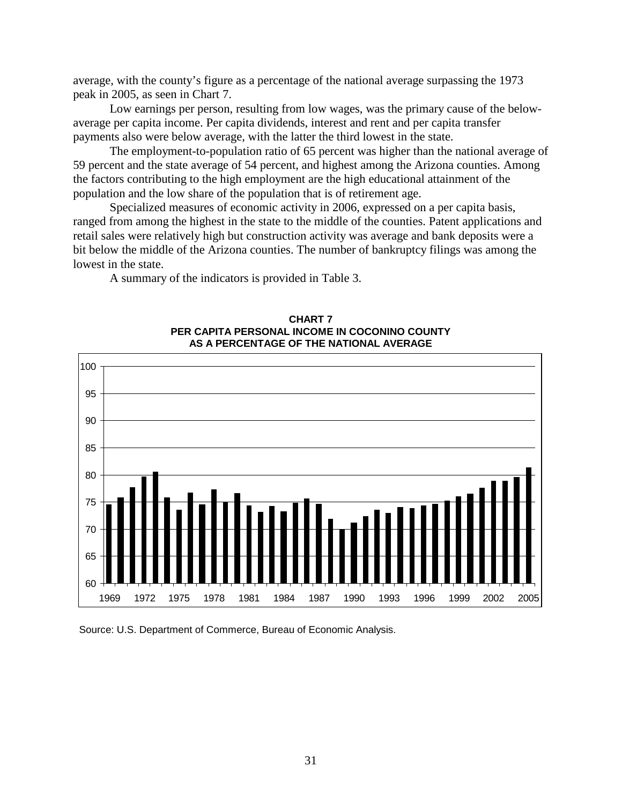average, with the county's figure as a percentage of the national average surpassing the 1973 peak in 2005, as seen in Chart 7.

Low earnings per person, resulting from low wages, was the primary cause of the belowaverage per capita income. Per capita dividends, interest and rent and per capita transfer payments also were below average, with the latter the third lowest in the state.

The employment-to-population ratio of 65 percent was higher than the national average of 59 percent and the state average of 54 percent, and highest among the Arizona counties. Among the factors contributing to the high employment are the high educational attainment of the population and the low share of the population that is of retirement age.

Specialized measures of economic activity in 2006, expressed on a per capita basis, ranged from among the highest in the state to the middle of the counties. Patent applications and retail sales were relatively high but construction activity was average and bank deposits were a bit below the middle of the Arizona counties. The number of bankruptcy filings was among the lowest in the state.

A summary of the indicators is provided in Table 3.



**CHART 7 PER CAPITA PERSONAL INCOME IN COCONINO COUNTY AS A PERCENTAGE OF THE NATIONAL AVERAGE**

Source: U.S. Department of Commerce, Bureau of Economic Analysis.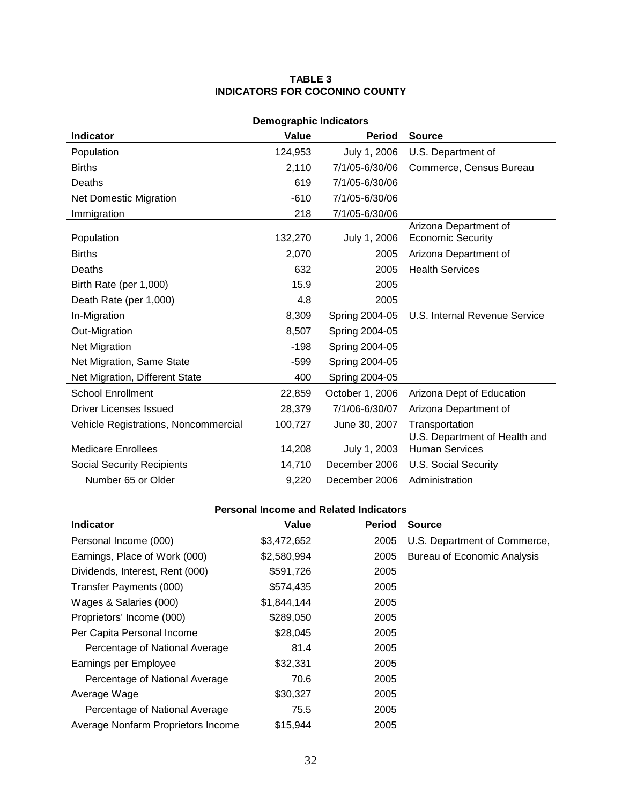#### **TABLE 3 INDICATORS FOR COCONINO COUNTY**

| <b>Demographic Indicators</b>        |         |                 |                                                        |  |
|--------------------------------------|---------|-----------------|--------------------------------------------------------|--|
| <b>Indicator</b>                     | Value   | <b>Period</b>   | <b>Source</b>                                          |  |
| Population                           | 124,953 | July 1, 2006    | U.S. Department of                                     |  |
| <b>Births</b>                        | 2,110   | 7/1/05-6/30/06  | Commerce, Census Bureau                                |  |
| Deaths                               | 619     | 7/1/05-6/30/06  |                                                        |  |
| <b>Net Domestic Migration</b>        | $-610$  | 7/1/05-6/30/06  |                                                        |  |
| Immigration                          | 218     | 7/1/05-6/30/06  |                                                        |  |
| Population                           | 132,270 | July 1, 2006    | Arizona Department of<br><b>Economic Security</b>      |  |
| <b>Births</b>                        | 2,070   | 2005            | Arizona Department of                                  |  |
| Deaths                               | 632     | 2005            | <b>Health Services</b>                                 |  |
| Birth Rate (per 1,000)               | 15.9    | 2005            |                                                        |  |
| Death Rate (per 1,000)               | 4.8     | 2005            |                                                        |  |
| In-Migration                         | 8,309   | Spring 2004-05  | U.S. Internal Revenue Service                          |  |
| Out-Migration                        | 8,507   | Spring 2004-05  |                                                        |  |
| Net Migration                        | $-198$  | Spring 2004-05  |                                                        |  |
| Net Migration, Same State            | -599    | Spring 2004-05  |                                                        |  |
| Net Migration, Different State       | 400     | Spring 2004-05  |                                                        |  |
| <b>School Enrollment</b>             | 22,859  | October 1, 2006 | Arizona Dept of Education                              |  |
| Driver Licenses Issued               | 28,379  | 7/1/06-6/30/07  | Arizona Department of                                  |  |
| Vehicle Registrations, Noncommercial | 100,727 | June 30, 2007   | Transportation                                         |  |
| <b>Medicare Enrollees</b>            | 14,208  | July 1, 2003    | U.S. Department of Health and<br><b>Human Services</b> |  |
| <b>Social Security Recipients</b>    | 14,710  | December 2006   | <b>U.S. Social Security</b>                            |  |
| Number 65 or Older                   | 9,220   | December 2006   | Administration                                         |  |

### **Personal Income and Related Indicators**

| <b>Indicator</b>                   | Value       | <b>Period</b> | <b>Source</b>                      |
|------------------------------------|-------------|---------------|------------------------------------|
| Personal Income (000)              | \$3,472,652 | 2005          | U.S. Department of Commerce,       |
| Earnings, Place of Work (000)      | \$2,580,994 | 2005          | <b>Bureau of Economic Analysis</b> |
| Dividends, Interest, Rent (000)    | \$591,726   | 2005          |                                    |
| Transfer Payments (000)            | \$574,435   | 2005          |                                    |
| Wages & Salaries (000)             | \$1,844,144 | 2005          |                                    |
| Proprietors' Income (000)          | \$289,050   | 2005          |                                    |
| Per Capita Personal Income         | \$28,045    | 2005          |                                    |
| Percentage of National Average     | 81.4        | 2005          |                                    |
| Earnings per Employee              | \$32,331    | 2005          |                                    |
| Percentage of National Average     | 70.6        | 2005          |                                    |
| Average Wage                       | \$30,327    | 2005          |                                    |
| Percentage of National Average     | 75.5        | 2005          |                                    |
| Average Nonfarm Proprietors Income | \$15,944    | 2005          |                                    |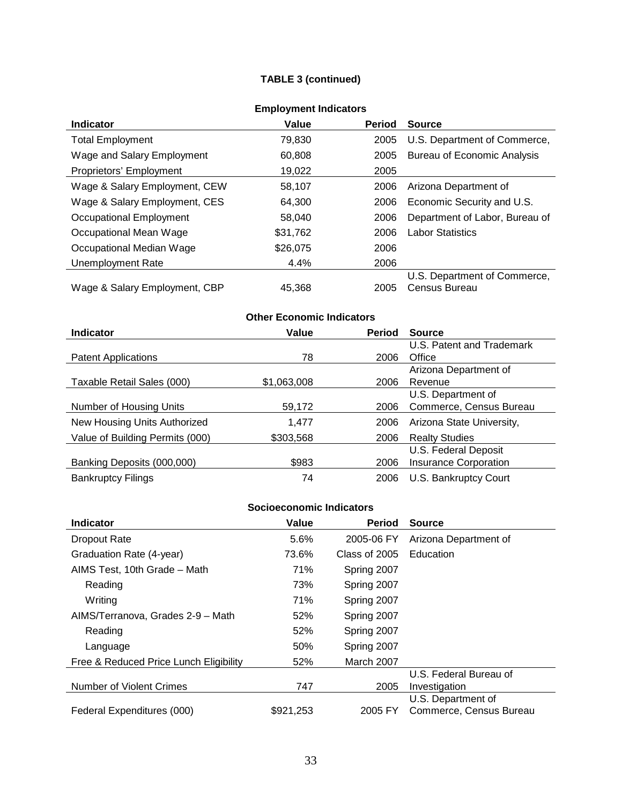### **TABLE 3 (continued)**

| <b>Indicator</b>              | Value    | <b>Period</b> | <b>Source</b>                  |
|-------------------------------|----------|---------------|--------------------------------|
| <b>Total Employment</b>       | 79,830   | 2005          | U.S. Department of Commerce,   |
| Wage and Salary Employment    | 60,808   | 2005          | Bureau of Economic Analysis    |
| Proprietors' Employment       | 19,022   | 2005          |                                |
| Wage & Salary Employment, CEW | 58.107   | 2006          | Arizona Department of          |
| Wage & Salary Employment, CES | 64.300   | 2006          | Economic Security and U.S.     |
| Occupational Employment       | 58.040   | 2006          | Department of Labor, Bureau of |
| Occupational Mean Wage        | \$31,762 | 2006          | <b>Labor Statistics</b>        |
| Occupational Median Wage      | \$26,075 | 2006          |                                |
| Unemployment Rate             | 4.4%     | 2006          |                                |
|                               |          |               | U.S. Department of Commerce,   |
| Wage & Salary Employment, CBP | 45.368   | 2005          | Census Bureau                  |

#### **Employment Indicators**

#### **Other Economic Indicators Indicator Value Period Source** Patent Applications 78 U.S. Patent and Trademark 2006 Office Taxable Retail Sales (000) \$1,063,008 2006 Arizona Department of Revenue

| Taxable Retail Sales (000)      | \$1,063,008 | 2006 | Revenue                      |
|---------------------------------|-------------|------|------------------------------|
|                                 |             |      | U.S. Department of           |
| Number of Housing Units         | 59,172      | 2006 | Commerce, Census Bureau      |
| New Housing Units Authorized    | 1.477       | 2006 | Arizona State University,    |
| Value of Building Permits (000) | \$303,568   | 2006 | <b>Realty Studies</b>        |
|                                 |             |      | U.S. Federal Deposit         |
| Banking Deposits (000,000)      | \$983       | 2006 | <b>Insurance Corporation</b> |
| <b>Bankruptcy Filings</b>       | 74          | 2006 | U.S. Bankruptcy Court        |

#### **Socioeconomic Indicators**

| <b>Indicator</b>                       | Value     | <b>Period</b>     | <b>Source</b>           |
|----------------------------------------|-----------|-------------------|-------------------------|
| <b>Dropout Rate</b>                    | 5.6%      | 2005-06 FY        | Arizona Department of   |
| Graduation Rate (4-year)               | 73.6%     | Class of 2005     | Education               |
| AIMS Test, 10th Grade - Math           | 71%       | Spring 2007       |                         |
| Reading                                | 73%       | Spring 2007       |                         |
| Writing                                | 71%       | Spring 2007       |                         |
| AIMS/Terranova, Grades 2-9 - Math      | 52%       | Spring 2007       |                         |
| Reading                                | 52%       | Spring 2007       |                         |
| Language                               | 50%       | Spring 2007       |                         |
| Free & Reduced Price Lunch Eligibility | 52%       | <b>March 2007</b> |                         |
|                                        |           |                   | U.S. Federal Bureau of  |
| Number of Violent Crimes               | 747       | 2005              | Investigation           |
|                                        |           |                   | U.S. Department of      |
| Federal Expenditures (000)             | \$921,253 | 2005 FY           | Commerce, Census Bureau |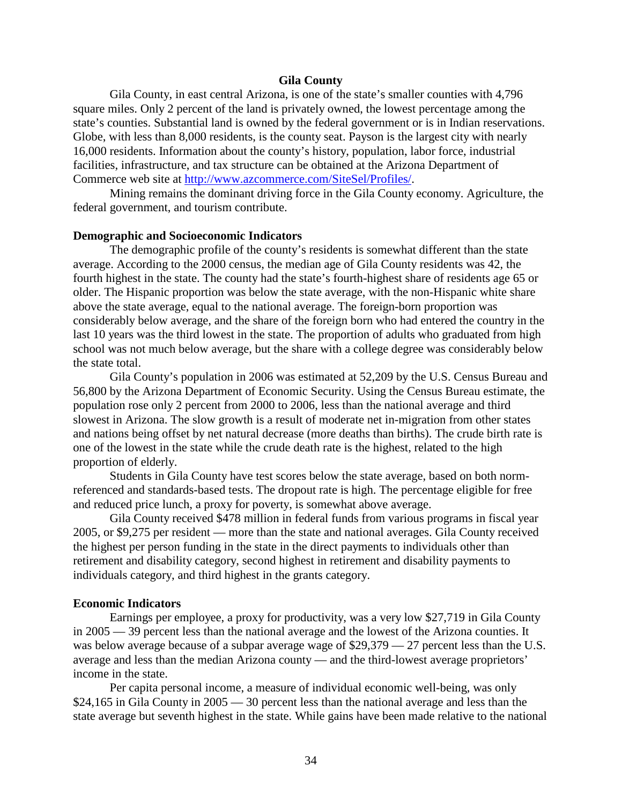#### **Gila County**

Gila County, in east central Arizona, is one of the state's smaller counties with 4,796 square miles. Only 2 percent of the land is privately owned, the lowest percentage among the state's counties. Substantial land is owned by the federal government or is in Indian reservations. Globe, with less than 8,000 residents, is the county seat. Payson is the largest city with nearly 16,000 residents. Information about the county's history, population, labor force, industrial facilities, infrastructure, and tax structure can be obtained at the Arizona Department of Commerce web site at [http://www.azcommerce.com/SiteSel/Profiles/.](http://www.azcommerce.com/SiteSel/Profiles/)

Mining remains the dominant driving force in the Gila County economy. Agriculture, the federal government, and tourism contribute.

#### **Demographic and Socioeconomic Indicators**

The demographic profile of the county's residents is somewhat different than the state average. According to the 2000 census, the median age of Gila County residents was 42, the fourth highest in the state. The county had the state's fourth-highest share of residents age 65 or older. The Hispanic proportion was below the state average, with the non-Hispanic white share above the state average, equal to the national average. The foreign-born proportion was considerably below average, and the share of the foreign born who had entered the country in the last 10 years was the third lowest in the state. The proportion of adults who graduated from high school was not much below average, but the share with a college degree was considerably below the state total.

Gila County's population in 2006 was estimated at 52,209 by the U.S. Census Bureau and 56,800 by the Arizona Department of Economic Security. Using the Census Bureau estimate, the population rose only 2 percent from 2000 to 2006, less than the national average and third slowest in Arizona. The slow growth is a result of moderate net in-migration from other states and nations being offset by net natural decrease (more deaths than births). The crude birth rate is one of the lowest in the state while the crude death rate is the highest, related to the high proportion of elderly.

Students in Gila County have test scores below the state average, based on both normreferenced and standards-based tests. The dropout rate is high. The percentage eligible for free and reduced price lunch, a proxy for poverty, is somewhat above average.

Gila County received \$478 million in federal funds from various programs in fiscal year 2005, or \$9,275 per resident — more than the state and national averages. Gila County received the highest per person funding in the state in the direct payments to individuals other than retirement and disability category, second highest in retirement and disability payments to individuals category, and third highest in the grants category.

#### **Economic Indicators**

Earnings per employee, a proxy for productivity, was a very low \$27,719 in Gila County in 2005 — 39 percent less than the national average and the lowest of the Arizona counties. It was below average because of a subpar average wage of \$29,379 — 27 percent less than the U.S. average and less than the median Arizona county — and the third-lowest average proprietors' income in the state.

Per capita personal income, a measure of individual economic well-being, was only \$24,165 in Gila County in 2005 — 30 percent less than the national average and less than the state average but seventh highest in the state. While gains have been made relative to the national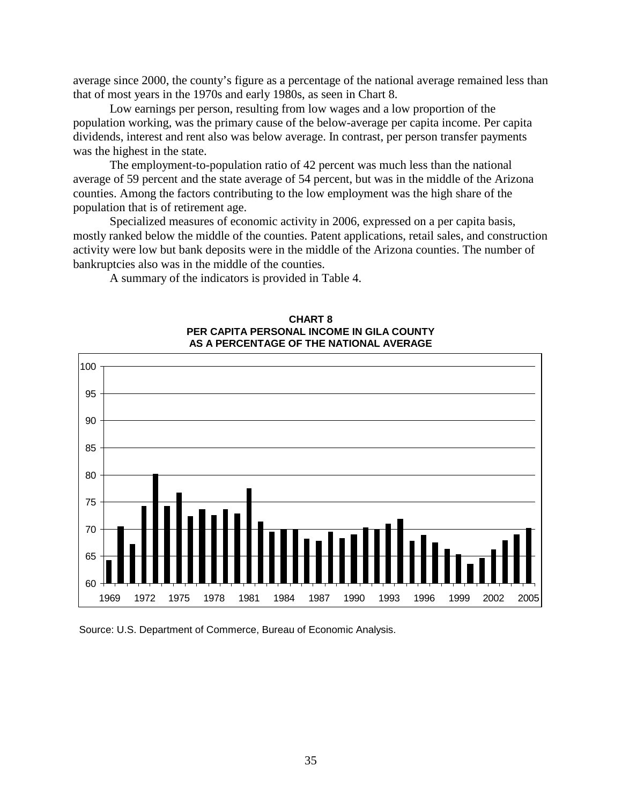average since 2000, the county's figure as a percentage of the national average remained less than that of most years in the 1970s and early 1980s, as seen in Chart 8.

Low earnings per person, resulting from low wages and a low proportion of the population working, was the primary cause of the below-average per capita income. Per capita dividends, interest and rent also was below average. In contrast, per person transfer payments was the highest in the state.

The employment-to-population ratio of 42 percent was much less than the national average of 59 percent and the state average of 54 percent, but was in the middle of the Arizona counties. Among the factors contributing to the low employment was the high share of the population that is of retirement age.

Specialized measures of economic activity in 2006, expressed on a per capita basis, mostly ranked below the middle of the counties. Patent applications, retail sales, and construction activity were low but bank deposits were in the middle of the Arizona counties. The number of bankruptcies also was in the middle of the counties.

A summary of the indicators is provided in Table 4.



#### **CHART 8 PER CAPITA PERSONAL INCOME IN GILA COUNTY AS A PERCENTAGE OF THE NATIONAL AVERAGE**

Source: U.S. Department of Commerce, Bureau of Economic Analysis.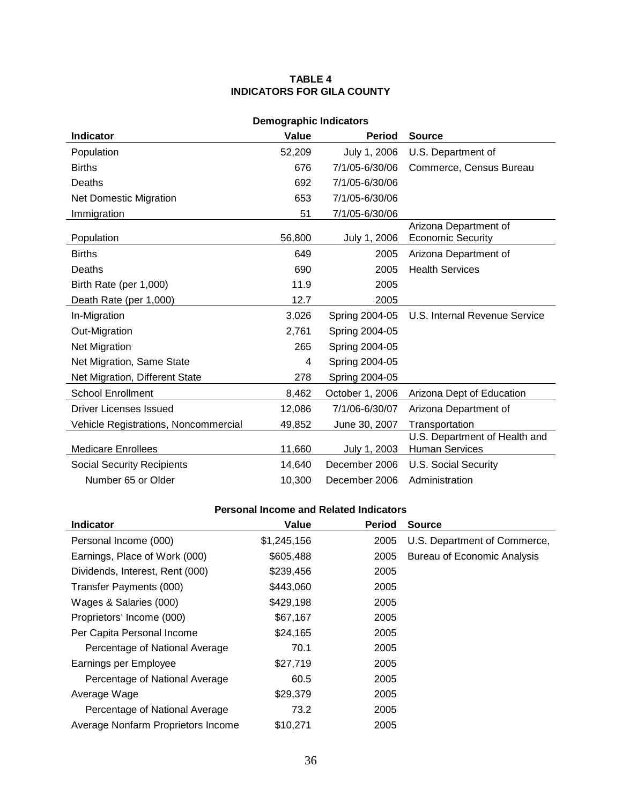### **TABLE 4 INDICATORS FOR GILA COUNTY**

| <b>Demographic Indicators</b>               |        |                 |                                                        |  |
|---------------------------------------------|--------|-----------------|--------------------------------------------------------|--|
| <b>Indicator</b>                            | Value  | <b>Period</b>   | <b>Source</b>                                          |  |
| Population                                  | 52,209 | July 1, 2006    | U.S. Department of                                     |  |
| <b>Births</b>                               | 676    | 7/1/05-6/30/06  | Commerce, Census Bureau                                |  |
| Deaths                                      | 692    | 7/1/05-6/30/06  |                                                        |  |
| <b>Net Domestic Migration</b>               | 653    | 7/1/05-6/30/06  |                                                        |  |
| Immigration                                 | 51     | 7/1/05-6/30/06  |                                                        |  |
| Population                                  | 56,800 | July 1, 2006    | Arizona Department of<br><b>Economic Security</b>      |  |
| <b>Births</b>                               | 649    | 2005            | Arizona Department of                                  |  |
| Deaths                                      | 690    | 2005            | <b>Health Services</b>                                 |  |
| Birth Rate (per 1,000)                      | 11.9   | 2005            |                                                        |  |
| Death Rate (per 1,000)                      | 12.7   | 2005            |                                                        |  |
| In-Migration                                | 3,026  | Spring 2004-05  | U.S. Internal Revenue Service                          |  |
| Out-Migration                               | 2,761  | Spring 2004-05  |                                                        |  |
| <b>Net Migration</b>                        | 265    | Spring 2004-05  |                                                        |  |
| Net Migration, Same State                   | 4      | Spring 2004-05  |                                                        |  |
| Net Migration, Different State              | 278    | Spring 2004-05  |                                                        |  |
| <b>School Enrollment</b>                    | 8,462  | October 1, 2006 | Arizona Dept of Education                              |  |
| <b>Driver Licenses Issued</b>               | 12,086 | 7/1/06-6/30/07  | Arizona Department of                                  |  |
| <b>Vehicle Registrations, Noncommercial</b> | 49,852 | June 30, 2007   | Transportation                                         |  |
| <b>Medicare Enrollees</b>                   | 11,660 | July 1, 2003    | U.S. Department of Health and<br><b>Human Services</b> |  |
| <b>Social Security Recipients</b>           | 14,640 | December 2006   | U.S. Social Security                                   |  |
| Number 65 or Older                          | 10,300 | December 2006   | Administration                                         |  |

| <b>Indicator</b>                   | Value       | <b>Period</b> | <b>Source</b>                      |
|------------------------------------|-------------|---------------|------------------------------------|
| Personal Income (000)              | \$1,245,156 | 2005          | U.S. Department of Commerce,       |
| Earnings, Place of Work (000)      | \$605,488   | 2005          | <b>Bureau of Economic Analysis</b> |
| Dividends, Interest, Rent (000)    | \$239,456   | 2005          |                                    |
| Transfer Payments (000)            | \$443,060   | 2005          |                                    |
| Wages & Salaries (000)             | \$429,198   | 2005          |                                    |
| Proprietors' Income (000)          | \$67,167    | 2005          |                                    |
| Per Capita Personal Income         | \$24,165    | 2005          |                                    |
| Percentage of National Average     | 70.1        | 2005          |                                    |
| Earnings per Employee              | \$27,719    | 2005          |                                    |
| Percentage of National Average     | 60.5        | 2005          |                                    |
| Average Wage                       | \$29,379    | 2005          |                                    |
| Percentage of National Average     | 73.2        | 2005          |                                    |
| Average Nonfarm Proprietors Income | \$10,271    | 2005          |                                    |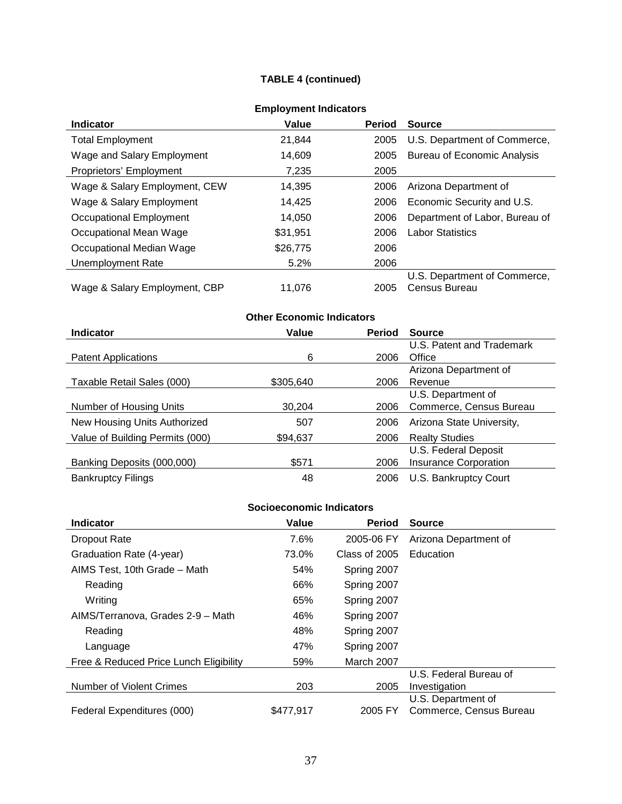## **TABLE 4 (continued)**

| <b>Indicator</b>              | Value    | <b>Period</b> | <b>Source</b>                  |
|-------------------------------|----------|---------------|--------------------------------|
| <b>Total Employment</b>       | 21,844   | 2005          | U.S. Department of Commerce,   |
| Wage and Salary Employment    | 14,609   | 2005          | Bureau of Economic Analysis    |
| Proprietors' Employment       | 7,235    | 2005          |                                |
| Wage & Salary Employment, CEW | 14,395   | 2006          | Arizona Department of          |
| Wage & Salary Employment      | 14,425   | 2006          | Economic Security and U.S.     |
| Occupational Employment       | 14,050   | 2006          | Department of Labor, Bureau of |
| Occupational Mean Wage        | \$31,951 | 2006          | <b>Labor Statistics</b>        |
| Occupational Median Wage      | \$26,775 | 2006          |                                |
| <b>Unemployment Rate</b>      | 5.2%     | 2006          |                                |
|                               |          |               | U.S. Department of Commerce,   |
| Wage & Salary Employment, CBP | 11.076   | 2005          | Census Bureau                  |

## **Employment Indicators**

# **Other Economic Indicators**

| <b>Indicator</b>                | Value     | <b>Period</b> | <b>Source</b>                |
|---------------------------------|-----------|---------------|------------------------------|
|                                 |           |               | U.S. Patent and Trademark    |
| <b>Patent Applications</b>      | 6         | 2006          | Office                       |
|                                 |           |               | Arizona Department of        |
| Taxable Retail Sales (000)      | \$305,640 | 2006          | Revenue                      |
|                                 |           |               | U.S. Department of           |
| Number of Housing Units         | 30.204    | 2006          | Commerce, Census Bureau      |
| New Housing Units Authorized    | 507       | 2006          | Arizona State University,    |
| Value of Building Permits (000) | \$94,637  | 2006          | <b>Realty Studies</b>        |
|                                 |           |               | U.S. Federal Deposit         |
| Banking Deposits (000,000)      | \$571     | 2006          | <b>Insurance Corporation</b> |
| <b>Bankruptcy Filings</b>       | 48        | 2006          | U.S. Bankruptcy Court        |

| <b>Indicator</b>                       | Value     | <b>Period</b> | <b>Source</b>           |
|----------------------------------------|-----------|---------------|-------------------------|
| <b>Dropout Rate</b>                    | 7.6%      | 2005-06 FY    | Arizona Department of   |
| Graduation Rate (4-year)               | 73.0%     | Class of 2005 | Education               |
| AIMS Test, 10th Grade - Math           | 54%       | Spring 2007   |                         |
| Reading                                | 66%       | Spring 2007   |                         |
| Writing                                | 65%       | Spring 2007   |                         |
| AIMS/Terranova, Grades 2-9 - Math      | 46%       | Spring 2007   |                         |
| Reading                                | 48%       | Spring 2007   |                         |
| Language                               | 47%       | Spring 2007   |                         |
| Free & Reduced Price Lunch Eligibility | 59%       | March 2007    |                         |
|                                        |           |               | U.S. Federal Bureau of  |
| Number of Violent Crimes               | 203       | 2005          | Investigation           |
|                                        |           |               | U.S. Department of      |
| Federal Expenditures (000)             | \$477,917 | 2005 FY       | Commerce, Census Bureau |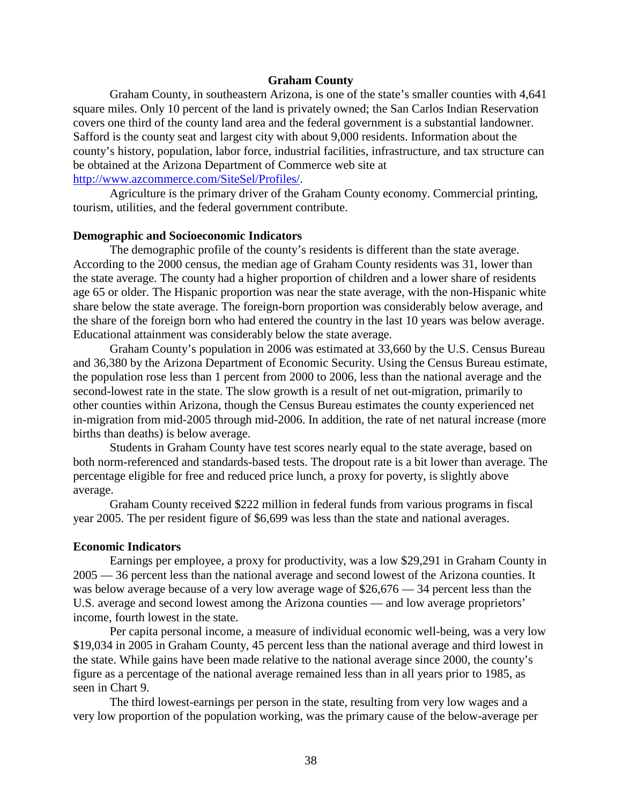### **Graham County**

Graham County, in southeastern Arizona, is one of the state's smaller counties with 4,641 square miles. Only 10 percent of the land is privately owned; the San Carlos Indian Reservation covers one third of the county land area and the federal government is a substantial landowner. Safford is the county seat and largest city with about 9,000 residents. Information about the county's history, population, labor force, industrial facilities, infrastructure, and tax structure can be obtained at the Arizona Department of Commerce web site at [http://www.azcommerce.com/SiteSel/Profiles/.](http://www.azcommerce.com/SiteSel/Profiles/)

Agriculture is the primary driver of the Graham County economy. Commercial printing, tourism, utilities, and the federal government contribute.

#### **Demographic and Socioeconomic Indicators**

The demographic profile of the county's residents is different than the state average. According to the 2000 census, the median age of Graham County residents was 31, lower than the state average. The county had a higher proportion of children and a lower share of residents age 65 or older. The Hispanic proportion was near the state average, with the non-Hispanic white share below the state average. The foreign-born proportion was considerably below average, and the share of the foreign born who had entered the country in the last 10 years was below average. Educational attainment was considerably below the state average.

Graham County's population in 2006 was estimated at 33,660 by the U.S. Census Bureau and 36,380 by the Arizona Department of Economic Security. Using the Census Bureau estimate, the population rose less than 1 percent from 2000 to 2006, less than the national average and the second-lowest rate in the state. The slow growth is a result of net out-migration, primarily to other counties within Arizona, though the Census Bureau estimates the county experienced net in-migration from mid-2005 through mid-2006. In addition, the rate of net natural increase (more births than deaths) is below average.

Students in Graham County have test scores nearly equal to the state average, based on both norm-referenced and standards-based tests. The dropout rate is a bit lower than average. The percentage eligible for free and reduced price lunch, a proxy for poverty, is slightly above average.

Graham County received \$222 million in federal funds from various programs in fiscal year 2005. The per resident figure of \$6,699 was less than the state and national averages.

#### **Economic Indicators**

Earnings per employee, a proxy for productivity, was a low \$29,291 in Graham County in 2005 — 36 percent less than the national average and second lowest of the Arizona counties. It was below average because of a very low average wage of \$26,676 — 34 percent less than the U.S. average and second lowest among the Arizona counties — and low average proprietors' income, fourth lowest in the state.

Per capita personal income, a measure of individual economic well-being, was a very low \$19,034 in 2005 in Graham County, 45 percent less than the national average and third lowest in the state. While gains have been made relative to the national average since 2000, the county's figure as a percentage of the national average remained less than in all years prior to 1985, as seen in Chart 9.

The third lowest-earnings per person in the state, resulting from very low wages and a very low proportion of the population working, was the primary cause of the below-average per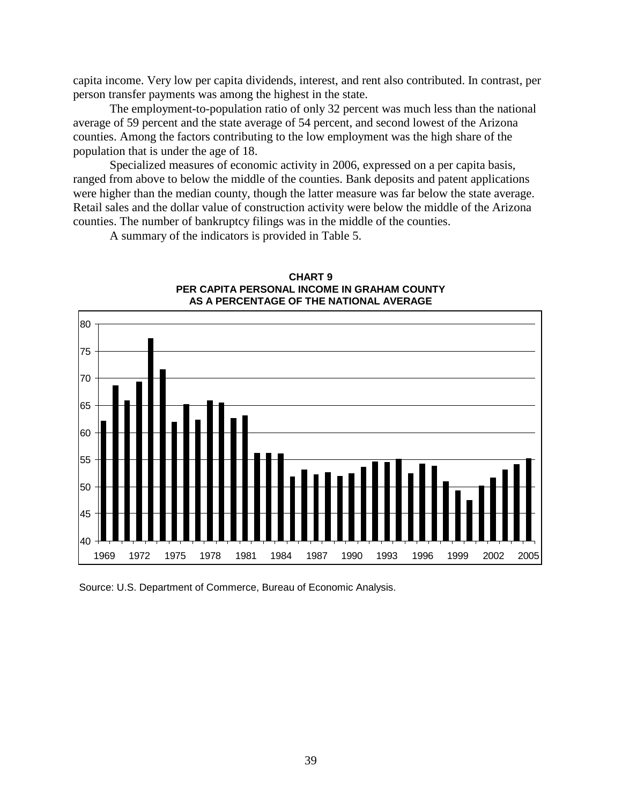capita income. Very low per capita dividends, interest, and rent also contributed. In contrast, per person transfer payments was among the highest in the state.

The employment-to-population ratio of only 32 percent was much less than the national average of 59 percent and the state average of 54 percent, and second lowest of the Arizona counties. Among the factors contributing to the low employment was the high share of the population that is under the age of 18.

Specialized measures of economic activity in 2006, expressed on a per capita basis, ranged from above to below the middle of the counties. Bank deposits and patent applications were higher than the median county, though the latter measure was far below the state average. Retail sales and the dollar value of construction activity were below the middle of the Arizona counties. The number of bankruptcy filings was in the middle of the counties.

A summary of the indicators is provided in Table 5.



**CHART 9 PER CAPITA PERSONAL INCOME IN GRAHAM COUNTY AS A PERCENTAGE OF THE NATIONAL AVERAGE**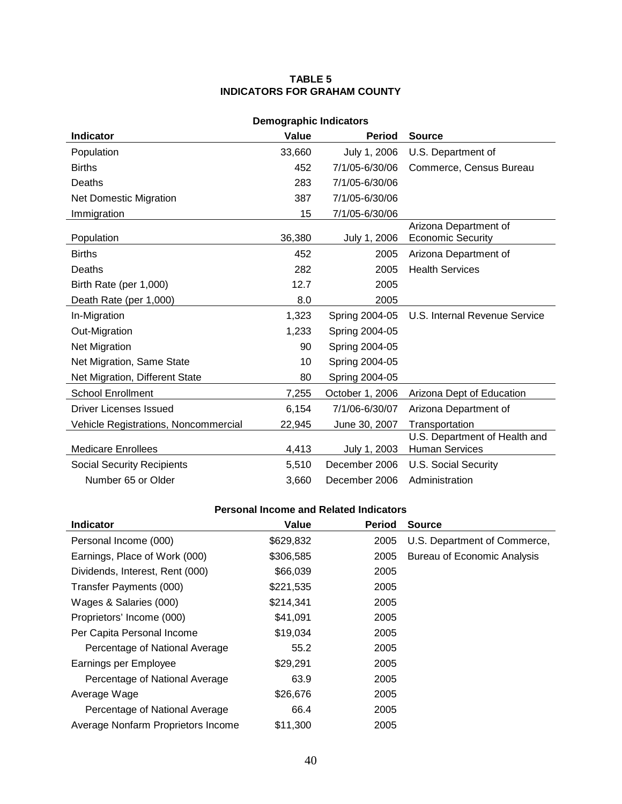### **TABLE 5 INDICATORS FOR GRAHAM COUNTY**

| <b>Demographic Indicators</b>        |        |                 |                                                        |  |
|--------------------------------------|--------|-----------------|--------------------------------------------------------|--|
| <b>Indicator</b>                     | Value  | <b>Period</b>   | <b>Source</b>                                          |  |
| Population                           | 33,660 | July 1, 2006    | U.S. Department of                                     |  |
| <b>Births</b>                        | 452    | 7/1/05-6/30/06  | Commerce, Census Bureau                                |  |
| Deaths                               | 283    | 7/1/05-6/30/06  |                                                        |  |
| <b>Net Domestic Migration</b>        | 387    | 7/1/05-6/30/06  |                                                        |  |
| Immigration                          | 15     | 7/1/05-6/30/06  |                                                        |  |
| Population                           | 36,380 | July 1, 2006    | Arizona Department of<br><b>Economic Security</b>      |  |
| <b>Births</b>                        | 452    | 2005            | Arizona Department of                                  |  |
| Deaths                               | 282    | 2005            | <b>Health Services</b>                                 |  |
| Birth Rate (per 1,000)               | 12.7   | 2005            |                                                        |  |
| Death Rate (per 1,000)               | 8.0    | 2005            |                                                        |  |
| In-Migration                         | 1,323  | Spring 2004-05  | U.S. Internal Revenue Service                          |  |
| Out-Migration                        | 1,233  | Spring 2004-05  |                                                        |  |
| Net Migration                        | 90     | Spring 2004-05  |                                                        |  |
| Net Migration, Same State            | 10     | Spring 2004-05  |                                                        |  |
| Net Migration, Different State       | 80     | Spring 2004-05  |                                                        |  |
| <b>School Enrollment</b>             | 7,255  | October 1, 2006 | Arizona Dept of Education                              |  |
| Driver Licenses Issued               | 6,154  | 7/1/06-6/30/07  | Arizona Department of                                  |  |
| Vehicle Registrations, Noncommercial | 22,945 | June 30, 2007   | Transportation                                         |  |
| <b>Medicare Enrollees</b>            | 4,413  | July 1, 2003    | U.S. Department of Health and<br><b>Human Services</b> |  |
| <b>Social Security Recipients</b>    | 5,510  | December 2006   | <b>U.S. Social Security</b>                            |  |
| Number 65 or Older                   | 3,660  | December 2006   | Administration                                         |  |

| <b>Indicator</b>                   | Value     | <b>Period</b> | <b>Source</b>                      |
|------------------------------------|-----------|---------------|------------------------------------|
| Personal Income (000)              | \$629,832 | 2005          | U.S. Department of Commerce,       |
| Earnings, Place of Work (000)      | \$306,585 | 2005          | <b>Bureau of Economic Analysis</b> |
| Dividends, Interest, Rent (000)    | \$66,039  | 2005          |                                    |
| Transfer Payments (000)            | \$221,535 | 2005          |                                    |
| Wages & Salaries (000)             | \$214,341 | 2005          |                                    |
| Proprietors' Income (000)          | \$41,091  | 2005          |                                    |
| Per Capita Personal Income         | \$19,034  | 2005          |                                    |
| Percentage of National Average     | 55.2      | 2005          |                                    |
| Earnings per Employee              | \$29,291  | 2005          |                                    |
| Percentage of National Average     | 63.9      | 2005          |                                    |
| Average Wage                       | \$26,676  | 2005          |                                    |
| Percentage of National Average     | 66.4      | 2005          |                                    |
| Average Nonfarm Proprietors Income | \$11,300  | 2005          |                                    |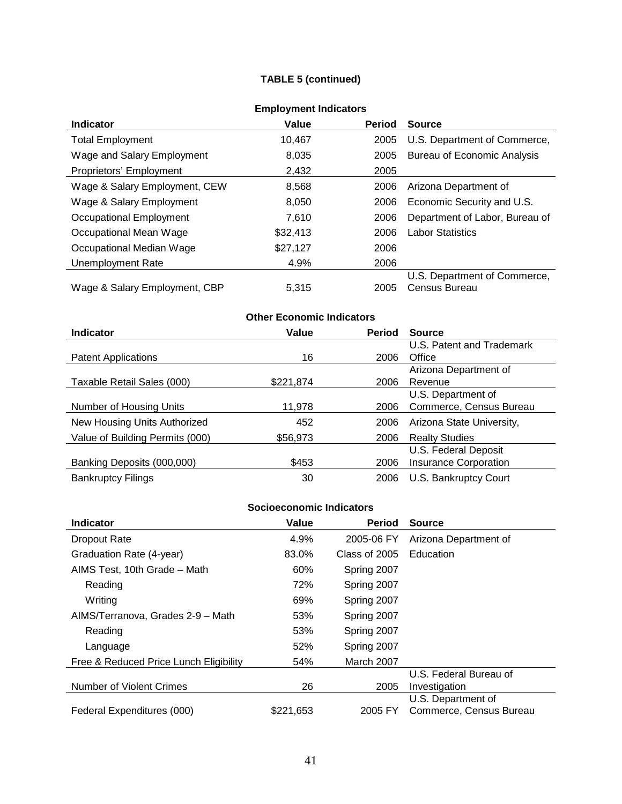## **TABLE 5 (continued)**

| <b>Indicator</b>              | Value    | <b>Period</b> | <b>Source</b>                  |
|-------------------------------|----------|---------------|--------------------------------|
| <b>Total Employment</b>       | 10,467   | 2005          | U.S. Department of Commerce,   |
| Wage and Salary Employment    | 8,035    | 2005          | Bureau of Economic Analysis    |
| Proprietors' Employment       | 2,432    | 2005          |                                |
| Wage & Salary Employment, CEW | 8,568    | 2006          | Arizona Department of          |
| Wage & Salary Employment      | 8,050    | 2006          | Economic Security and U.S.     |
| Occupational Employment       | 7,610    | 2006          | Department of Labor, Bureau of |
| Occupational Mean Wage        | \$32,413 | 2006          | <b>Labor Statistics</b>        |
| Occupational Median Wage      | \$27,127 | 2006          |                                |
| Unemployment Rate             | 4.9%     | 2006          |                                |
|                               |          |               | U.S. Department of Commerce,   |
| Wage & Salary Employment, CBP | 5.315    | 2005          | Census Bureau                  |

## **Employment Indicators**

# **Other Economic Indicators**

| <b>Indicator</b>                | Value     | <b>Period</b> | <b>Source</b>                |
|---------------------------------|-----------|---------------|------------------------------|
|                                 |           |               | U.S. Patent and Trademark    |
| <b>Patent Applications</b>      | 16        | 2006          | Office                       |
|                                 |           |               | Arizona Department of        |
| Taxable Retail Sales (000)      | \$221,874 | 2006          | Revenue                      |
|                                 |           |               | U.S. Department of           |
| Number of Housing Units         | 11,978    | 2006          | Commerce, Census Bureau      |
| New Housing Units Authorized    | 452       | 2006          | Arizona State University,    |
| Value of Building Permits (000) | \$56,973  | 2006          | <b>Realty Studies</b>        |
|                                 |           |               | U.S. Federal Deposit         |
| Banking Deposits (000,000)      | \$453     | 2006          | <b>Insurance Corporation</b> |
| <b>Bankruptcy Filings</b>       | 30        | 2006          | U.S. Bankruptcy Court        |

| <b>Indicator</b>                       | Value     | <b>Period</b> | <b>Source</b>           |
|----------------------------------------|-----------|---------------|-------------------------|
| <b>Dropout Rate</b>                    | 4.9%      | 2005-06 FY    | Arizona Department of   |
| Graduation Rate (4-year)               | 83.0%     | Class of 2005 | Education               |
| AIMS Test, 10th Grade - Math           | 60%       | Spring 2007   |                         |
| Reading                                | 72%       | Spring 2007   |                         |
| Writing                                | 69%       | Spring 2007   |                         |
| AIMS/Terranova, Grades 2-9 - Math      | 53%       | Spring 2007   |                         |
| Reading                                | 53%       | Spring 2007   |                         |
| Language                               | 52%       | Spring 2007   |                         |
| Free & Reduced Price Lunch Eligibility | 54%       | March 2007    |                         |
|                                        |           |               | U.S. Federal Bureau of  |
| Number of Violent Crimes               | 26        | 2005          | Investigation           |
|                                        |           |               | U.S. Department of      |
| Federal Expenditures (000)             | \$221,653 | 2005 FY       | Commerce, Census Bureau |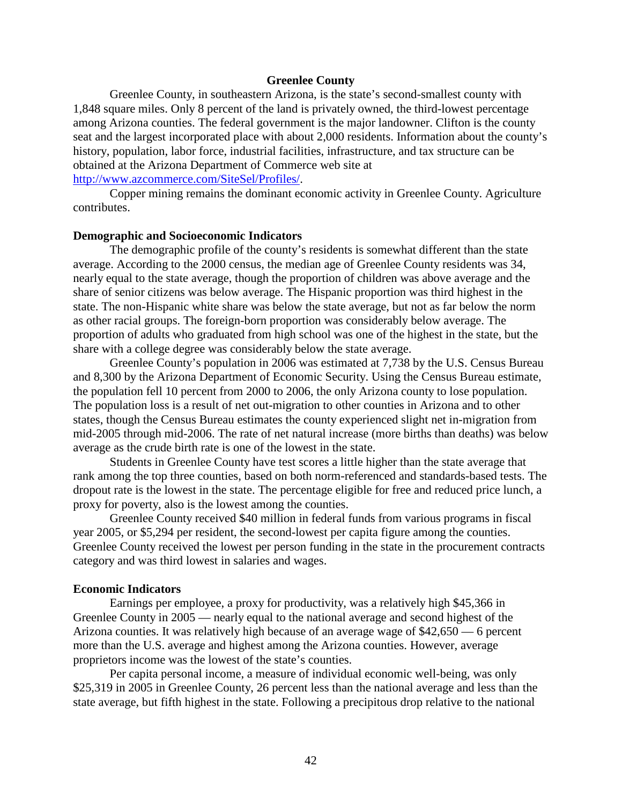### **Greenlee County**

Greenlee County, in southeastern Arizona, is the state's second-smallest county with 1,848 square miles. Only 8 percent of the land is privately owned, the third-lowest percentage among Arizona counties. The federal government is the major landowner. Clifton is the county seat and the largest incorporated place with about 2,000 residents. Information about the county's history, population, labor force, industrial facilities, infrastructure, and tax structure can be obtained at the Arizona Department of Commerce web site at [http://www.azcommerce.com/SiteSel/Profiles/.](http://www.azcommerce.com/SiteSel/Profiles/)

Copper mining remains the dominant economic activity in Greenlee County. Agriculture contributes.

#### **Demographic and Socioeconomic Indicators**

The demographic profile of the county's residents is somewhat different than the state average. According to the 2000 census, the median age of Greenlee County residents was 34, nearly equal to the state average, though the proportion of children was above average and the share of senior citizens was below average. The Hispanic proportion was third highest in the state. The non-Hispanic white share was below the state average, but not as far below the norm as other racial groups. The foreign-born proportion was considerably below average. The proportion of adults who graduated from high school was one of the highest in the state, but the share with a college degree was considerably below the state average.

Greenlee County's population in 2006 was estimated at 7,738 by the U.S. Census Bureau and 8,300 by the Arizona Department of Economic Security. Using the Census Bureau estimate, the population fell 10 percent from 2000 to 2006, the only Arizona county to lose population. The population loss is a result of net out-migration to other counties in Arizona and to other states, though the Census Bureau estimates the county experienced slight net in-migration from mid-2005 through mid-2006. The rate of net natural increase (more births than deaths) was below average as the crude birth rate is one of the lowest in the state.

Students in Greenlee County have test scores a little higher than the state average that rank among the top three counties, based on both norm-referenced and standards-based tests. The dropout rate is the lowest in the state. The percentage eligible for free and reduced price lunch, a proxy for poverty, also is the lowest among the counties.

Greenlee County received \$40 million in federal funds from various programs in fiscal year 2005, or \$5,294 per resident, the second-lowest per capita figure among the counties. Greenlee County received the lowest per person funding in the state in the procurement contracts category and was third lowest in salaries and wages.

#### **Economic Indicators**

Earnings per employee, a proxy for productivity, was a relatively high \$45,366 in Greenlee County in 2005 — nearly equal to the national average and second highest of the Arizona counties. It was relatively high because of an average wage of \$42,650 — 6 percent more than the U.S. average and highest among the Arizona counties. However, average proprietors income was the lowest of the state's counties.

Per capita personal income, a measure of individual economic well-being, was only \$25,319 in 2005 in Greenlee County, 26 percent less than the national average and less than the state average, but fifth highest in the state. Following a precipitous drop relative to the national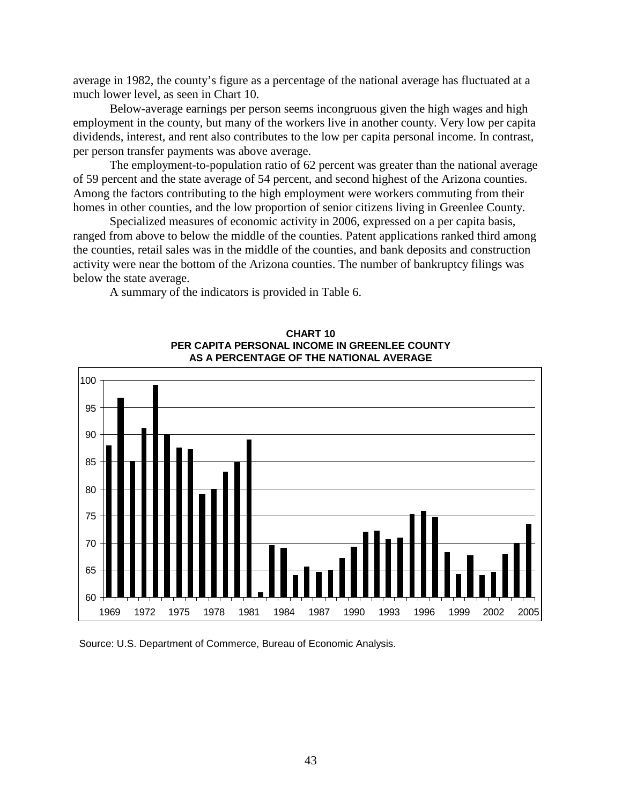average in 1982, the county's figure as a percentage of the national average has fluctuated at a much lower level, as seen in Chart 10.

Below-average earnings per person seems incongruous given the high wages and high employment in the county, but many of the workers live in another county. Very low per capita dividends, interest, and rent also contributes to the low per capita personal income. In contrast, per person transfer payments was above average.

The employment-to-population ratio of 62 percent was greater than the national average of 59 percent and the state average of 54 percent, and second highest of the Arizona counties. Among the factors contributing to the high employment were workers commuting from their homes in other counties, and the low proportion of senior citizens living in Greenlee County.

Specialized measures of economic activity in 2006, expressed on a per capita basis, ranged from above to below the middle of the counties. Patent applications ranked third among the counties, retail sales was in the middle of the counties, and bank deposits and construction activity were near the bottom of the Arizona counties. The number of bankruptcy filings was below the state average.

A summary of the indicators is provided in Table 6.



**CHART 10 PER CAPITA PERSONAL INCOME IN GREENLEE COUNTY AS A PERCENTAGE OF THE NATIONAL AVERAGE**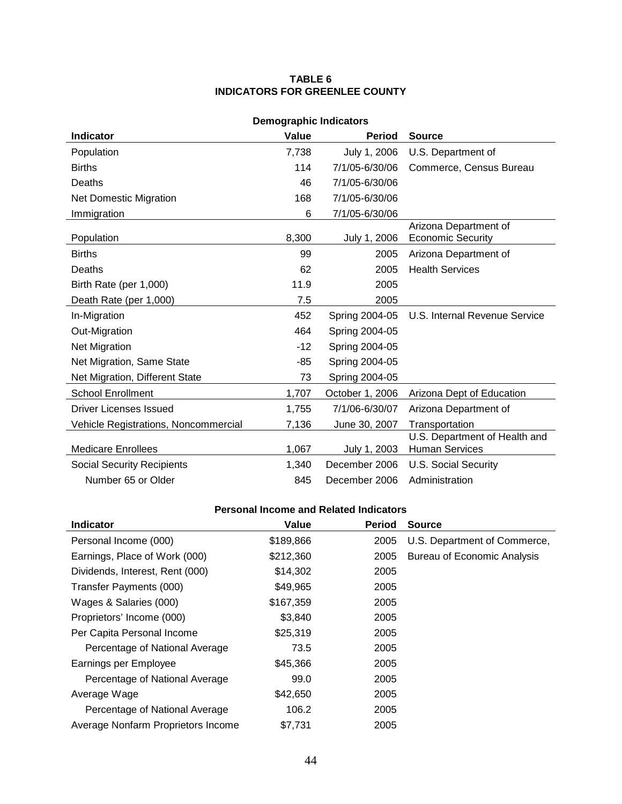### **TABLE 6 INDICATORS FOR GREENLEE COUNTY**

| <b>Demographic Indicators</b>        |       |                 |                                                        |  |  |
|--------------------------------------|-------|-----------------|--------------------------------------------------------|--|--|
| <b>Indicator</b>                     | Value | <b>Period</b>   | <b>Source</b>                                          |  |  |
| Population                           | 7,738 | July 1, 2006    | U.S. Department of                                     |  |  |
| <b>Births</b>                        | 114   | 7/1/05-6/30/06  | Commerce, Census Bureau                                |  |  |
| Deaths                               | 46    | 7/1/05-6/30/06  |                                                        |  |  |
| <b>Net Domestic Migration</b>        | 168   | 7/1/05-6/30/06  |                                                        |  |  |
| Immigration                          | 6     | 7/1/05-6/30/06  |                                                        |  |  |
| Population                           | 8,300 | July 1, 2006    | Arizona Department of<br><b>Economic Security</b>      |  |  |
| <b>Births</b>                        | 99    | 2005            | Arizona Department of                                  |  |  |
| Deaths                               | 62    | 2005            | <b>Health Services</b>                                 |  |  |
| Birth Rate (per 1,000)               | 11.9  | 2005            |                                                        |  |  |
| Death Rate (per 1,000)               | 7.5   | 2005            |                                                        |  |  |
| In-Migration                         | 452   | Spring 2004-05  | U.S. Internal Revenue Service                          |  |  |
| Out-Migration                        | 464   | Spring 2004-05  |                                                        |  |  |
| <b>Net Migration</b>                 | $-12$ | Spring 2004-05  |                                                        |  |  |
| Net Migration, Same State            | -85   | Spring 2004-05  |                                                        |  |  |
| Net Migration, Different State       | 73    | Spring 2004-05  |                                                        |  |  |
| <b>School Enrollment</b>             | 1,707 | October 1, 2006 | Arizona Dept of Education                              |  |  |
| Driver Licenses Issued               | 1,755 | 7/1/06-6/30/07  | Arizona Department of                                  |  |  |
| Vehicle Registrations, Noncommercial | 7,136 | June 30, 2007   | Transportation                                         |  |  |
| <b>Medicare Enrollees</b>            | 1,067 | July 1, 2003    | U.S. Department of Health and<br><b>Human Services</b> |  |  |
| <b>Social Security Recipients</b>    | 1,340 | December 2006   | <b>U.S. Social Security</b>                            |  |  |
| Number 65 or Older                   | 845   | December 2006   | Administration                                         |  |  |

| <b>Indicator</b>                   | Value     | <b>Period</b> | <b>Source</b>                |
|------------------------------------|-----------|---------------|------------------------------|
| Personal Income (000)              | \$189,866 | 2005          | U.S. Department of Commerce, |
| Earnings, Place of Work (000)      | \$212,360 | 2005          | Bureau of Economic Analysis  |
| Dividends, Interest, Rent (000)    | \$14,302  | 2005          |                              |
| Transfer Payments (000)            | \$49,965  | 2005          |                              |
| Wages & Salaries (000)             | \$167,359 | 2005          |                              |
| Proprietors' Income (000)          | \$3,840   | 2005          |                              |
| Per Capita Personal Income         | \$25,319  | 2005          |                              |
| Percentage of National Average     | 73.5      | 2005          |                              |
| Earnings per Employee              | \$45,366  | 2005          |                              |
| Percentage of National Average     | 99.0      | 2005          |                              |
| Average Wage                       | \$42,650  | 2005          |                              |
| Percentage of National Average     | 106.2     | 2005          |                              |
| Average Nonfarm Proprietors Income | \$7.731   | 2005          |                              |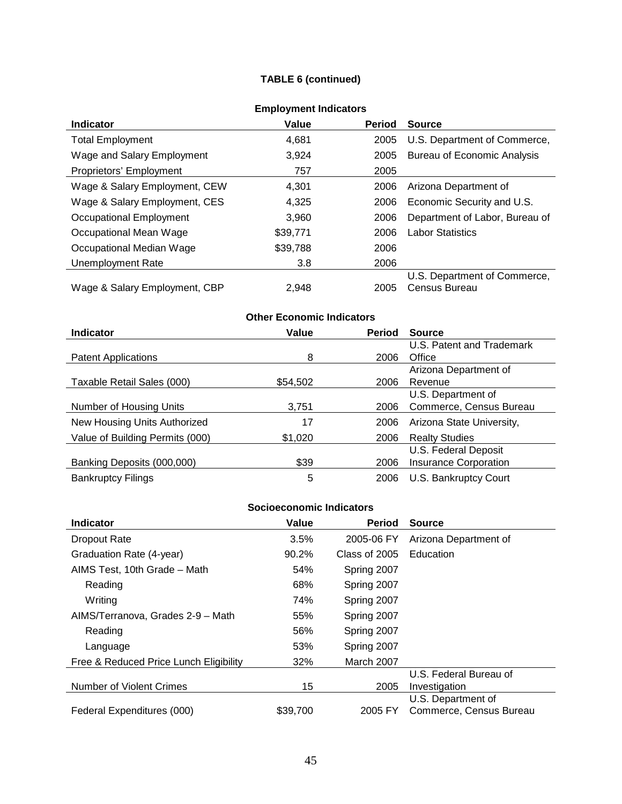## **TABLE 6 (continued)**

| =…p.v ,…v… …w.va.v.v          |          |               |                                    |  |
|-------------------------------|----------|---------------|------------------------------------|--|
| <b>Indicator</b>              | Value    | <b>Period</b> | <b>Source</b>                      |  |
| <b>Total Employment</b>       | 4,681    | 2005          | U.S. Department of Commerce,       |  |
| Wage and Salary Employment    | 3,924    | 2005          | <b>Bureau of Economic Analysis</b> |  |
| Proprietors' Employment       | 757      | 2005          |                                    |  |
| Wage & Salary Employment, CEW | 4.301    | 2006          | Arizona Department of              |  |
| Wage & Salary Employment, CES | 4,325    | 2006          | Economic Security and U.S.         |  |
| Occupational Employment       | 3.960    | 2006          | Department of Labor, Bureau of     |  |
| Occupational Mean Wage        | \$39,771 | 2006          | <b>Labor Statistics</b>            |  |
| Occupational Median Wage      | \$39,788 | 2006          |                                    |  |
| Unemployment Rate             | 3.8      | 2006          |                                    |  |
|                               |          |               | U.S. Department of Commerce,       |  |
| Wage & Salary Employment, CBP | 2.948    | 2005          | Census Bureau                      |  |

## **Employment Indicators**

# **Other Economic Indicators**

| <b>Indicator</b>                | Value    | <b>Period</b> | <b>Source</b>                |
|---------------------------------|----------|---------------|------------------------------|
|                                 |          |               | U.S. Patent and Trademark    |
| <b>Patent Applications</b>      | 8        | 2006          | Office                       |
|                                 |          |               | Arizona Department of        |
| Taxable Retail Sales (000)      | \$54,502 | 2006          | Revenue                      |
|                                 |          |               | U.S. Department of           |
| Number of Housing Units         | 3,751    | 2006          | Commerce, Census Bureau      |
| New Housing Units Authorized    | 17       | 2006          | Arizona State University,    |
| Value of Building Permits (000) | \$1,020  | 2006          | <b>Realty Studies</b>        |
|                                 |          |               | U.S. Federal Deposit         |
| Banking Deposits (000,000)      | \$39     | 2006          | <b>Insurance Corporation</b> |
| <b>Bankruptcy Filings</b>       | 5        | 2006          | U.S. Bankruptcy Court        |

| <b>Indicator</b>                       | Value    | <b>Period</b> | <b>Source</b>           |
|----------------------------------------|----------|---------------|-------------------------|
| <b>Dropout Rate</b>                    | 3.5%     | 2005-06 FY    | Arizona Department of   |
| Graduation Rate (4-year)               | 90.2%    | Class of 2005 | Education               |
| AIMS Test, 10th Grade - Math           | 54%      | Spring 2007   |                         |
| Reading                                | 68%      | Spring 2007   |                         |
| Writing                                | 74%      | Spring 2007   |                         |
| AIMS/Terranova, Grades 2-9 - Math      | 55%      | Spring 2007   |                         |
| Reading                                | 56%      | Spring 2007   |                         |
| Language                               | 53%      | Spring 2007   |                         |
| Free & Reduced Price Lunch Eligibility | 32%      | March 2007    |                         |
|                                        |          |               | U.S. Federal Bureau of  |
| Number of Violent Crimes               | 15       | 2005          | Investigation           |
|                                        |          |               | U.S. Department of      |
| Federal Expenditures (000)             | \$39,700 | 2005 FY       | Commerce, Census Bureau |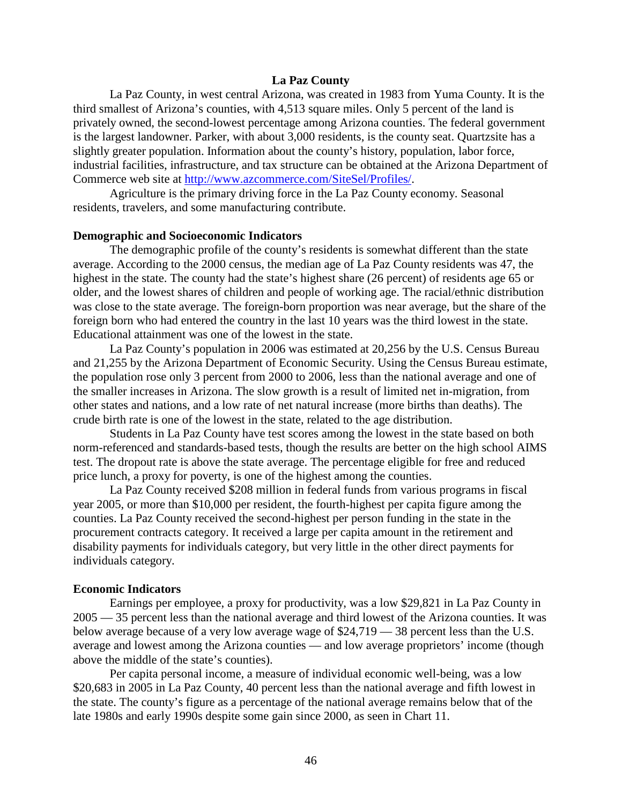### **La Paz County**

La Paz County, in west central Arizona, was created in 1983 from Yuma County. It is the third smallest of Arizona's counties, with 4,513 square miles. Only 5 percent of the land is privately owned, the second-lowest percentage among Arizona counties. The federal government is the largest landowner. Parker, with about 3,000 residents, is the county seat. Quartzsite has a slightly greater population. Information about the county's history, population, labor force, industrial facilities, infrastructure, and tax structure can be obtained at the Arizona Department of Commerce web site at [http://www.azcommerce.com/SiteSel/Profiles/.](http://www.azcommerce.com/SiteSel/Profiles/)

Agriculture is the primary driving force in the La Paz County economy. Seasonal residents, travelers, and some manufacturing contribute.

#### **Demographic and Socioeconomic Indicators**

The demographic profile of the county's residents is somewhat different than the state average. According to the 2000 census, the median age of La Paz County residents was 47, the highest in the state. The county had the state's highest share (26 percent) of residents age 65 or older, and the lowest shares of children and people of working age. The racial/ethnic distribution was close to the state average. The foreign-born proportion was near average, but the share of the foreign born who had entered the country in the last 10 years was the third lowest in the state. Educational attainment was one of the lowest in the state.

La Paz County's population in 2006 was estimated at 20,256 by the U.S. Census Bureau and 21,255 by the Arizona Department of Economic Security. Using the Census Bureau estimate, the population rose only 3 percent from 2000 to 2006, less than the national average and one of the smaller increases in Arizona. The slow growth is a result of limited net in-migration, from other states and nations, and a low rate of net natural increase (more births than deaths). The crude birth rate is one of the lowest in the state, related to the age distribution.

Students in La Paz County have test scores among the lowest in the state based on both norm-referenced and standards-based tests, though the results are better on the high school AIMS test. The dropout rate is above the state average. The percentage eligible for free and reduced price lunch, a proxy for poverty, is one of the highest among the counties.

La Paz County received \$208 million in federal funds from various programs in fiscal year 2005, or more than \$10,000 per resident, the fourth-highest per capita figure among the counties. La Paz County received the second-highest per person funding in the state in the procurement contracts category. It received a large per capita amount in the retirement and disability payments for individuals category, but very little in the other direct payments for individuals category.

#### **Economic Indicators**

Earnings per employee, a proxy for productivity, was a low \$29,821 in La Paz County in 2005 — 35 percent less than the national average and third lowest of the Arizona counties. It was below average because of a very low average wage of \$24,719 — 38 percent less than the U.S. average and lowest among the Arizona counties — and low average proprietors' income (though above the middle of the state's counties).

Per capita personal income, a measure of individual economic well-being, was a low \$20,683 in 2005 in La Paz County, 40 percent less than the national average and fifth lowest in the state. The county's figure as a percentage of the national average remains below that of the late 1980s and early 1990s despite some gain since 2000, as seen in Chart 11.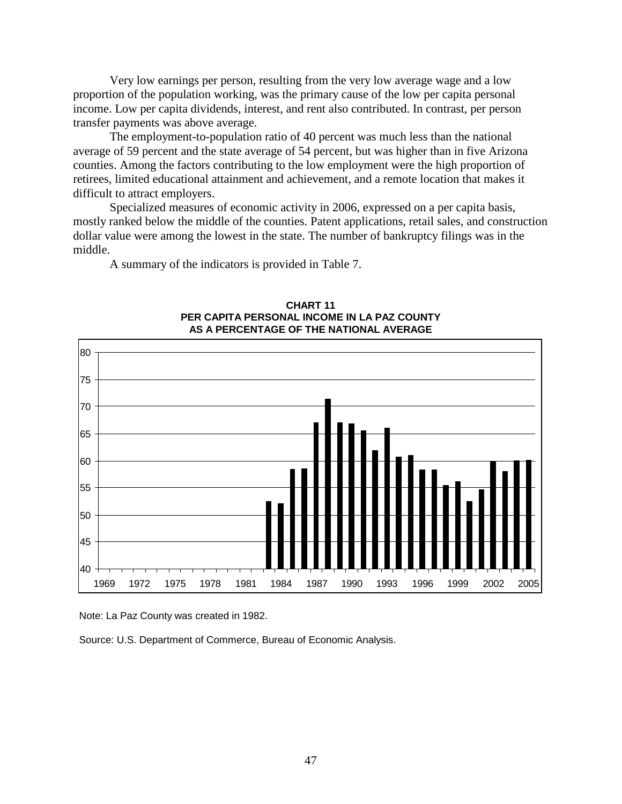Very low earnings per person, resulting from the very low average wage and a low proportion of the population working, was the primary cause of the low per capita personal income. Low per capita dividends, interest, and rent also contributed. In contrast, per person transfer payments was above average.

The employment-to-population ratio of 40 percent was much less than the national average of 59 percent and the state average of 54 percent, but was higher than in five Arizona counties. Among the factors contributing to the low employment were the high proportion of retirees, limited educational attainment and achievement, and a remote location that makes it difficult to attract employers.

Specialized measures of economic activity in 2006, expressed on a per capita basis, mostly ranked below the middle of the counties. Patent applications, retail sales, and construction dollar value were among the lowest in the state. The number of bankruptcy filings was in the middle.

A summary of the indicators is provided in Table 7.



**CHART 11 PER CAPITA PERSONAL INCOME IN LA PAZ COUNTY AS A PERCENTAGE OF THE NATIONAL AVERAGE**

Note: La Paz County was created in 1982.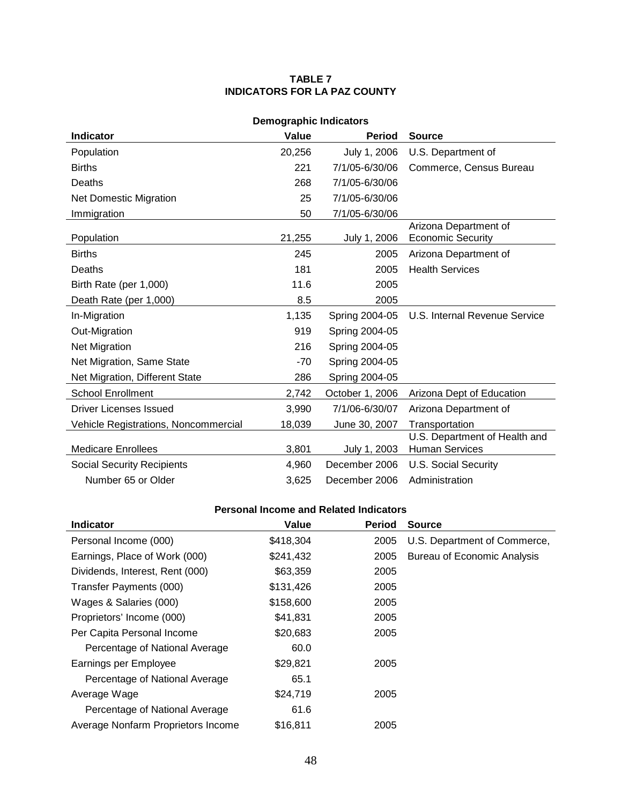#### **TABLE 7 INDICATORS FOR LA PAZ COUNTY**

| <b>Demographic Indicators</b>        |        |                 |                                                        |  |  |
|--------------------------------------|--------|-----------------|--------------------------------------------------------|--|--|
| <b>Indicator</b>                     | Value  | <b>Period</b>   | <b>Source</b>                                          |  |  |
| Population                           | 20,256 | July 1, 2006    | U.S. Department of                                     |  |  |
| <b>Births</b>                        | 221    | 7/1/05-6/30/06  | Commerce, Census Bureau                                |  |  |
| Deaths                               | 268    | 7/1/05-6/30/06  |                                                        |  |  |
| <b>Net Domestic Migration</b>        | 25     | 7/1/05-6/30/06  |                                                        |  |  |
| Immigration                          | 50     | 7/1/05-6/30/06  |                                                        |  |  |
| Population                           | 21,255 | July 1, 2006    | Arizona Department of<br><b>Economic Security</b>      |  |  |
| <b>Births</b>                        | 245    | 2005            | Arizona Department of                                  |  |  |
| Deaths                               | 181    | 2005            | <b>Health Services</b>                                 |  |  |
| Birth Rate (per 1,000)               | 11.6   | 2005            |                                                        |  |  |
| Death Rate (per 1,000)               | 8.5    | 2005            |                                                        |  |  |
| In-Migration                         | 1,135  | Spring 2004-05  | U.S. Internal Revenue Service                          |  |  |
| Out-Migration                        | 919    | Spring 2004-05  |                                                        |  |  |
| <b>Net Migration</b>                 | 216    | Spring 2004-05  |                                                        |  |  |
| Net Migration, Same State            | $-70$  | Spring 2004-05  |                                                        |  |  |
| Net Migration, Different State       | 286    | Spring 2004-05  |                                                        |  |  |
| <b>School Enrollment</b>             | 2,742  | October 1, 2006 | Arizona Dept of Education                              |  |  |
| Driver Licenses Issued               | 3,990  | 7/1/06-6/30/07  | Arizona Department of                                  |  |  |
| Vehicle Registrations, Noncommercial | 18,039 | June 30, 2007   | Transportation                                         |  |  |
| <b>Medicare Enrollees</b>            | 3,801  | July 1, 2003    | U.S. Department of Health and<br><b>Human Services</b> |  |  |
| <b>Social Security Recipients</b>    | 4,960  | December 2006   | <b>U.S. Social Security</b>                            |  |  |
| Number 65 or Older                   | 3,625  | December 2006   | Administration                                         |  |  |

| <b>Indicator</b>                   | Value     | <b>Period</b> | <b>Source</b>                      |
|------------------------------------|-----------|---------------|------------------------------------|
| Personal Income (000)              | \$418,304 | 2005          | U.S. Department of Commerce,       |
| Earnings, Place of Work (000)      | \$241,432 | 2005          | <b>Bureau of Economic Analysis</b> |
| Dividends, Interest, Rent (000)    | \$63,359  | 2005          |                                    |
| Transfer Payments (000)            | \$131,426 | 2005          |                                    |
| Wages & Salaries (000)             | \$158,600 | 2005          |                                    |
| Proprietors' Income (000)          | \$41,831  | 2005          |                                    |
| Per Capita Personal Income         | \$20,683  | 2005          |                                    |
| Percentage of National Average     | 60.0      |               |                                    |
| Earnings per Employee              | \$29,821  | 2005          |                                    |
| Percentage of National Average     | 65.1      |               |                                    |
| Average Wage                       | \$24,719  | 2005          |                                    |
| Percentage of National Average     | 61.6      |               |                                    |
| Average Nonfarm Proprietors Income | \$16,811  | 2005          |                                    |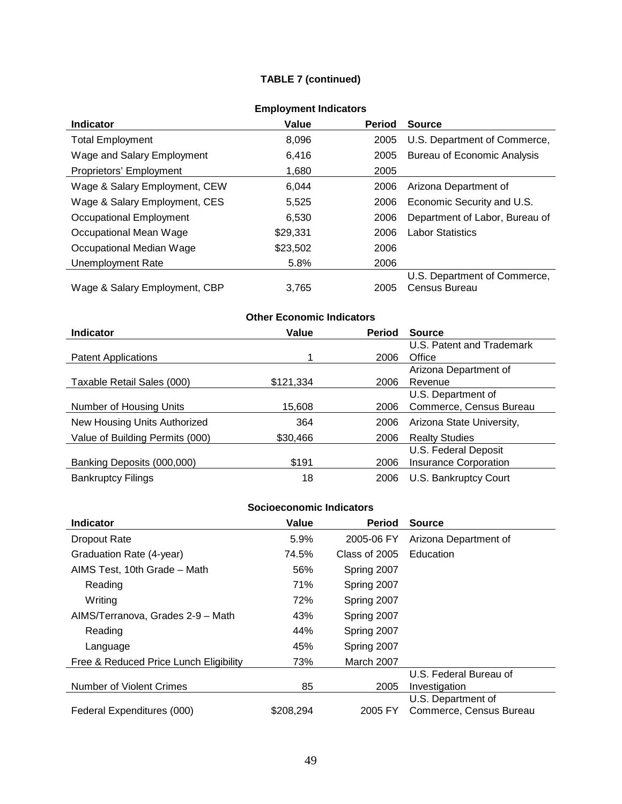## **TABLE 7 (continued)**

|                               | =…p.v ,…v… …w.va.v.v |               |                                    |
|-------------------------------|----------------------|---------------|------------------------------------|
| <b>Indicator</b>              | Value                | <b>Period</b> | <b>Source</b>                      |
| <b>Total Employment</b>       | 8,096                | 2005          | U.S. Department of Commerce,       |
| Wage and Salary Employment    | 6,416                | 2005          | <b>Bureau of Economic Analysis</b> |
| Proprietors' Employment       | 1,680                | 2005          |                                    |
| Wage & Salary Employment, CEW | 6.044                | 2006          | Arizona Department of              |
| Wage & Salary Employment, CES | 5,525                | 2006          | Economic Security and U.S.         |
| Occupational Employment       | 6,530                | 2006          | Department of Labor, Bureau of     |
| Occupational Mean Wage        | \$29,331             | 2006          | <b>Labor Statistics</b>            |
| Occupational Median Wage      | \$23,502             | 2006          |                                    |
| Unemployment Rate             | 5.8%                 | 2006          |                                    |
|                               |                      |               | U.S. Department of Commerce,       |
| Wage & Salary Employment, CBP | 3.765                | 2005          | Census Bureau                      |

## **Employment Indicators**

# **Other Economic Indicators**

| <b>Indicator</b>                | Value     | <b>Period</b> | <b>Source</b>                |
|---------------------------------|-----------|---------------|------------------------------|
|                                 |           |               | U.S. Patent and Trademark    |
| <b>Patent Applications</b>      |           | 2006          | Office                       |
|                                 |           |               | Arizona Department of        |
| Taxable Retail Sales (000)      | \$121,334 | 2006          | Revenue                      |
|                                 |           |               | U.S. Department of           |
| Number of Housing Units         | 15,608    | 2006          | Commerce, Census Bureau      |
| New Housing Units Authorized    | 364       | 2006          | Arizona State University,    |
| Value of Building Permits (000) | \$30,466  | 2006          | <b>Realty Studies</b>        |
|                                 |           |               | U.S. Federal Deposit         |
| Banking Deposits (000,000)      | \$191     | 2006          | <b>Insurance Corporation</b> |
| <b>Bankruptcy Filings</b>       | 18        | 2006          | U.S. Bankruptcy Court        |

| <b>Indicator</b>                       | Value     | <b>Period</b> | <b>Source</b>           |
|----------------------------------------|-----------|---------------|-------------------------|
| <b>Dropout Rate</b>                    | 5.9%      | 2005-06 FY    | Arizona Department of   |
| Graduation Rate (4-year)               | 74.5%     | Class of 2005 | Education               |
| AIMS Test, 10th Grade - Math           | 56%       | Spring 2007   |                         |
| Reading                                | 71%       | Spring 2007   |                         |
| Writing                                | 72%       | Spring 2007   |                         |
| AIMS/Terranova, Grades 2-9 - Math      | 43%       | Spring 2007   |                         |
| Reading                                | 44%       | Spring 2007   |                         |
| Language                               | 45%       | Spring 2007   |                         |
| Free & Reduced Price Lunch Eligibility | 73%       | March 2007    |                         |
|                                        |           |               | U.S. Federal Bureau of  |
| Number of Violent Crimes               | 85        | 2005          | Investigation           |
|                                        |           |               | U.S. Department of      |
| Federal Expenditures (000)             | \$208,294 | 2005 FY       | Commerce, Census Bureau |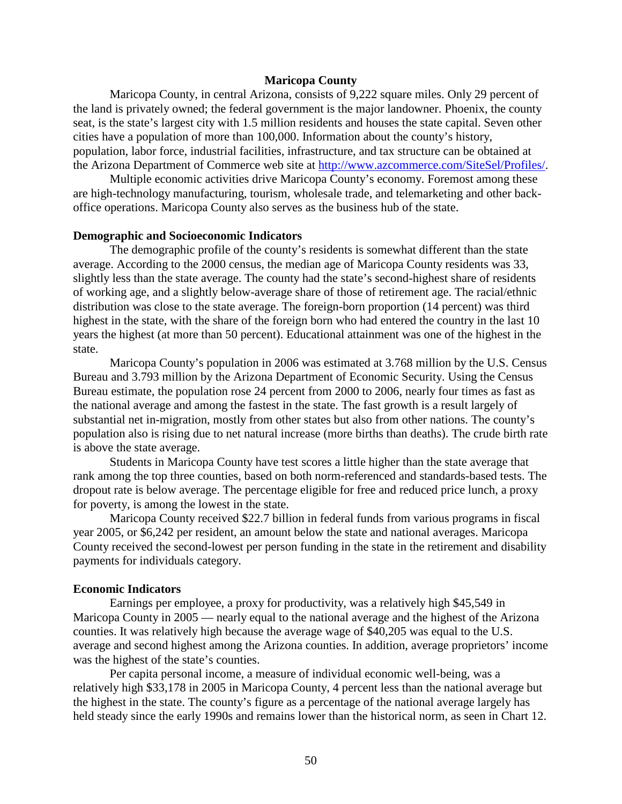### **Maricopa County**

Maricopa County, in central Arizona, consists of 9,222 square miles. Only 29 percent of the land is privately owned; the federal government is the major landowner. Phoenix, the county seat, is the state's largest city with 1.5 million residents and houses the state capital. Seven other cities have a population of more than 100,000. Information about the county's history, population, labor force, industrial facilities, infrastructure, and tax structure can be obtained at the Arizona Department of Commerce web site at [http://www.azcommerce.com/SiteSel/Profiles/.](http://www.azcommerce.com/SiteSel/Profiles/)

Multiple economic activities drive Maricopa County's economy. Foremost among these are high-technology manufacturing, tourism, wholesale trade, and telemarketing and other backoffice operations. Maricopa County also serves as the business hub of the state.

#### **Demographic and Socioeconomic Indicators**

The demographic profile of the county's residents is somewhat different than the state average. According to the 2000 census, the median age of Maricopa County residents was 33, slightly less than the state average. The county had the state's second-highest share of residents of working age, and a slightly below-average share of those of retirement age. The racial/ethnic distribution was close to the state average. The foreign-born proportion (14 percent) was third highest in the state, with the share of the foreign born who had entered the country in the last 10 years the highest (at more than 50 percent). Educational attainment was one of the highest in the state.

Maricopa County's population in 2006 was estimated at 3.768 million by the U.S. Census Bureau and 3.793 million by the Arizona Department of Economic Security. Using the Census Bureau estimate, the population rose 24 percent from 2000 to 2006, nearly four times as fast as the national average and among the fastest in the state. The fast growth is a result largely of substantial net in-migration, mostly from other states but also from other nations. The county's population also is rising due to net natural increase (more births than deaths). The crude birth rate is above the state average.

Students in Maricopa County have test scores a little higher than the state average that rank among the top three counties, based on both norm-referenced and standards-based tests. The dropout rate is below average. The percentage eligible for free and reduced price lunch, a proxy for poverty, is among the lowest in the state.

Maricopa County received \$22.7 billion in federal funds from various programs in fiscal year 2005, or \$6,242 per resident, an amount below the state and national averages. Maricopa County received the second-lowest per person funding in the state in the retirement and disability payments for individuals category.

#### **Economic Indicators**

Earnings per employee, a proxy for productivity, was a relatively high \$45,549 in Maricopa County in 2005 — nearly equal to the national average and the highest of the Arizona counties. It was relatively high because the average wage of \$40,205 was equal to the U.S. average and second highest among the Arizona counties. In addition, average proprietors' income was the highest of the state's counties.

Per capita personal income, a measure of individual economic well-being, was a relatively high \$33,178 in 2005 in Maricopa County, 4 percent less than the national average but the highest in the state. The county's figure as a percentage of the national average largely has held steady since the early 1990s and remains lower than the historical norm, as seen in Chart 12.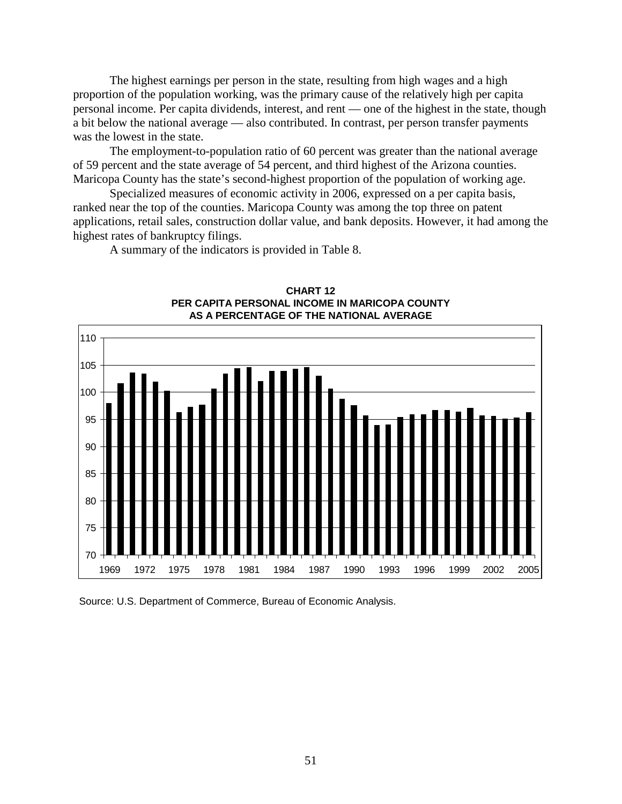The highest earnings per person in the state, resulting from high wages and a high proportion of the population working, was the primary cause of the relatively high per capita personal income. Per capita dividends, interest, and rent — one of the highest in the state, though a bit below the national average — also contributed. In contrast, per person transfer payments was the lowest in the state.

The employment-to-population ratio of 60 percent was greater than the national average of 59 percent and the state average of 54 percent, and third highest of the Arizona counties. Maricopa County has the state's second-highest proportion of the population of working age.

Specialized measures of economic activity in 2006, expressed on a per capita basis, ranked near the top of the counties. Maricopa County was among the top three on patent applications, retail sales, construction dollar value, and bank deposits. However, it had among the highest rates of bankruptcy filings.

A summary of the indicators is provided in Table 8.



**CHART 12 PER CAPITA PERSONAL INCOME IN MARICOPA COUNTY AS A PERCENTAGE OF THE NATIONAL AVERAGE**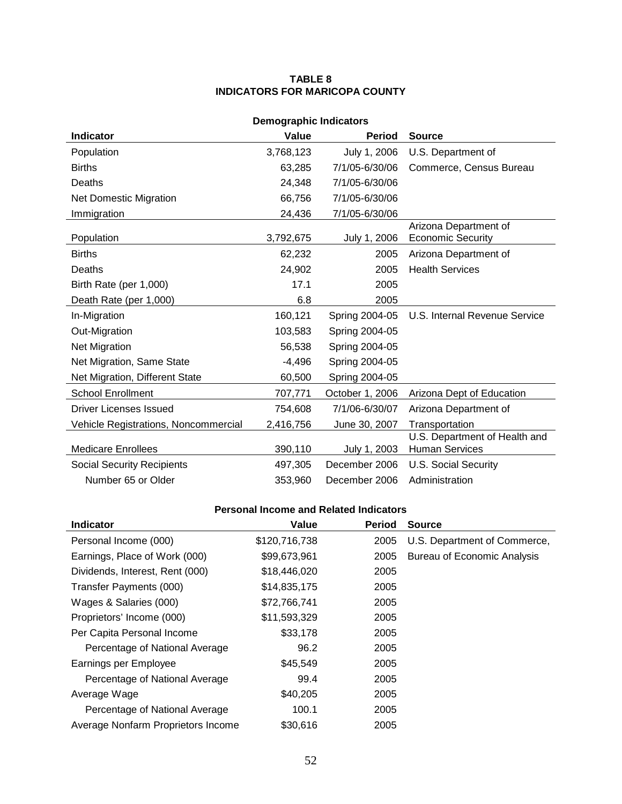### **TABLE 8 INDICATORS FOR MARICOPA COUNTY**

| <b>Demographic Indicators</b>               |           |                 |                                                        |  |  |
|---------------------------------------------|-----------|-----------------|--------------------------------------------------------|--|--|
| <b>Indicator</b>                            | Value     | <b>Period</b>   | <b>Source</b>                                          |  |  |
| Population                                  | 3,768,123 | July 1, 2006    | U.S. Department of                                     |  |  |
| <b>Births</b>                               | 63,285    | 7/1/05-6/30/06  | Commerce, Census Bureau                                |  |  |
| Deaths                                      | 24,348    | 7/1/05-6/30/06  |                                                        |  |  |
| <b>Net Domestic Migration</b>               | 66,756    | 7/1/05-6/30/06  |                                                        |  |  |
| Immigration                                 | 24,436    | 7/1/05-6/30/06  |                                                        |  |  |
| Population                                  | 3,792,675 | July 1, 2006    | Arizona Department of<br><b>Economic Security</b>      |  |  |
| <b>Births</b>                               | 62,232    | 2005            | Arizona Department of                                  |  |  |
| Deaths                                      | 24,902    | 2005            | <b>Health Services</b>                                 |  |  |
| Birth Rate (per 1,000)                      | 17.1      | 2005            |                                                        |  |  |
| Death Rate (per 1,000)                      | 6.8       | 2005            |                                                        |  |  |
| In-Migration                                | 160,121   | Spring 2004-05  | U.S. Internal Revenue Service                          |  |  |
| Out-Migration                               | 103,583   | Spring 2004-05  |                                                        |  |  |
| Net Migration                               | 56,538    | Spring 2004-05  |                                                        |  |  |
| Net Migration, Same State                   | $-4,496$  | Spring 2004-05  |                                                        |  |  |
| Net Migration, Different State              | 60,500    | Spring 2004-05  |                                                        |  |  |
| <b>School Enrollment</b>                    | 707,771   | October 1, 2006 | Arizona Dept of Education                              |  |  |
| Driver Licenses Issued                      | 754,608   | 7/1/06-6/30/07  | Arizona Department of                                  |  |  |
| <b>Vehicle Registrations, Noncommercial</b> | 2,416,756 | June 30, 2007   | Transportation                                         |  |  |
| <b>Medicare Enrollees</b>                   | 390,110   | July 1, 2003    | U.S. Department of Health and<br><b>Human Services</b> |  |  |
| <b>Social Security Recipients</b>           | 497,305   | December 2006   | <b>U.S. Social Security</b>                            |  |  |
| Number 65 or Older                          | 353,960   | December 2006   | Administration                                         |  |  |

| <b>Indicator</b>                   | Value         | <b>Period</b> | <b>Source</b>                      |
|------------------------------------|---------------|---------------|------------------------------------|
| Personal Income (000)              | \$120,716,738 | 2005          | U.S. Department of Commerce,       |
| Earnings, Place of Work (000)      | \$99,673,961  | 2005          | <b>Bureau of Economic Analysis</b> |
| Dividends, Interest, Rent (000)    | \$18,446,020  | 2005          |                                    |
| Transfer Payments (000)            | \$14,835,175  | 2005          |                                    |
| Wages & Salaries (000)             | \$72,766,741  | 2005          |                                    |
| Proprietors' Income (000)          | \$11,593,329  | 2005          |                                    |
| Per Capita Personal Income         | \$33,178      | 2005          |                                    |
| Percentage of National Average     | 96.2          | 2005          |                                    |
| Earnings per Employee              | \$45,549      | 2005          |                                    |
| Percentage of National Average     | 99.4          | 2005          |                                    |
| Average Wage                       | \$40,205      | 2005          |                                    |
| Percentage of National Average     | 100.1         | 2005          |                                    |
| Average Nonfarm Proprietors Income | \$30,616      | 2005          |                                    |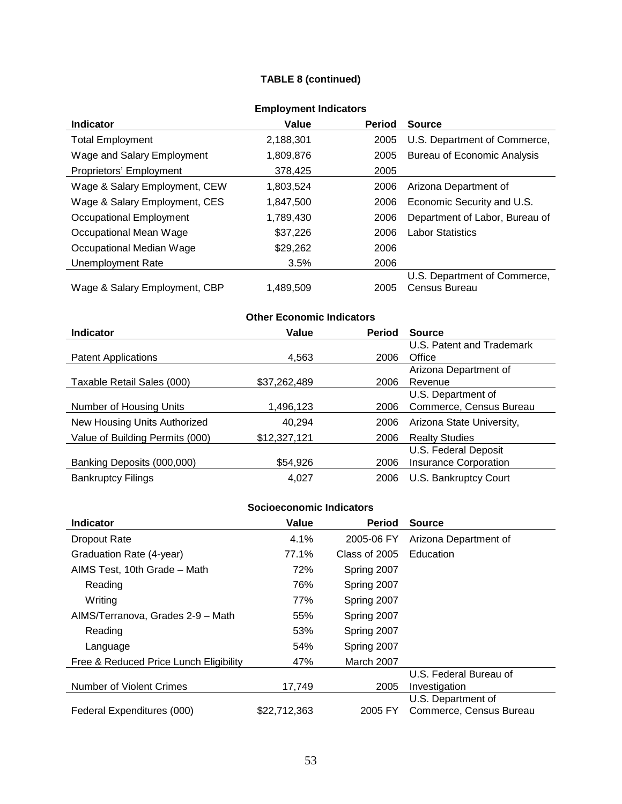## **TABLE 8 (continued)**

| <b>Indicator</b>              | Value     | <b>Period</b> | <b>Source</b>                                 |
|-------------------------------|-----------|---------------|-----------------------------------------------|
| <b>Total Employment</b>       | 2,188,301 | 2005          | U.S. Department of Commerce,                  |
| Wage and Salary Employment    | 1,809,876 | 2005          | <b>Bureau of Economic Analysis</b>            |
| Proprietors' Employment       | 378,425   | 2005          |                                               |
| Wage & Salary Employment, CEW | 1,803,524 | 2006          | Arizona Department of                         |
| Wage & Salary Employment, CES | 1,847,500 | 2006          | Economic Security and U.S.                    |
| Occupational Employment       | 1,789,430 | 2006          | Department of Labor, Bureau of                |
| Occupational Mean Wage        | \$37,226  | 2006          | <b>Labor Statistics</b>                       |
| Occupational Median Wage      | \$29,262  | 2006          |                                               |
| <b>Unemployment Rate</b>      | 3.5%      | 2006          |                                               |
| Wage & Salary Employment, CBP | 1,489,509 | 2005          | U.S. Department of Commerce,<br>Census Bureau |

## **Employment Indicators**

## **Other Economic Indicators**

| <b>Indicator</b>                | Value        | <b>Period</b> | <b>Source</b>                |
|---------------------------------|--------------|---------------|------------------------------|
|                                 |              |               | U.S. Patent and Trademark    |
| <b>Patent Applications</b>      | 4,563        | 2006          | Office                       |
|                                 |              |               | Arizona Department of        |
| Taxable Retail Sales (000)      | \$37,262,489 | 2006          | Revenue                      |
|                                 |              |               | U.S. Department of           |
| Number of Housing Units         | 1,496,123    | 2006          | Commerce, Census Bureau      |
| New Housing Units Authorized    | 40,294       | 2006          | Arizona State University,    |
| Value of Building Permits (000) | \$12,327,121 | 2006          | <b>Realty Studies</b>        |
|                                 |              |               | U.S. Federal Deposit         |
| Banking Deposits (000,000)      | \$54,926     | 2006          | <b>Insurance Corporation</b> |
| <b>Bankruptcy Filings</b>       | 4.027        | 2006          | U.S. Bankruptcy Court        |

| <b>Indicator</b>                       | Value        | <b>Period</b> | <b>Source</b>           |
|----------------------------------------|--------------|---------------|-------------------------|
| Dropout Rate                           | 4.1%         | 2005-06 FY    | Arizona Department of   |
| Graduation Rate (4-year)               | 77.1%        | Class of 2005 | Education               |
| AIMS Test, 10th Grade - Math           | 72%          | Spring 2007   |                         |
| Reading                                | 76%          | Spring 2007   |                         |
| Writing                                | 77%          | Spring 2007   |                         |
| AIMS/Terranova, Grades 2-9 - Math      | 55%          | Spring 2007   |                         |
| Reading                                | 53%          | Spring 2007   |                         |
| Language                               | 54%          | Spring 2007   |                         |
| Free & Reduced Price Lunch Eligibility | 47%          | March 2007    |                         |
|                                        |              |               | U.S. Federal Bureau of  |
| <b>Number of Violent Crimes</b>        | 17,749       | 2005          | Investigation           |
|                                        |              |               | U.S. Department of      |
| Federal Expenditures (000)             | \$22,712,363 | 2005 FY       | Commerce, Census Bureau |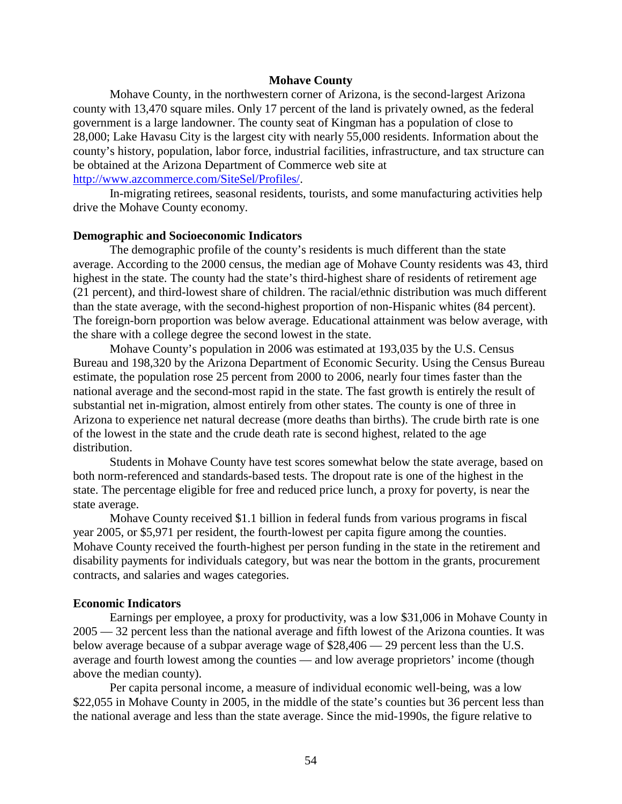### **Mohave County**

Mohave County, in the northwestern corner of Arizona, is the second-largest Arizona county with 13,470 square miles. Only 17 percent of the land is privately owned, as the federal government is a large landowner. The county seat of Kingman has a population of close to 28,000; Lake Havasu City is the largest city with nearly 55,000 residents. Information about the county's history, population, labor force, industrial facilities, infrastructure, and tax structure can be obtained at the Arizona Department of Commerce web site at [http://www.azcommerce.com/SiteSel/Profiles/.](http://www.azcommerce.com/SiteSel/Profiles/)

In-migrating retirees, seasonal residents, tourists, and some manufacturing activities help drive the Mohave County economy.

#### **Demographic and Socioeconomic Indicators**

The demographic profile of the county's residents is much different than the state average. According to the 2000 census, the median age of Mohave County residents was 43, third highest in the state. The county had the state's third-highest share of residents of retirement age (21 percent), and third-lowest share of children. The racial/ethnic distribution was much different than the state average, with the second-highest proportion of non-Hispanic whites (84 percent). The foreign-born proportion was below average. Educational attainment was below average, with the share with a college degree the second lowest in the state.

Mohave County's population in 2006 was estimated at 193,035 by the U.S. Census Bureau and 198,320 by the Arizona Department of Economic Security. Using the Census Bureau estimate, the population rose 25 percent from 2000 to 2006, nearly four times faster than the national average and the second-most rapid in the state. The fast growth is entirely the result of substantial net in-migration, almost entirely from other states. The county is one of three in Arizona to experience net natural decrease (more deaths than births). The crude birth rate is one of the lowest in the state and the crude death rate is second highest, related to the age distribution.

Students in Mohave County have test scores somewhat below the state average, based on both norm-referenced and standards-based tests. The dropout rate is one of the highest in the state. The percentage eligible for free and reduced price lunch, a proxy for poverty, is near the state average.

Mohave County received \$1.1 billion in federal funds from various programs in fiscal year 2005, or \$5,971 per resident, the fourth-lowest per capita figure among the counties. Mohave County received the fourth-highest per person funding in the state in the retirement and disability payments for individuals category, but was near the bottom in the grants, procurement contracts, and salaries and wages categories.

#### **Economic Indicators**

Earnings per employee, a proxy for productivity, was a low \$31,006 in Mohave County in 2005 — 32 percent less than the national average and fifth lowest of the Arizona counties. It was below average because of a subpar average wage of \$28,406 — 29 percent less than the U.S. average and fourth lowest among the counties — and low average proprietors' income (though above the median county).

Per capita personal income, a measure of individual economic well-being, was a low \$22,055 in Mohave County in 2005, in the middle of the state's counties but 36 percent less than the national average and less than the state average. Since the mid-1990s, the figure relative to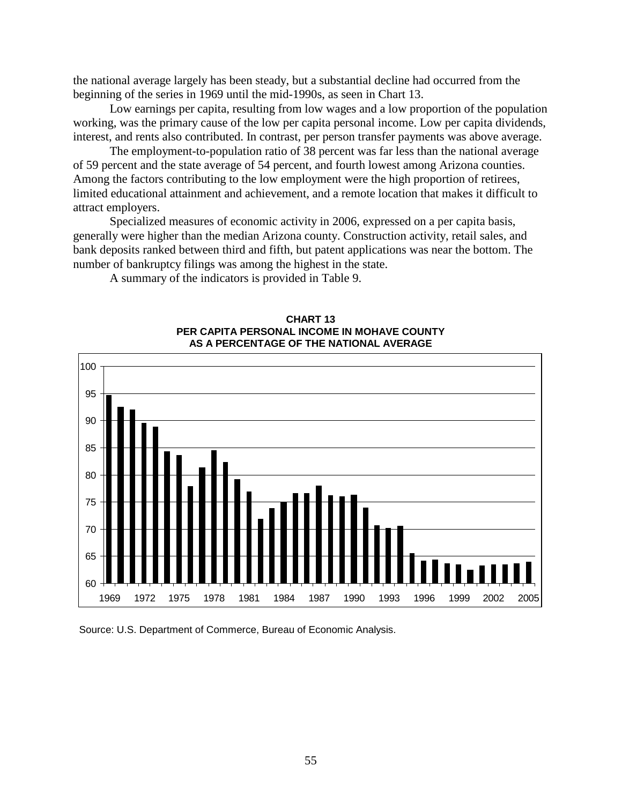the national average largely has been steady, but a substantial decline had occurred from the beginning of the series in 1969 until the mid-1990s, as seen in Chart 13.

Low earnings per capita, resulting from low wages and a low proportion of the population working, was the primary cause of the low per capita personal income. Low per capita dividends, interest, and rents also contributed. In contrast, per person transfer payments was above average.

The employment-to-population ratio of 38 percent was far less than the national average of 59 percent and the state average of 54 percent, and fourth lowest among Arizona counties. Among the factors contributing to the low employment were the high proportion of retirees, limited educational attainment and achievement, and a remote location that makes it difficult to attract employers.

Specialized measures of economic activity in 2006, expressed on a per capita basis, generally were higher than the median Arizona county. Construction activity, retail sales, and bank deposits ranked between third and fifth, but patent applications was near the bottom. The number of bankruptcy filings was among the highest in the state.

A summary of the indicators is provided in Table 9.



#### **CHART 13 PER CAPITA PERSONAL INCOME IN MOHAVE COUNTY AS A PERCENTAGE OF THE NATIONAL AVERAGE**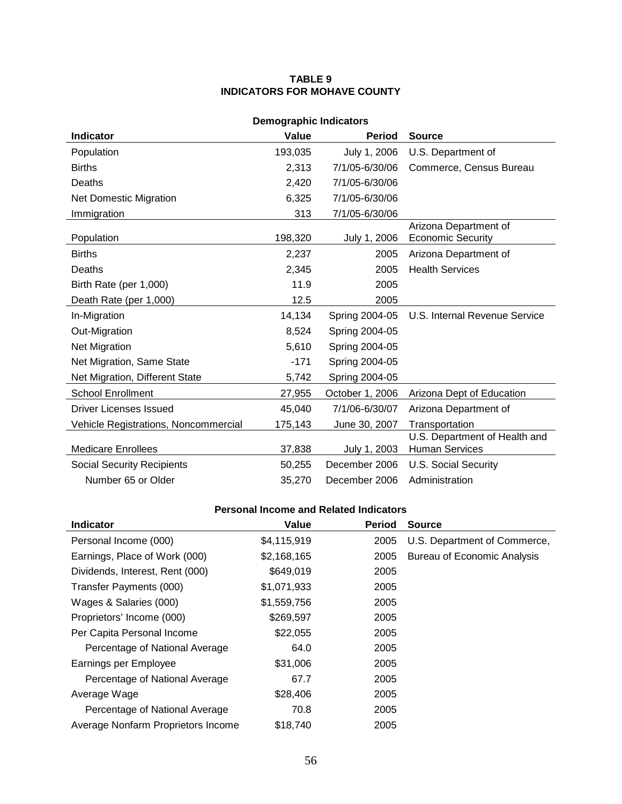### **TABLE 9 INDICATORS FOR MOHAVE COUNTY**

| <b>Demographic Indicators</b>                               |         |                 |                                                        |  |  |
|-------------------------------------------------------------|---------|-----------------|--------------------------------------------------------|--|--|
| <b>Indicator</b><br>Value<br><b>Period</b><br><b>Source</b> |         |                 |                                                        |  |  |
| Population                                                  | 193,035 | July 1, 2006    | U.S. Department of                                     |  |  |
| <b>Births</b>                                               | 2,313   | 7/1/05-6/30/06  | Commerce, Census Bureau                                |  |  |
| Deaths                                                      | 2,420   | 7/1/05-6/30/06  |                                                        |  |  |
| <b>Net Domestic Migration</b>                               | 6,325   | 7/1/05-6/30/06  |                                                        |  |  |
| Immigration                                                 | 313     | 7/1/05-6/30/06  |                                                        |  |  |
| Population                                                  | 198,320 | July 1, 2006    | Arizona Department of<br><b>Economic Security</b>      |  |  |
| <b>Births</b>                                               | 2,237   | 2005            | Arizona Department of                                  |  |  |
| Deaths                                                      | 2,345   | 2005            | <b>Health Services</b>                                 |  |  |
| Birth Rate (per 1,000)                                      | 11.9    | 2005            |                                                        |  |  |
| Death Rate (per 1,000)                                      | 12.5    | 2005            |                                                        |  |  |
| In-Migration                                                | 14,134  | Spring 2004-05  | U.S. Internal Revenue Service                          |  |  |
| Out-Migration                                               | 8,524   | Spring 2004-05  |                                                        |  |  |
| <b>Net Migration</b>                                        | 5,610   | Spring 2004-05  |                                                        |  |  |
| Net Migration, Same State                                   | $-171$  | Spring 2004-05  |                                                        |  |  |
| Net Migration, Different State                              | 5,742   | Spring 2004-05  |                                                        |  |  |
| <b>School Enrollment</b>                                    | 27,955  | October 1, 2006 | Arizona Dept of Education                              |  |  |
| Driver Licenses Issued                                      | 45,040  | 7/1/06-6/30/07  | Arizona Department of                                  |  |  |
| Vehicle Registrations, Noncommercial                        | 175,143 | June 30, 2007   | Transportation                                         |  |  |
| <b>Medicare Enrollees</b>                                   | 37,838  | July 1, 2003    | U.S. Department of Health and<br><b>Human Services</b> |  |  |
| <b>Social Security Recipients</b>                           | 50,255  | December 2006   | <b>U.S. Social Security</b>                            |  |  |
| Number 65 or Older                                          | 35,270  | December 2006   | Administration                                         |  |  |

| <b>Indicator</b>                   | Value       | <b>Period</b> | <b>Source</b>                      |
|------------------------------------|-------------|---------------|------------------------------------|
| Personal Income (000)              | \$4,115,919 | 2005          | U.S. Department of Commerce,       |
| Earnings, Place of Work (000)      | \$2,168,165 | 2005          | <b>Bureau of Economic Analysis</b> |
| Dividends, Interest, Rent (000)    | \$649,019   | 2005          |                                    |
| Transfer Payments (000)            | \$1,071,933 | 2005          |                                    |
| Wages & Salaries (000)             | \$1,559,756 | 2005          |                                    |
| Proprietors' Income (000)          | \$269,597   | 2005          |                                    |
| Per Capita Personal Income         | \$22,055    | 2005          |                                    |
| Percentage of National Average     | 64.0        | 2005          |                                    |
| Earnings per Employee              | \$31,006    | 2005          |                                    |
| Percentage of National Average     | 67.7        | 2005          |                                    |
| Average Wage                       | \$28,406    | 2005          |                                    |
| Percentage of National Average     | 70.8        | 2005          |                                    |
| Average Nonfarm Proprietors Income | \$18,740    | 2005          |                                    |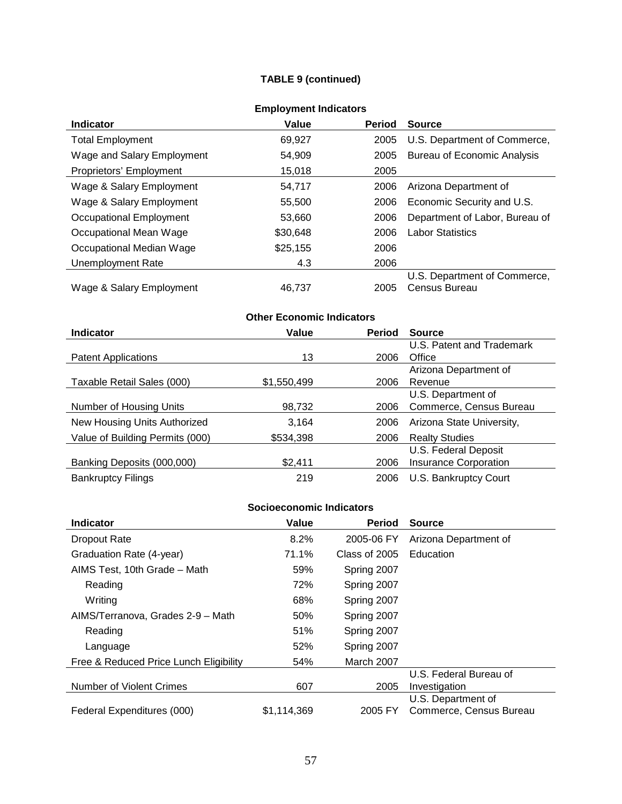## **TABLE 9 (continued)**

| <b>Employment Indicators</b> |  |
|------------------------------|--|
|------------------------------|--|

| <b>Indicator</b>           | Value    | <b>Period</b> | <b>Source</b>                      |
|----------------------------|----------|---------------|------------------------------------|
| <b>Total Employment</b>    | 69,927   | 2005          | U.S. Department of Commerce,       |
| Wage and Salary Employment | 54,909   | 2005          | <b>Bureau of Economic Analysis</b> |
| Proprietors' Employment    | 15,018   | 2005          |                                    |
| Wage & Salary Employment   | 54,717   | 2006          | Arizona Department of              |
| Wage & Salary Employment   | 55,500   | 2006          | Economic Security and U.S.         |
| Occupational Employment    | 53.660   | 2006          | Department of Labor, Bureau of     |
| Occupational Mean Wage     | \$30,648 | 2006          | <b>Labor Statistics</b>            |
| Occupational Median Wage   | \$25,155 | 2006          |                                    |
| Unemployment Rate          | 4.3      | 2006          |                                    |
|                            |          |               | U.S. Department of Commerce,       |
| Wage & Salary Employment   | 46.737   | 2005          | Census Bureau                      |

| <b>Other Economic Indicators</b> |             |               |                              |
|----------------------------------|-------------|---------------|------------------------------|
| <b>Indicator</b>                 | Value       | <b>Period</b> | <b>Source</b>                |
|                                  |             |               | U.S. Patent and Trademark    |
| <b>Patent Applications</b>       | 13          | 2006          | Office                       |
|                                  |             |               | Arizona Department of        |
| Taxable Retail Sales (000)       | \$1,550,499 | 2006          | Revenue                      |
|                                  |             |               | U.S. Department of           |
| Number of Housing Units          | 98,732      | 2006          | Commerce, Census Bureau      |
| New Housing Units Authorized     | 3,164       | 2006          | Arizona State University,    |
| Value of Building Permits (000)  | \$534,398   | 2006          | <b>Realty Studies</b>        |
|                                  |             |               | U.S. Federal Deposit         |
| Banking Deposits (000,000)       | \$2,411     | 2006          | <b>Insurance Corporation</b> |
| <b>Bankruptcy Filings</b>        | 219         | 2006          | U.S. Bankruptcy Court        |

| <b>Indicator</b>                       | Value       | <b>Period</b> | <b>Source</b>           |
|----------------------------------------|-------------|---------------|-------------------------|
| <b>Dropout Rate</b>                    | 8.2%        | 2005-06 FY    | Arizona Department of   |
| Graduation Rate (4-year)               | 71.1%       | Class of 2005 | Education               |
| AIMS Test, 10th Grade - Math           | 59%         | Spring 2007   |                         |
| Reading                                | 72%         | Spring 2007   |                         |
| Writing                                | 68%         | Spring 2007   |                         |
| AIMS/Terranova, Grades 2-9 - Math      | 50%         | Spring 2007   |                         |
| Reading                                | 51%         | Spring 2007   |                         |
| Language                               | 52%         | Spring 2007   |                         |
| Free & Reduced Price Lunch Eligibility | 54%         | March 2007    |                         |
|                                        |             |               | U.S. Federal Bureau of  |
| <b>Number of Violent Crimes</b>        | 607         | 2005          | Investigation           |
|                                        |             |               | U.S. Department of      |
| Federal Expenditures (000)             | \$1,114,369 | 2005 FY       | Commerce, Census Bureau |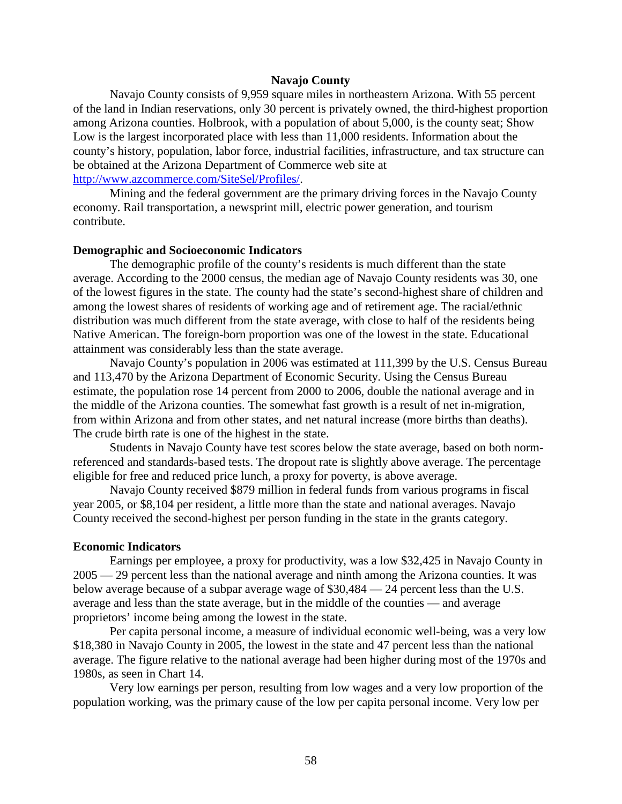### **Navajo County**

Navajo County consists of 9,959 square miles in northeastern Arizona. With 55 percent of the land in Indian reservations, only 30 percent is privately owned, the third-highest proportion among Arizona counties. Holbrook, with a population of about 5,000, is the county seat; Show Low is the largest incorporated place with less than 11,000 residents. Information about the county's history, population, labor force, industrial facilities, infrastructure, and tax structure can be obtained at the Arizona Department of Commerce web site at [http://www.azcommerce.com/SiteSel/Profiles/.](http://www.azcommerce.com/SiteSel/Profiles/)

Mining and the federal government are the primary driving forces in the Navajo County economy. Rail transportation, a newsprint mill, electric power generation, and tourism contribute.

#### **Demographic and Socioeconomic Indicators**

The demographic profile of the county's residents is much different than the state average. According to the 2000 census, the median age of Navajo County residents was 30, one of the lowest figures in the state. The county had the state's second-highest share of children and among the lowest shares of residents of working age and of retirement age. The racial/ethnic distribution was much different from the state average, with close to half of the residents being Native American. The foreign-born proportion was one of the lowest in the state. Educational attainment was considerably less than the state average.

Navajo County's population in 2006 was estimated at 111,399 by the U.S. Census Bureau and 113,470 by the Arizona Department of Economic Security. Using the Census Bureau estimate, the population rose 14 percent from 2000 to 2006, double the national average and in the middle of the Arizona counties. The somewhat fast growth is a result of net in-migration, from within Arizona and from other states, and net natural increase (more births than deaths). The crude birth rate is one of the highest in the state.

Students in Navajo County have test scores below the state average, based on both normreferenced and standards-based tests. The dropout rate is slightly above average. The percentage eligible for free and reduced price lunch, a proxy for poverty, is above average.

Navajo County received \$879 million in federal funds from various programs in fiscal year 2005, or \$8,104 per resident, a little more than the state and national averages. Navajo County received the second-highest per person funding in the state in the grants category.

#### **Economic Indicators**

Earnings per employee, a proxy for productivity, was a low \$32,425 in Navajo County in 2005 — 29 percent less than the national average and ninth among the Arizona counties. It was below average because of a subpar average wage of \$30,484 — 24 percent less than the U.S. average and less than the state average, but in the middle of the counties — and average proprietors' income being among the lowest in the state.

Per capita personal income, a measure of individual economic well-being, was a very low \$18,380 in Navajo County in 2005, the lowest in the state and 47 percent less than the national average. The figure relative to the national average had been higher during most of the 1970s and 1980s, as seen in Chart 14.

Very low earnings per person, resulting from low wages and a very low proportion of the population working, was the primary cause of the low per capita personal income. Very low per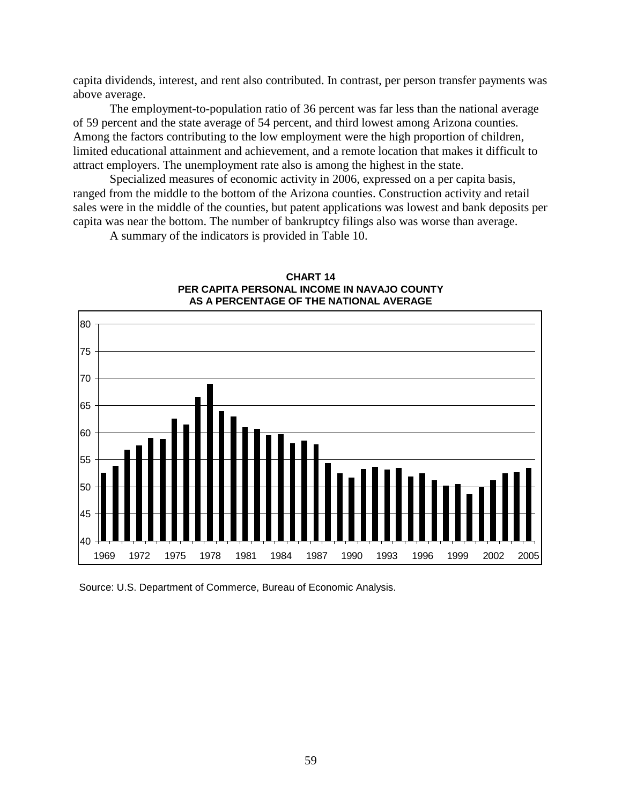capita dividends, interest, and rent also contributed. In contrast, per person transfer payments was above average.

The employment-to-population ratio of 36 percent was far less than the national average of 59 percent and the state average of 54 percent, and third lowest among Arizona counties. Among the factors contributing to the low employment were the high proportion of children, limited educational attainment and achievement, and a remote location that makes it difficult to attract employers. The unemployment rate also is among the highest in the state.

Specialized measures of economic activity in 2006, expressed on a per capita basis, ranged from the middle to the bottom of the Arizona counties. Construction activity and retail sales were in the middle of the counties, but patent applications was lowest and bank deposits per capita was near the bottom. The number of bankruptcy filings also was worse than average.

A summary of the indicators is provided in Table 10.



**CHART 14 PER CAPITA PERSONAL INCOME IN NAVAJO COUNTY AS A PERCENTAGE OF THE NATIONAL AVERAGE**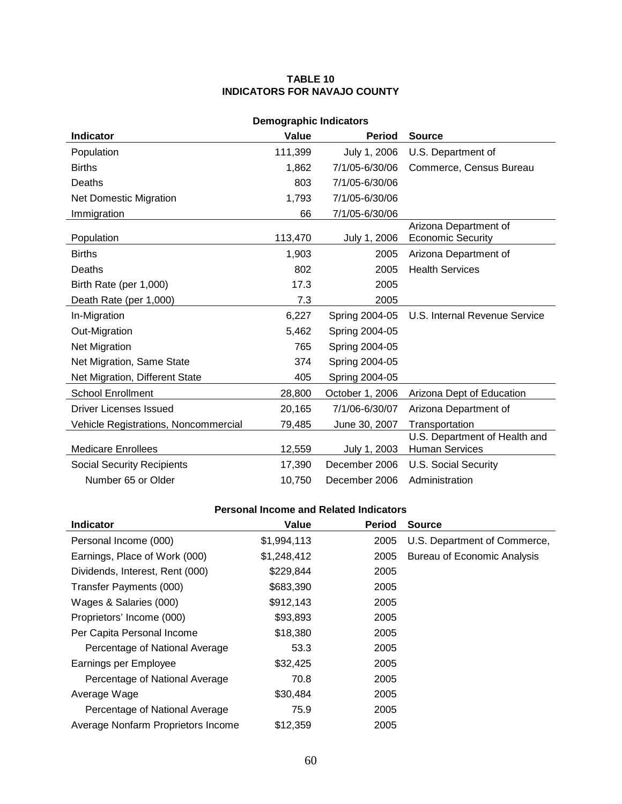### **TABLE 10 INDICATORS FOR NAVAJO COUNTY**

| <b>Demographic Indicators</b>        |         |                 |                                                        |  |
|--------------------------------------|---------|-----------------|--------------------------------------------------------|--|
| <b>Indicator</b>                     | Value   | <b>Period</b>   | <b>Source</b>                                          |  |
| Population                           | 111,399 | July 1, 2006    | U.S. Department of                                     |  |
| <b>Births</b>                        | 1,862   | 7/1/05-6/30/06  | Commerce, Census Bureau                                |  |
| Deaths                               | 803     | 7/1/05-6/30/06  |                                                        |  |
| Net Domestic Migration               | 1,793   | 7/1/05-6/30/06  |                                                        |  |
| Immigration                          | 66      | 7/1/05-6/30/06  |                                                        |  |
| Population                           | 113,470 | July 1, 2006    | Arizona Department of<br><b>Economic Security</b>      |  |
| <b>Births</b>                        | 1,903   | 2005            | Arizona Department of                                  |  |
| Deaths                               | 802     | 2005            | <b>Health Services</b>                                 |  |
| Birth Rate (per 1,000)               | 17.3    | 2005            |                                                        |  |
| Death Rate (per 1,000)               | 7.3     | 2005            |                                                        |  |
| In-Migration                         | 6,227   | Spring 2004-05  | U.S. Internal Revenue Service                          |  |
| Out-Migration                        | 5,462   | Spring 2004-05  |                                                        |  |
| Net Migration                        | 765     | Spring 2004-05  |                                                        |  |
| Net Migration, Same State            | 374     | Spring 2004-05  |                                                        |  |
| Net Migration, Different State       | 405     | Spring 2004-05  |                                                        |  |
| <b>School Enrollment</b>             | 28,800  | October 1, 2006 | Arizona Dept of Education                              |  |
| Driver Licenses Issued               | 20,165  | 7/1/06-6/30/07  | Arizona Department of                                  |  |
| Vehicle Registrations, Noncommercial | 79,485  | June 30, 2007   | Transportation                                         |  |
| <b>Medicare Enrollees</b>            | 12,559  | July 1, 2003    | U.S. Department of Health and<br><b>Human Services</b> |  |
| <b>Social Security Recipients</b>    | 17,390  | December 2006   | <b>U.S. Social Security</b>                            |  |
| Number 65 or Older                   | 10,750  | December 2006   | Administration                                         |  |

| <b>Indicator</b>                   | Value       | <b>Period</b> | <b>Source</b>                      |
|------------------------------------|-------------|---------------|------------------------------------|
| Personal Income (000)              | \$1,994,113 | 2005          | U.S. Department of Commerce,       |
| Earnings, Place of Work (000)      | \$1,248,412 | 2005          | <b>Bureau of Economic Analysis</b> |
| Dividends, Interest, Rent (000)    | \$229,844   | 2005          |                                    |
| Transfer Payments (000)            | \$683,390   | 2005          |                                    |
| Wages & Salaries (000)             | \$912,143   | 2005          |                                    |
| Proprietors' Income (000)          | \$93,893    | 2005          |                                    |
| Per Capita Personal Income         | \$18,380    | 2005          |                                    |
| Percentage of National Average     | 53.3        | 2005          |                                    |
| Earnings per Employee              | \$32,425    | 2005          |                                    |
| Percentage of National Average     | 70.8        | 2005          |                                    |
| Average Wage                       | \$30,484    | 2005          |                                    |
| Percentage of National Average     | 75.9        | 2005          |                                    |
| Average Nonfarm Proprietors Income | \$12,359    | 2005          |                                    |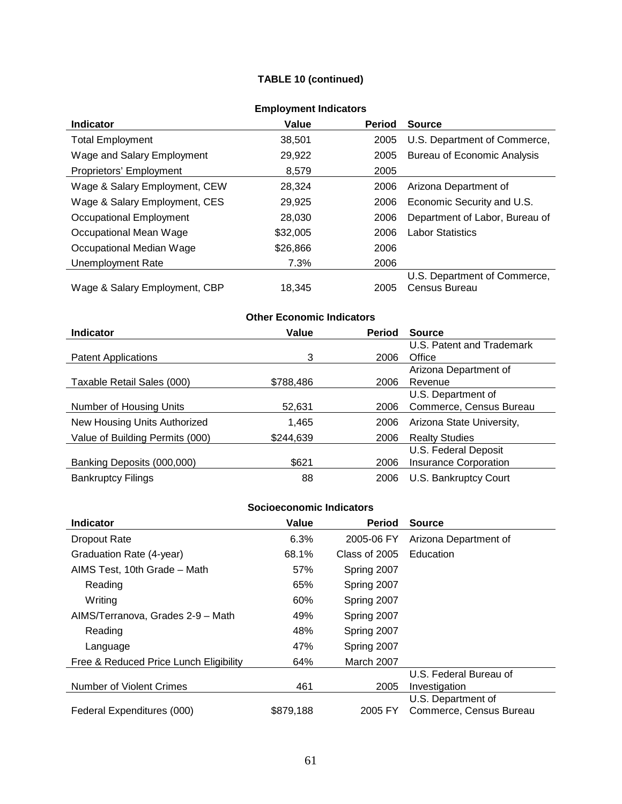## **TABLE 10 (continued)**

| Enipio ynicht maioators       |          |               |                                    |  |
|-------------------------------|----------|---------------|------------------------------------|--|
| <b>Indicator</b>              | Value    | <b>Period</b> | <b>Source</b>                      |  |
| <b>Total Employment</b>       | 38,501   | 2005          | U.S. Department of Commerce,       |  |
| Wage and Salary Employment    | 29,922   | 2005          | <b>Bureau of Economic Analysis</b> |  |
| Proprietors' Employment       | 8,579    | 2005          |                                    |  |
| Wage & Salary Employment, CEW | 28.324   | 2006          | Arizona Department of              |  |
| Wage & Salary Employment, CES | 29,925   | 2006          | Economic Security and U.S.         |  |
| Occupational Employment       | 28,030   | 2006          | Department of Labor, Bureau of     |  |
| Occupational Mean Wage        | \$32,005 | 2006          | <b>Labor Statistics</b>            |  |
| Occupational Median Wage      | \$26,866 | 2006          |                                    |  |
| Unemployment Rate             | 7.3%     | 2006          |                                    |  |
|                               |          |               | U.S. Department of Commerce,       |  |
| Wage & Salary Employment, CBP | 18.345   | 2005          | Census Bureau                      |  |

## **Employment Indicators**

# **Other Economic Indicators**

| <b>Indicator</b>                | Value     | <b>Period</b> | <b>Source</b>                |
|---------------------------------|-----------|---------------|------------------------------|
|                                 |           |               | U.S. Patent and Trademark    |
| <b>Patent Applications</b>      | 3         | 2006          | Office                       |
|                                 |           |               | Arizona Department of        |
| Taxable Retail Sales (000)      | \$788,486 | 2006          | Revenue                      |
|                                 |           |               | U.S. Department of           |
| Number of Housing Units         | 52,631    | 2006          | Commerce, Census Bureau      |
| New Housing Units Authorized    | 1,465     | 2006          | Arizona State University,    |
| Value of Building Permits (000) | \$244,639 | 2006          | <b>Realty Studies</b>        |
|                                 |           |               | U.S. Federal Deposit         |
| Banking Deposits (000,000)      | \$621     | 2006          | <b>Insurance Corporation</b> |
| <b>Bankruptcy Filings</b>       | 88        | 2006          | U.S. Bankruptcy Court        |

| <b>Indicator</b>                       | Value     | <b>Period</b> | <b>Source</b>           |
|----------------------------------------|-----------|---------------|-------------------------|
| <b>Dropout Rate</b>                    | 6.3%      | 2005-06 FY    | Arizona Department of   |
| Graduation Rate (4-year)               | 68.1%     | Class of 2005 | Education               |
| AIMS Test, 10th Grade - Math           | 57%       | Spring 2007   |                         |
| Reading                                | 65%       | Spring 2007   |                         |
| Writing                                | 60%       | Spring 2007   |                         |
| AIMS/Terranova, Grades 2-9 - Math      | 49%       | Spring 2007   |                         |
| Reading                                | 48%       | Spring 2007   |                         |
| Language                               | 47%       | Spring 2007   |                         |
| Free & Reduced Price Lunch Eligibility | 64%       | March 2007    |                         |
|                                        |           |               | U.S. Federal Bureau of  |
| <b>Number of Violent Crimes</b>        | 461       | 2005          | Investigation           |
|                                        |           |               | U.S. Department of      |
| Federal Expenditures (000)             | \$879,188 | 2005 FY       | Commerce, Census Bureau |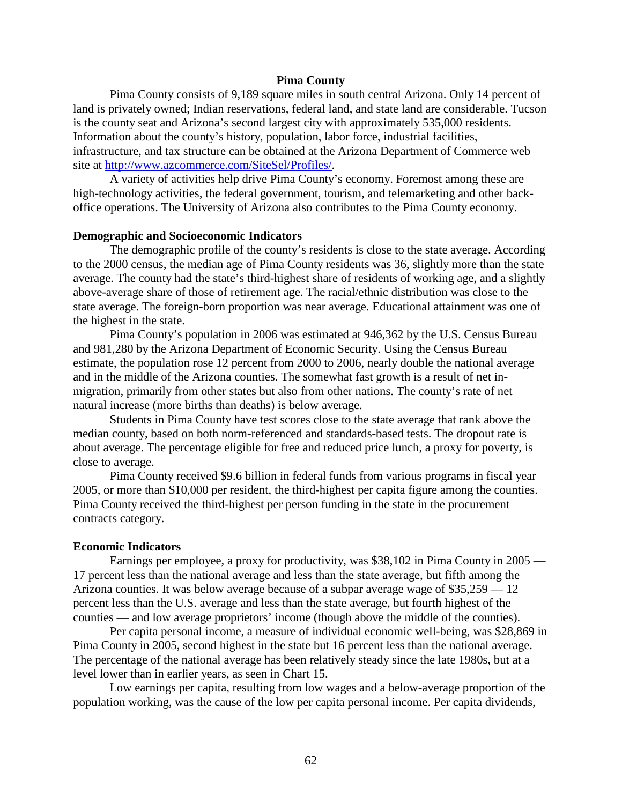### **Pima County**

Pima County consists of 9,189 square miles in south central Arizona. Only 14 percent of land is privately owned; Indian reservations, federal land, and state land are considerable. Tucson is the county seat and Arizona's second largest city with approximately 535,000 residents. Information about the county's history, population, labor force, industrial facilities, infrastructure, and tax structure can be obtained at the Arizona Department of Commerce web site at [http://www.azcommerce.com/SiteSel/Profiles/.](http://www.azcommerce.com/SiteSel/Profiles/)

A variety of activities help drive Pima County's economy. Foremost among these are high-technology activities, the federal government, tourism, and telemarketing and other backoffice operations. The University of Arizona also contributes to the Pima County economy.

#### **Demographic and Socioeconomic Indicators**

The demographic profile of the county's residents is close to the state average. According to the 2000 census, the median age of Pima County residents was 36, slightly more than the state average. The county had the state's third-highest share of residents of working age, and a slightly above-average share of those of retirement age. The racial/ethnic distribution was close to the state average. The foreign-born proportion was near average. Educational attainment was one of the highest in the state.

Pima County's population in 2006 was estimated at 946,362 by the U.S. Census Bureau and 981,280 by the Arizona Department of Economic Security. Using the Census Bureau estimate, the population rose 12 percent from 2000 to 2006, nearly double the national average and in the middle of the Arizona counties. The somewhat fast growth is a result of net inmigration, primarily from other states but also from other nations. The county's rate of net natural increase (more births than deaths) is below average.

Students in Pima County have test scores close to the state average that rank above the median county, based on both norm-referenced and standards-based tests. The dropout rate is about average. The percentage eligible for free and reduced price lunch, a proxy for poverty, is close to average.

Pima County received \$9.6 billion in federal funds from various programs in fiscal year 2005, or more than \$10,000 per resident, the third-highest per capita figure among the counties. Pima County received the third-highest per person funding in the state in the procurement contracts category.

#### **Economic Indicators**

Earnings per employee, a proxy for productivity, was \$38,102 in Pima County in 2005 — 17 percent less than the national average and less than the state average, but fifth among the Arizona counties. It was below average because of a subpar average wage of \$35,259 — 12 percent less than the U.S. average and less than the state average, but fourth highest of the counties — and low average proprietors' income (though above the middle of the counties).

Per capita personal income, a measure of individual economic well-being, was \$28,869 in Pima County in 2005, second highest in the state but 16 percent less than the national average. The percentage of the national average has been relatively steady since the late 1980s, but at a level lower than in earlier years, as seen in Chart 15.

Low earnings per capita, resulting from low wages and a below-average proportion of the population working, was the cause of the low per capita personal income. Per capita dividends,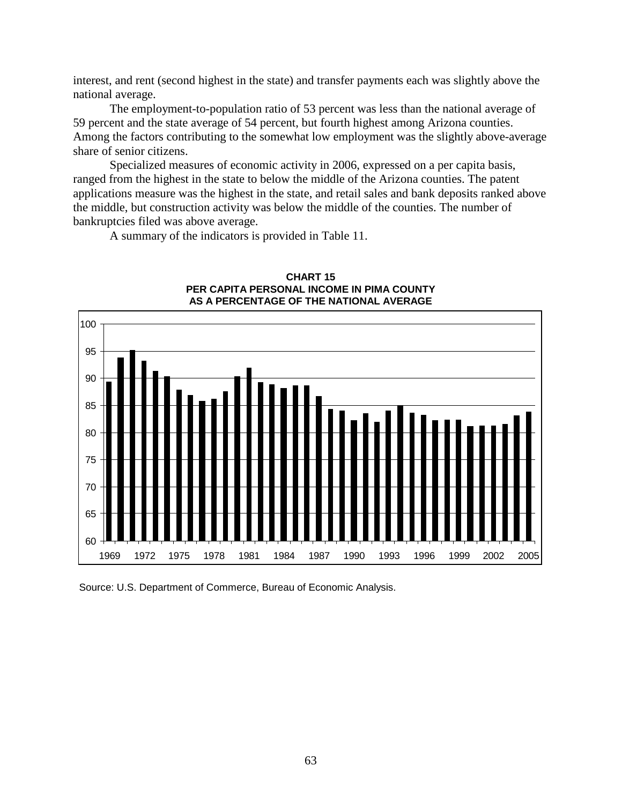interest, and rent (second highest in the state) and transfer payments each was slightly above the national average.

The employment-to-population ratio of 53 percent was less than the national average of 59 percent and the state average of 54 percent, but fourth highest among Arizona counties. Among the factors contributing to the somewhat low employment was the slightly above-average share of senior citizens.

Specialized measures of economic activity in 2006, expressed on a per capita basis, ranged from the highest in the state to below the middle of the Arizona counties. The patent applications measure was the highest in the state, and retail sales and bank deposits ranked above the middle, but construction activity was below the middle of the counties. The number of bankruptcies filed was above average.

A summary of the indicators is provided in Table 11.



#### **CHART 15 PER CAPITA PERSONAL INCOME IN PIMA COUNTY AS A PERCENTAGE OF THE NATIONAL AVERAGE**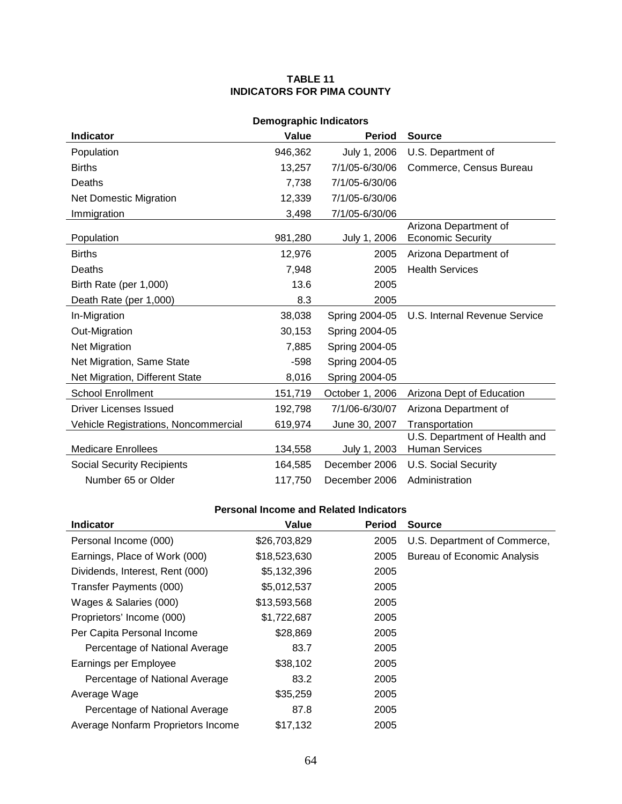### **TABLE 11 INDICATORS FOR PIMA COUNTY**

| <b>Demographic Indicators</b>                               |         |                 |                                                        |  |  |  |
|-------------------------------------------------------------|---------|-----------------|--------------------------------------------------------|--|--|--|
| <b>Indicator</b><br>Value<br><b>Period</b><br><b>Source</b> |         |                 |                                                        |  |  |  |
| Population                                                  | 946,362 | July 1, 2006    | U.S. Department of                                     |  |  |  |
| <b>Births</b>                                               | 13,257  | 7/1/05-6/30/06  | Commerce, Census Bureau                                |  |  |  |
| Deaths                                                      | 7,738   | 7/1/05-6/30/06  |                                                        |  |  |  |
| <b>Net Domestic Migration</b>                               | 12,339  | 7/1/05-6/30/06  |                                                        |  |  |  |
| Immigration                                                 | 3,498   | 7/1/05-6/30/06  |                                                        |  |  |  |
| Population                                                  | 981,280 | July 1, 2006    | Arizona Department of<br><b>Economic Security</b>      |  |  |  |
| <b>Births</b>                                               | 12,976  | 2005            | Arizona Department of                                  |  |  |  |
| Deaths                                                      | 7,948   | 2005            | <b>Health Services</b>                                 |  |  |  |
| Birth Rate (per 1,000)                                      | 13.6    | 2005            |                                                        |  |  |  |
| Death Rate (per 1,000)                                      | 8.3     | 2005            |                                                        |  |  |  |
| In-Migration                                                | 38,038  | Spring 2004-05  | U.S. Internal Revenue Service                          |  |  |  |
| Out-Migration                                               | 30,153  | Spring 2004-05  |                                                        |  |  |  |
| <b>Net Migration</b>                                        | 7,885   | Spring 2004-05  |                                                        |  |  |  |
| Net Migration, Same State                                   | -598    | Spring 2004-05  |                                                        |  |  |  |
| Net Migration, Different State                              | 8,016   | Spring 2004-05  |                                                        |  |  |  |
| <b>School Enrollment</b>                                    | 151,719 | October 1, 2006 | Arizona Dept of Education                              |  |  |  |
| Driver Licenses Issued                                      | 192,798 | 7/1/06-6/30/07  | Arizona Department of                                  |  |  |  |
| Vehicle Registrations, Noncommercial                        | 619,974 | June 30, 2007   | Transportation                                         |  |  |  |
| <b>Medicare Enrollees</b>                                   | 134,558 | July 1, 2003    | U.S. Department of Health and<br><b>Human Services</b> |  |  |  |
| <b>Social Security Recipients</b>                           | 164,585 | December 2006   | U.S. Social Security                                   |  |  |  |
| Number 65 or Older                                          | 117,750 | December 2006   | Administration                                         |  |  |  |

| <b>Indicator</b>                   | Value        | <b>Period</b> | <b>Source</b>                      |
|------------------------------------|--------------|---------------|------------------------------------|
| Personal Income (000)              | \$26,703,829 | 2005          | U.S. Department of Commerce,       |
| Earnings, Place of Work (000)      | \$18,523,630 | 2005          | <b>Bureau of Economic Analysis</b> |
| Dividends, Interest, Rent (000)    | \$5,132,396  | 2005          |                                    |
| Transfer Payments (000)            | \$5,012,537  | 2005          |                                    |
| Wages & Salaries (000)             | \$13,593,568 | 2005          |                                    |
| Proprietors' Income (000)          | \$1,722,687  | 2005          |                                    |
| Per Capita Personal Income         | \$28,869     | 2005          |                                    |
| Percentage of National Average     | 83.7         | 2005          |                                    |
| Earnings per Employee              | \$38,102     | 2005          |                                    |
| Percentage of National Average     | 83.2         | 2005          |                                    |
| Average Wage                       | \$35,259     | 2005          |                                    |
| Percentage of National Average     | 87.8         | 2005          |                                    |
| Average Nonfarm Proprietors Income | \$17,132     | 2005          |                                    |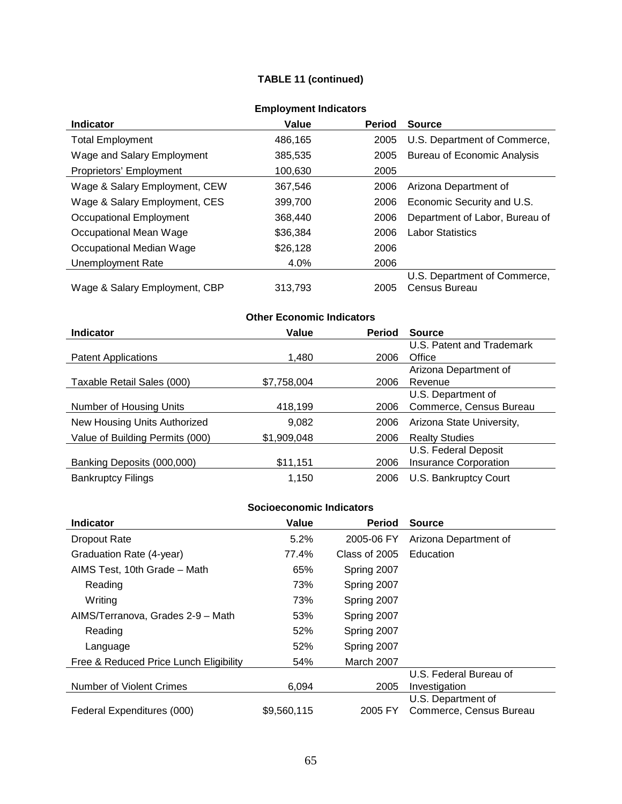## **TABLE 11 (continued)**

| =…p.v ,…v… …w.va.v.v          |          |               |                                    |  |
|-------------------------------|----------|---------------|------------------------------------|--|
| <b>Indicator</b>              | Value    | <b>Period</b> | <b>Source</b>                      |  |
| <b>Total Employment</b>       | 486,165  | 2005          | U.S. Department of Commerce,       |  |
| Wage and Salary Employment    | 385,535  | 2005          | <b>Bureau of Economic Analysis</b> |  |
| Proprietors' Employment       | 100,630  | 2005          |                                    |  |
| Wage & Salary Employment, CEW | 367,546  | 2006          | Arizona Department of              |  |
| Wage & Salary Employment, CES | 399,700  | 2006          | Economic Security and U.S.         |  |
| Occupational Employment       | 368,440  | 2006          | Department of Labor, Bureau of     |  |
| Occupational Mean Wage        | \$36,384 | 2006          | <b>Labor Statistics</b>            |  |
| Occupational Median Wage      | \$26,128 | 2006          |                                    |  |
| Unemployment Rate             | 4.0%     | 2006          |                                    |  |
|                               |          |               | U.S. Department of Commerce,       |  |
| Wage & Salary Employment, CBP | 313,793  | 2005          | Census Bureau                      |  |

## **Employment Indicators**

# **Other Economic Indicators**

| <b>Indicator</b>                | Value       | <b>Period</b> | <b>Source</b>             |
|---------------------------------|-------------|---------------|---------------------------|
|                                 |             |               | U.S. Patent and Trademark |
| <b>Patent Applications</b>      | 1,480       | 2006          | Office                    |
|                                 |             |               | Arizona Department of     |
| Taxable Retail Sales (000)      | \$7,758,004 | 2006          | Revenue                   |
|                                 |             |               | U.S. Department of        |
| Number of Housing Units         | 418,199     | 2006          | Commerce, Census Bureau   |
| New Housing Units Authorized    | 9,082       | 2006          | Arizona State University, |
| Value of Building Permits (000) | \$1,909,048 | 2006          | <b>Realty Studies</b>     |
|                                 |             |               | U.S. Federal Deposit      |
| Banking Deposits (000,000)      | \$11,151    | 2006          | Insurance Corporation     |
| <b>Bankruptcy Filings</b>       | 1,150       | 2006          | U.S. Bankruptcy Court     |

| <b>Indicator</b>                       | Value       | <b>Period</b> | <b>Source</b>           |
|----------------------------------------|-------------|---------------|-------------------------|
| <b>Dropout Rate</b>                    | 5.2%        | 2005-06 FY    | Arizona Department of   |
| Graduation Rate (4-year)               | 77.4%       | Class of 2005 | Education               |
| AIMS Test, 10th Grade - Math           | 65%         | Spring 2007   |                         |
| Reading                                | 73%         | Spring 2007   |                         |
| Writing                                | 73%         | Spring 2007   |                         |
| AIMS/Terranova, Grades 2-9 - Math      | 53%         | Spring 2007   |                         |
| Reading                                | 52%         | Spring 2007   |                         |
| Language                               | 52%         | Spring 2007   |                         |
| Free & Reduced Price Lunch Eligibility | 54%         | March 2007    |                         |
|                                        |             |               | U.S. Federal Bureau of  |
| <b>Number of Violent Crimes</b>        | 6,094       | 2005          | Investigation           |
|                                        |             |               | U.S. Department of      |
| Federal Expenditures (000)             | \$9,560,115 | 2005 FY       | Commerce, Census Bureau |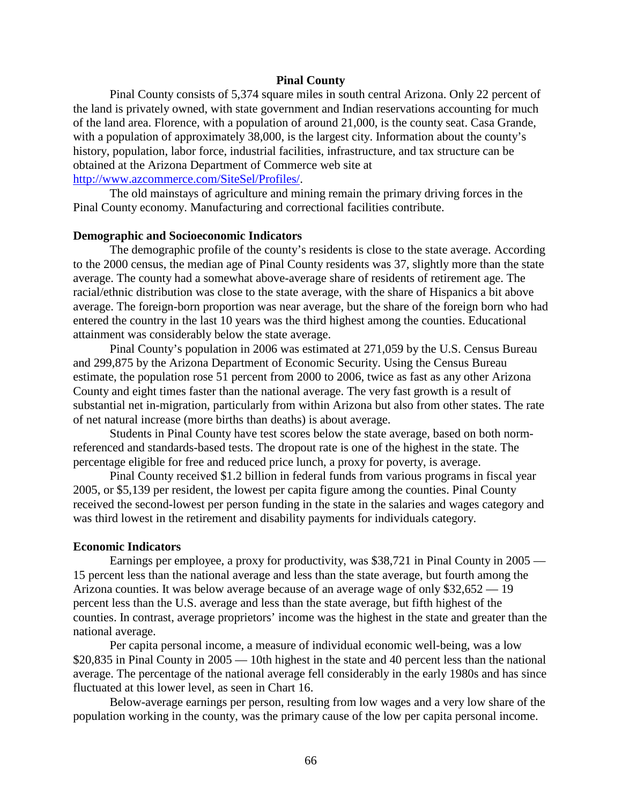### **Pinal County**

Pinal County consists of 5,374 square miles in south central Arizona. Only 22 percent of the land is privately owned, with state government and Indian reservations accounting for much of the land area. Florence, with a population of around 21,000, is the county seat. Casa Grande, with a population of approximately 38,000, is the largest city. Information about the county's history, population, labor force, industrial facilities, infrastructure, and tax structure can be obtained at the Arizona Department of Commerce web site at [http://www.azcommerce.com/SiteSel/Profiles/.](http://www.azcommerce.com/SiteSel/Profiles/)

The old mainstays of agriculture and mining remain the primary driving forces in the Pinal County economy. Manufacturing and correctional facilities contribute.

#### **Demographic and Socioeconomic Indicators**

The demographic profile of the county's residents is close to the state average. According to the 2000 census, the median age of Pinal County residents was 37, slightly more than the state average. The county had a somewhat above-average share of residents of retirement age. The racial/ethnic distribution was close to the state average, with the share of Hispanics a bit above average. The foreign-born proportion was near average, but the share of the foreign born who had entered the country in the last 10 years was the third highest among the counties. Educational attainment was considerably below the state average.

Pinal County's population in 2006 was estimated at 271,059 by the U.S. Census Bureau and 299,875 by the Arizona Department of Economic Security. Using the Census Bureau estimate, the population rose 51 percent from 2000 to 2006, twice as fast as any other Arizona County and eight times faster than the national average. The very fast growth is a result of substantial net in-migration, particularly from within Arizona but also from other states. The rate of net natural increase (more births than deaths) is about average.

Students in Pinal County have test scores below the state average, based on both normreferenced and standards-based tests. The dropout rate is one of the highest in the state. The percentage eligible for free and reduced price lunch, a proxy for poverty, is average.

Pinal County received \$1.2 billion in federal funds from various programs in fiscal year 2005, or \$5,139 per resident, the lowest per capita figure among the counties. Pinal County received the second-lowest per person funding in the state in the salaries and wages category and was third lowest in the retirement and disability payments for individuals category.

#### **Economic Indicators**

Earnings per employee, a proxy for productivity, was \$38,721 in Pinal County in 2005 — 15 percent less than the national average and less than the state average, but fourth among the Arizona counties. It was below average because of an average wage of only \$32,652 — 19 percent less than the U.S. average and less than the state average, but fifth highest of the counties. In contrast, average proprietors' income was the highest in the state and greater than the national average.

Per capita personal income, a measure of individual economic well-being, was a low \$20,835 in Pinal County in 2005 — 10th highest in the state and 40 percent less than the national average. The percentage of the national average fell considerably in the early 1980s and has since fluctuated at this lower level, as seen in Chart 16.

Below-average earnings per person, resulting from low wages and a very low share of the population working in the county, was the primary cause of the low per capita personal income.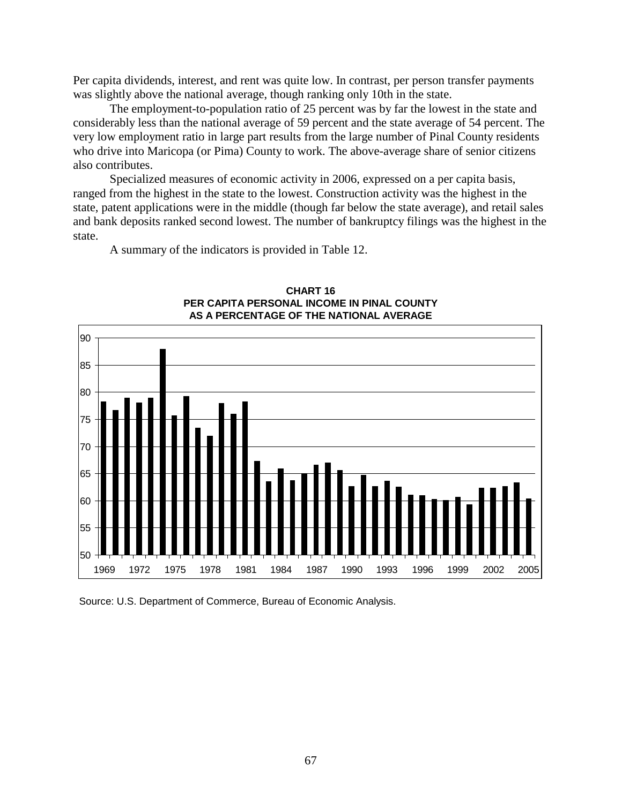Per capita dividends, interest, and rent was quite low. In contrast, per person transfer payments was slightly above the national average, though ranking only 10th in the state.

The employment-to-population ratio of 25 percent was by far the lowest in the state and considerably less than the national average of 59 percent and the state average of 54 percent. The very low employment ratio in large part results from the large number of Pinal County residents who drive into Maricopa (or Pima) County to work. The above-average share of senior citizens also contributes.

Specialized measures of economic activity in 2006, expressed on a per capita basis, ranged from the highest in the state to the lowest. Construction activity was the highest in the state, patent applications were in the middle (though far below the state average), and retail sales and bank deposits ranked second lowest. The number of bankruptcy filings was the highest in the state.

A summary of the indicators is provided in Table 12.



**CHART 16 PER CAPITA PERSONAL INCOME IN PINAL COUNTY AS A PERCENTAGE OF THE NATIONAL AVERAGE**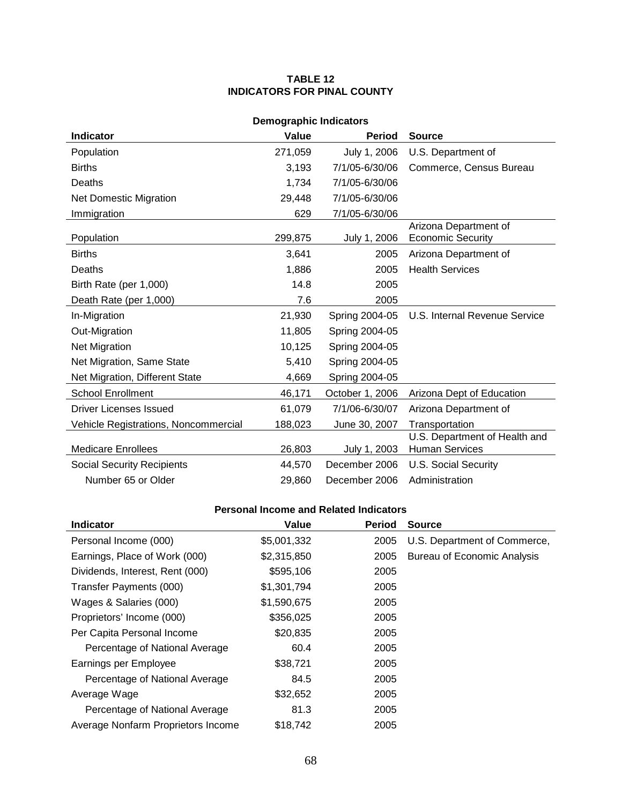### **TABLE 12 INDICATORS FOR PINAL COUNTY**

| <b>Demographic Indicators</b>                               |         |                 |                                                        |  |  |  |
|-------------------------------------------------------------|---------|-----------------|--------------------------------------------------------|--|--|--|
| <b>Indicator</b><br>Value<br><b>Period</b><br><b>Source</b> |         |                 |                                                        |  |  |  |
| Population                                                  | 271,059 | July 1, 2006    | U.S. Department of                                     |  |  |  |
| <b>Births</b>                                               | 3,193   | 7/1/05-6/30/06  | Commerce, Census Bureau                                |  |  |  |
| Deaths                                                      | 1,734   | 7/1/05-6/30/06  |                                                        |  |  |  |
| <b>Net Domestic Migration</b>                               | 29,448  | 7/1/05-6/30/06  |                                                        |  |  |  |
| Immigration                                                 | 629     | 7/1/05-6/30/06  |                                                        |  |  |  |
| Population                                                  | 299,875 | July 1, 2006    | Arizona Department of<br><b>Economic Security</b>      |  |  |  |
| <b>Births</b>                                               | 3,641   | 2005            | Arizona Department of                                  |  |  |  |
| Deaths                                                      | 1,886   | 2005            | <b>Health Services</b>                                 |  |  |  |
| Birth Rate (per 1,000)                                      | 14.8    | 2005            |                                                        |  |  |  |
| Death Rate (per 1,000)                                      | 7.6     | 2005            |                                                        |  |  |  |
| In-Migration                                                | 21,930  | Spring 2004-05  | U.S. Internal Revenue Service                          |  |  |  |
| Out-Migration                                               | 11,805  | Spring 2004-05  |                                                        |  |  |  |
| Net Migration                                               | 10,125  | Spring 2004-05  |                                                        |  |  |  |
| Net Migration, Same State                                   | 5,410   | Spring 2004-05  |                                                        |  |  |  |
| Net Migration, Different State                              | 4,669   | Spring 2004-05  |                                                        |  |  |  |
| <b>School Enrollment</b>                                    | 46,171  | October 1, 2006 | Arizona Dept of Education                              |  |  |  |
| Driver Licenses Issued                                      | 61,079  | 7/1/06-6/30/07  | Arizona Department of                                  |  |  |  |
| Vehicle Registrations, Noncommercial                        | 188,023 | June 30, 2007   | Transportation                                         |  |  |  |
| <b>Medicare Enrollees</b>                                   | 26,803  | July 1, 2003    | U.S. Department of Health and<br><b>Human Services</b> |  |  |  |
| <b>Social Security Recipients</b>                           | 44,570  | December 2006   | <b>U.S. Social Security</b>                            |  |  |  |
| Number 65 or Older                                          | 29,860  | December 2006   | Administration                                         |  |  |  |

| <b>Indicator</b>                   | Value       | <b>Period</b> | <b>Source</b>                      |
|------------------------------------|-------------|---------------|------------------------------------|
| Personal Income (000)              | \$5,001,332 | 2005          | U.S. Department of Commerce,       |
| Earnings, Place of Work (000)      | \$2,315,850 | 2005          | <b>Bureau of Economic Analysis</b> |
| Dividends, Interest, Rent (000)    | \$595,106   | 2005          |                                    |
| Transfer Payments (000)            | \$1,301,794 | 2005          |                                    |
| Wages & Salaries (000)             | \$1,590,675 | 2005          |                                    |
| Proprietors' Income (000)          | \$356,025   | 2005          |                                    |
| Per Capita Personal Income         | \$20,835    | 2005          |                                    |
| Percentage of National Average     | 60.4        | 2005          |                                    |
| Earnings per Employee              | \$38,721    | 2005          |                                    |
| Percentage of National Average     | 84.5        | 2005          |                                    |
| Average Wage                       | \$32,652    | 2005          |                                    |
| Percentage of National Average     | 81.3        | 2005          |                                    |
| Average Nonfarm Proprietors Income | \$18,742    | 2005          |                                    |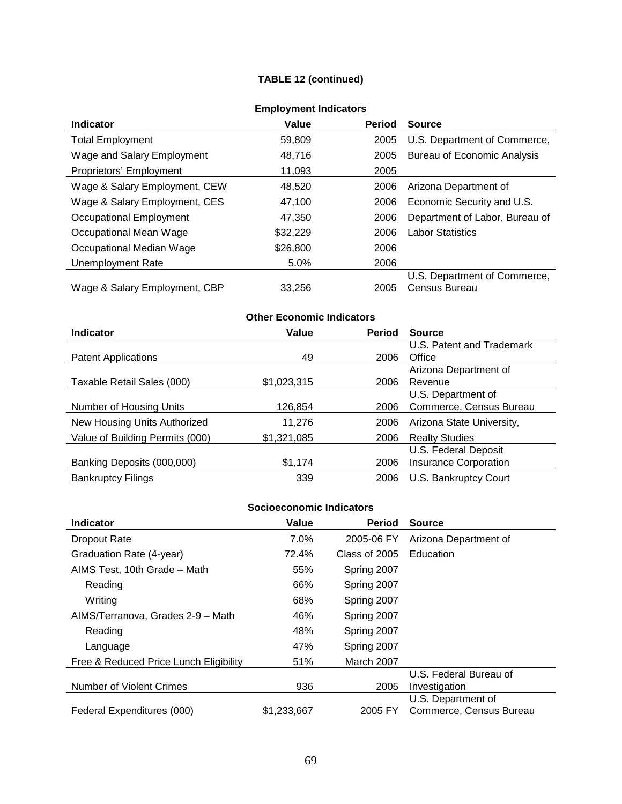## **TABLE 12 (continued)**

| =…p.v ,…v… …w.va.v.v          |          |               |                                |  |
|-------------------------------|----------|---------------|--------------------------------|--|
| Indicator                     | Value    | <b>Period</b> | <b>Source</b>                  |  |
| <b>Total Employment</b>       | 59,809   | 2005          | U.S. Department of Commerce,   |  |
| Wage and Salary Employment    | 48,716   | 2005          | Bureau of Economic Analysis    |  |
| Proprietors' Employment       | 11,093   | 2005          |                                |  |
| Wage & Salary Employment, CEW | 48.520   | 2006          | Arizona Department of          |  |
| Wage & Salary Employment, CES | 47,100   | 2006          | Economic Security and U.S.     |  |
| Occupational Employment       | 47,350   | 2006          | Department of Labor, Bureau of |  |
| Occupational Mean Wage        | \$32,229 | 2006          | <b>Labor Statistics</b>        |  |
| Occupational Median Wage      | \$26,800 | 2006          |                                |  |
| Unemployment Rate             | 5.0%     | 2006          |                                |  |
|                               |          |               | U.S. Department of Commerce,   |  |
| Wage & Salary Employment, CBP | 33.256   | 2005          | Census Bureau                  |  |

## **Employment Indicators**

# **Other Economic Indicators**

| <b>Indicator</b>                | Value       | <b>Period</b> | <b>Source</b>                |
|---------------------------------|-------------|---------------|------------------------------|
|                                 |             |               | U.S. Patent and Trademark    |
| <b>Patent Applications</b>      | 49          | 2006          | Office                       |
|                                 |             |               | Arizona Department of        |
| Taxable Retail Sales (000)      | \$1,023,315 | 2006          | Revenue                      |
|                                 |             |               | U.S. Department of           |
| Number of Housing Units         | 126,854     | 2006          | Commerce, Census Bureau      |
| New Housing Units Authorized    | 11,276      | 2006          | Arizona State University,    |
| Value of Building Permits (000) | \$1,321,085 | 2006          | <b>Realty Studies</b>        |
|                                 |             |               | U.S. Federal Deposit         |
| Banking Deposits (000,000)      | \$1,174     | 2006          | <b>Insurance Corporation</b> |
| <b>Bankruptcy Filings</b>       | 339         | 2006          | U.S. Bankruptcy Court        |

| <b>Indicator</b>                       | Value       | <b>Period</b> | <b>Source</b>           |
|----------------------------------------|-------------|---------------|-------------------------|
| <b>Dropout Rate</b>                    | $7.0\%$     | 2005-06 FY    | Arizona Department of   |
| Graduation Rate (4-year)               | 72.4%       | Class of 2005 | Education               |
| AIMS Test, 10th Grade - Math           | 55%         | Spring 2007   |                         |
| Reading                                | 66%         | Spring 2007   |                         |
| Writing                                | 68%         | Spring 2007   |                         |
| AIMS/Terranova, Grades 2-9 - Math      | 46%         | Spring 2007   |                         |
| Reading                                | 48%         | Spring 2007   |                         |
| Language                               | 47%         | Spring 2007   |                         |
| Free & Reduced Price Lunch Eligibility | 51%         | March 2007    |                         |
|                                        |             |               | U.S. Federal Bureau of  |
| Number of Violent Crimes               | 936         | 2005          | Investigation           |
|                                        |             |               | U.S. Department of      |
| Federal Expenditures (000)             | \$1,233,667 | 2005 FY       | Commerce, Census Bureau |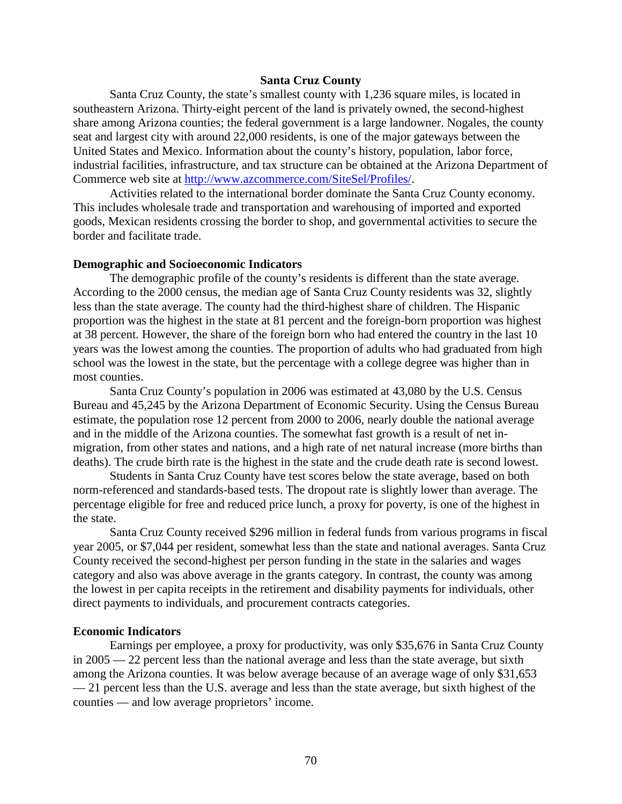### **Santa Cruz County**

Santa Cruz County, the state's smallest county with 1,236 square miles, is located in southeastern Arizona. Thirty-eight percent of the land is privately owned, the second-highest share among Arizona counties; the federal government is a large landowner. Nogales, the county seat and largest city with around 22,000 residents, is one of the major gateways between the United States and Mexico. Information about the county's history, population, labor force, industrial facilities, infrastructure, and tax structure can be obtained at the Arizona Department of Commerce web site at [http://www.azcommerce.com/SiteSel/Profiles/.](http://www.azcommerce.com/SiteSel/Profiles/)

Activities related to the international border dominate the Santa Cruz County economy. This includes wholesale trade and transportation and warehousing of imported and exported goods, Mexican residents crossing the border to shop, and governmental activities to secure the border and facilitate trade.

#### **Demographic and Socioeconomic Indicators**

The demographic profile of the county's residents is different than the state average. According to the 2000 census, the median age of Santa Cruz County residents was 32, slightly less than the state average. The county had the third-highest share of children. The Hispanic proportion was the highest in the state at 81 percent and the foreign-born proportion was highest at 38 percent. However, the share of the foreign born who had entered the country in the last 10 years was the lowest among the counties. The proportion of adults who had graduated from high school was the lowest in the state, but the percentage with a college degree was higher than in most counties.

Santa Cruz County's population in 2006 was estimated at 43,080 by the U.S. Census Bureau and 45,245 by the Arizona Department of Economic Security. Using the Census Bureau estimate, the population rose 12 percent from 2000 to 2006, nearly double the national average and in the middle of the Arizona counties. The somewhat fast growth is a result of net inmigration, from other states and nations, and a high rate of net natural increase (more births than deaths). The crude birth rate is the highest in the state and the crude death rate is second lowest.

Students in Santa Cruz County have test scores below the state average, based on both norm-referenced and standards-based tests. The dropout rate is slightly lower than average. The percentage eligible for free and reduced price lunch, a proxy for poverty, is one of the highest in the state.

Santa Cruz County received \$296 million in federal funds from various programs in fiscal year 2005, or \$7,044 per resident, somewhat less than the state and national averages. Santa Cruz County received the second-highest per person funding in the state in the salaries and wages category and also was above average in the grants category. In contrast, the county was among the lowest in per capita receipts in the retirement and disability payments for individuals, other direct payments to individuals, and procurement contracts categories.

### **Economic Indicators**

Earnings per employee, a proxy for productivity, was only \$35,676 in Santa Cruz County in 2005 — 22 percent less than the national average and less than the state average, but sixth among the Arizona counties. It was below average because of an average wage of only \$31,653 — 21 percent less than the U.S. average and less than the state average, but sixth highest of the counties — and low average proprietors' income.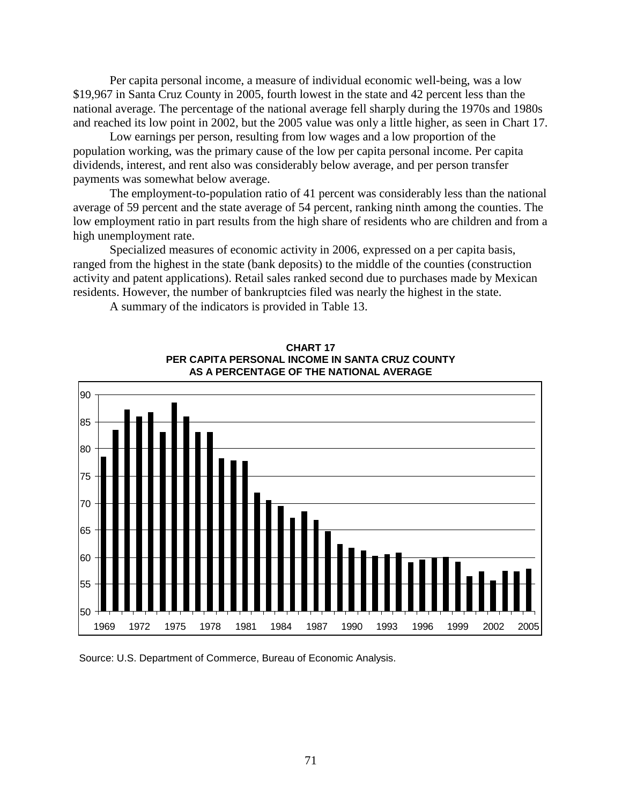Per capita personal income, a measure of individual economic well-being, was a low \$19,967 in Santa Cruz County in 2005, fourth lowest in the state and 42 percent less than the national average. The percentage of the national average fell sharply during the 1970s and 1980s and reached its low point in 2002, but the 2005 value was only a little higher, as seen in Chart 17.

Low earnings per person, resulting from low wages and a low proportion of the population working, was the primary cause of the low per capita personal income. Per capita dividends, interest, and rent also was considerably below average, and per person transfer payments was somewhat below average.

The employment-to-population ratio of 41 percent was considerably less than the national average of 59 percent and the state average of 54 percent, ranking ninth among the counties. The low employment ratio in part results from the high share of residents who are children and from a high unemployment rate.

Specialized measures of economic activity in 2006, expressed on a per capita basis, ranged from the highest in the state (bank deposits) to the middle of the counties (construction activity and patent applications). Retail sales ranked second due to purchases made by Mexican residents. However, the number of bankruptcies filed was nearly the highest in the state.

A summary of the indicators is provided in Table 13.



**CHART 17 PER CAPITA PERSONAL INCOME IN SANTA CRUZ COUNTY AS A PERCENTAGE OF THE NATIONAL AVERAGE**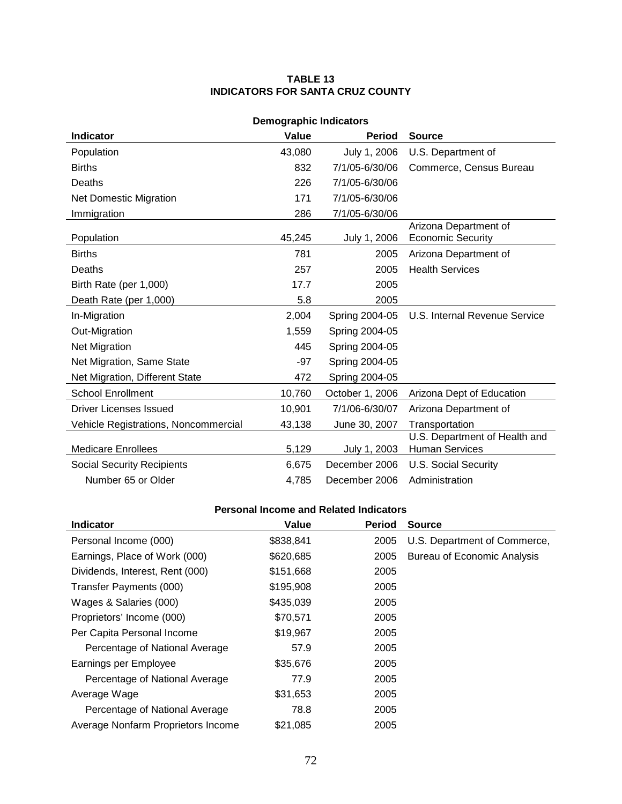### **TABLE 13 INDICATORS FOR SANTA CRUZ COUNTY**

| <b>Demographic Indicators</b>        |        |                 |                                                        |  |  |
|--------------------------------------|--------|-----------------|--------------------------------------------------------|--|--|
| <b>Indicator</b>                     | Value  | <b>Period</b>   | <b>Source</b>                                          |  |  |
| Population                           | 43,080 | July 1, 2006    | U.S. Department of                                     |  |  |
| <b>Births</b>                        | 832    | 7/1/05-6/30/06  | Commerce, Census Bureau                                |  |  |
| Deaths                               | 226    | 7/1/05-6/30/06  |                                                        |  |  |
| <b>Net Domestic Migration</b>        | 171    | 7/1/05-6/30/06  |                                                        |  |  |
| Immigration                          | 286    | 7/1/05-6/30/06  |                                                        |  |  |
| Population                           | 45,245 | July 1, 2006    | Arizona Department of<br><b>Economic Security</b>      |  |  |
| <b>Births</b>                        | 781    | 2005            | Arizona Department of                                  |  |  |
| Deaths                               | 257    | 2005            | <b>Health Services</b>                                 |  |  |
| Birth Rate (per 1,000)               | 17.7   | 2005            |                                                        |  |  |
| Death Rate (per 1,000)               | 5.8    | 2005            |                                                        |  |  |
| In-Migration                         | 2,004  | Spring 2004-05  | U.S. Internal Revenue Service                          |  |  |
| Out-Migration                        | 1,559  | Spring 2004-05  |                                                        |  |  |
| Net Migration                        | 445    | Spring 2004-05  |                                                        |  |  |
| Net Migration, Same State            | $-97$  | Spring 2004-05  |                                                        |  |  |
| Net Migration, Different State       | 472    | Spring 2004-05  |                                                        |  |  |
| <b>School Enrollment</b>             | 10,760 | October 1, 2006 | Arizona Dept of Education                              |  |  |
| <b>Driver Licenses Issued</b>        | 10,901 | 7/1/06-6/30/07  | Arizona Department of                                  |  |  |
| Vehicle Registrations, Noncommercial | 43,138 | June 30, 2007   | Transportation                                         |  |  |
| <b>Medicare Enrollees</b>            | 5,129  | July 1, 2003    | U.S. Department of Health and<br><b>Human Services</b> |  |  |
| <b>Social Security Recipients</b>    | 6,675  | December 2006   | <b>U.S. Social Security</b>                            |  |  |
| Number 65 or Older                   | 4,785  | December 2006   | Administration                                         |  |  |

| <b>Indicator</b>                   | Value     | <b>Period</b> | <b>Source</b>                      |
|------------------------------------|-----------|---------------|------------------------------------|
| Personal Income (000)              | \$838,841 | 2005          | U.S. Department of Commerce,       |
| Earnings, Place of Work (000)      | \$620,685 | 2005          | <b>Bureau of Economic Analysis</b> |
| Dividends, Interest, Rent (000)    | \$151,668 | 2005          |                                    |
| Transfer Payments (000)            | \$195,908 | 2005          |                                    |
| Wages & Salaries (000)             | \$435,039 | 2005          |                                    |
| Proprietors' Income (000)          | \$70,571  | 2005          |                                    |
| Per Capita Personal Income         | \$19,967  | 2005          |                                    |
| Percentage of National Average     | 57.9      | 2005          |                                    |
| Earnings per Employee              | \$35,676  | 2005          |                                    |
| Percentage of National Average     | 77.9      | 2005          |                                    |
| Average Wage                       | \$31,653  | 2005          |                                    |
| Percentage of National Average     | 78.8      | 2005          |                                    |
| Average Nonfarm Proprietors Income | \$21,085  | 2005          |                                    |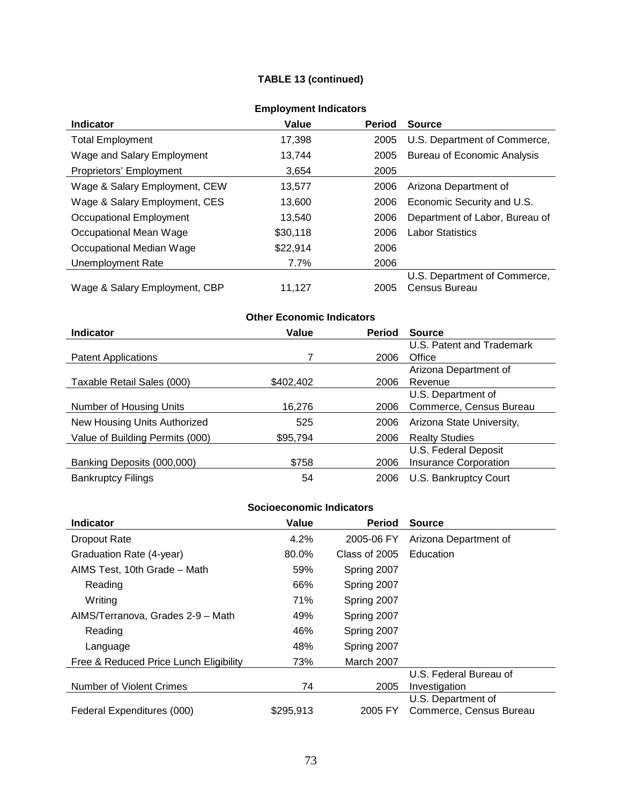## **TABLE 13 (continued)**

| =…p.v ,…v… …w.va.v.v          |          |               |                                    |  |
|-------------------------------|----------|---------------|------------------------------------|--|
| <b>Indicator</b>              | Value    | <b>Period</b> | <b>Source</b>                      |  |
| <b>Total Employment</b>       | 17,398   | 2005          | U.S. Department of Commerce,       |  |
| Wage and Salary Employment    | 13.744   | 2005          | <b>Bureau of Economic Analysis</b> |  |
| Proprietors' Employment       | 3,654    | 2005          |                                    |  |
| Wage & Salary Employment, CEW | 13,577   | 2006          | Arizona Department of              |  |
| Wage & Salary Employment, CES | 13,600   | 2006          | Economic Security and U.S.         |  |
| Occupational Employment       | 13.540   | 2006          | Department of Labor, Bureau of     |  |
| Occupational Mean Wage        | \$30,118 | 2006          | <b>Labor Statistics</b>            |  |
| Occupational Median Wage      | \$22,914 | 2006          |                                    |  |
| Unemployment Rate             | $7.7\%$  | 2006          |                                    |  |
|                               |          |               | U.S. Department of Commerce,       |  |
| Wage & Salary Employment, CBP | 11.127   | 2005          | Census Bureau                      |  |

## **Employment Indicators**

# **Other Economic Indicators**

| <b>Indicator</b>                | Value     | <b>Period</b> | <b>Source</b>                |
|---------------------------------|-----------|---------------|------------------------------|
|                                 |           |               | U.S. Patent and Trademark    |
| <b>Patent Applications</b>      |           | 2006          | Office                       |
|                                 |           |               | Arizona Department of        |
| Taxable Retail Sales (000)      | \$402,402 | 2006          | Revenue                      |
|                                 |           |               | U.S. Department of           |
| Number of Housing Units         | 16,276    | 2006          | Commerce, Census Bureau      |
| New Housing Units Authorized    | 525       | 2006          | Arizona State University,    |
| Value of Building Permits (000) | \$95,794  | 2006          | <b>Realty Studies</b>        |
|                                 |           |               | U.S. Federal Deposit         |
| Banking Deposits (000,000)      | \$758     | 2006          | <b>Insurance Corporation</b> |
| <b>Bankruptcy Filings</b>       | 54        | 2006          | U.S. Bankruptcy Court        |

| <b>Indicator</b>                       | Value     | <b>Period</b> | <b>Source</b>           |
|----------------------------------------|-----------|---------------|-------------------------|
| <b>Dropout Rate</b>                    | 4.2%      | 2005-06 FY    | Arizona Department of   |
| Graduation Rate (4-year)               | 80.0%     | Class of 2005 | Education               |
| AIMS Test, 10th Grade - Math           | 59%       | Spring 2007   |                         |
| Reading                                | 66%       | Spring 2007   |                         |
| Writing                                | 71%       | Spring 2007   |                         |
| AIMS/Terranova, Grades 2-9 - Math      | 49%       | Spring 2007   |                         |
| Reading                                | 46%       | Spring 2007   |                         |
| Language                               | 48%       | Spring 2007   |                         |
| Free & Reduced Price Lunch Eligibility | 73%       | March 2007    |                         |
|                                        |           |               | U.S. Federal Bureau of  |
| Number of Violent Crimes               | 74        | 2005          | Investigation           |
|                                        |           |               | U.S. Department of      |
| Federal Expenditures (000)             | \$295,913 | 2005 FY       | Commerce, Census Bureau |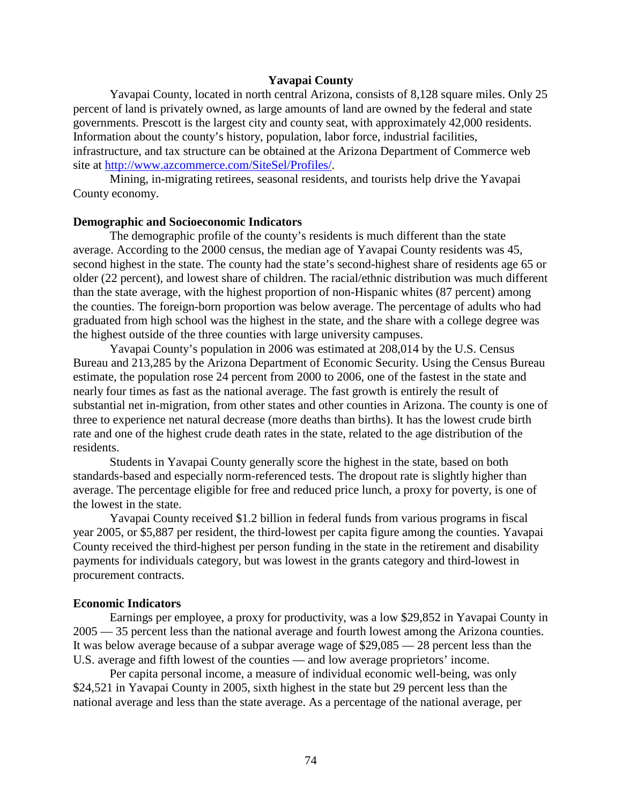### **Yavapai County**

Yavapai County, located in north central Arizona, consists of 8,128 square miles. Only 25 percent of land is privately owned, as large amounts of land are owned by the federal and state governments. Prescott is the largest city and county seat, with approximately 42,000 residents. Information about the county's history, population, labor force, industrial facilities, infrastructure, and tax structure can be obtained at the Arizona Department of Commerce web site at [http://www.azcommerce.com/SiteSel/Profiles/.](http://www.azcommerce.com/SiteSel/Profiles/)

Mining, in-migrating retirees, seasonal residents, and tourists help drive the Yavapai County economy.

#### **Demographic and Socioeconomic Indicators**

The demographic profile of the county's residents is much different than the state average. According to the 2000 census, the median age of Yavapai County residents was 45, second highest in the state. The county had the state's second-highest share of residents age 65 or older (22 percent), and lowest share of children. The racial/ethnic distribution was much different than the state average, with the highest proportion of non-Hispanic whites (87 percent) among the counties. The foreign-born proportion was below average. The percentage of adults who had graduated from high school was the highest in the state, and the share with a college degree was the highest outside of the three counties with large university campuses.

Yavapai County's population in 2006 was estimated at 208,014 by the U.S. Census Bureau and 213,285 by the Arizona Department of Economic Security. Using the Census Bureau estimate, the population rose 24 percent from 2000 to 2006, one of the fastest in the state and nearly four times as fast as the national average. The fast growth is entirely the result of substantial net in-migration, from other states and other counties in Arizona. The county is one of three to experience net natural decrease (more deaths than births). It has the lowest crude birth rate and one of the highest crude death rates in the state, related to the age distribution of the residents.

Students in Yavapai County generally score the highest in the state, based on both standards-based and especially norm-referenced tests. The dropout rate is slightly higher than average. The percentage eligible for free and reduced price lunch, a proxy for poverty, is one of the lowest in the state.

Yavapai County received \$1.2 billion in federal funds from various programs in fiscal year 2005, or \$5,887 per resident, the third-lowest per capita figure among the counties. Yavapai County received the third-highest per person funding in the state in the retirement and disability payments for individuals category, but was lowest in the grants category and third-lowest in procurement contracts.

#### **Economic Indicators**

Earnings per employee, a proxy for productivity, was a low \$29,852 in Yavapai County in 2005 — 35 percent less than the national average and fourth lowest among the Arizona counties. It was below average because of a subpar average wage of \$29,085 — 28 percent less than the U.S. average and fifth lowest of the counties — and low average proprietors' income.

Per capita personal income, a measure of individual economic well-being, was only \$24,521 in Yavapai County in 2005, sixth highest in the state but 29 percent less than the national average and less than the state average. As a percentage of the national average, per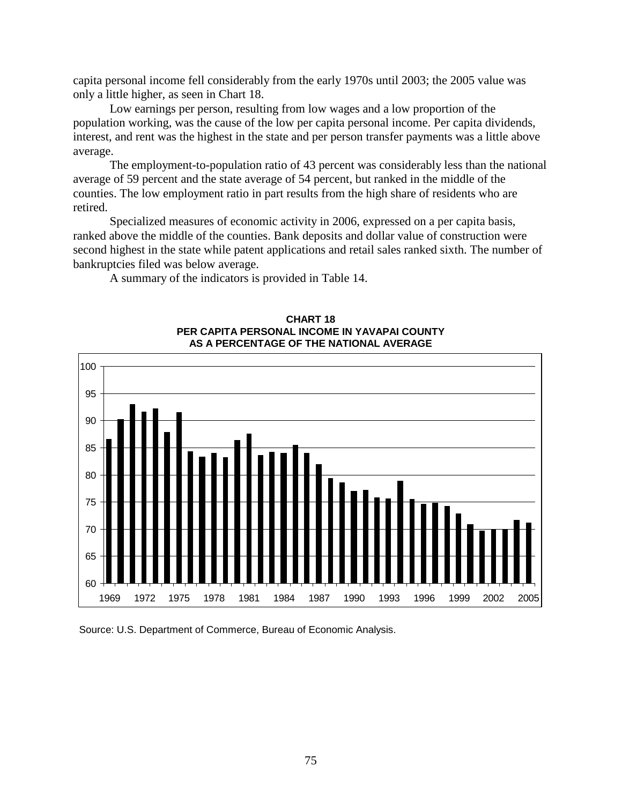capita personal income fell considerably from the early 1970s until 2003; the 2005 value was only a little higher, as seen in Chart 18.

Low earnings per person, resulting from low wages and a low proportion of the population working, was the cause of the low per capita personal income. Per capita dividends, interest, and rent was the highest in the state and per person transfer payments was a little above average.

The employment-to-population ratio of 43 percent was considerably less than the national average of 59 percent and the state average of 54 percent, but ranked in the middle of the counties. The low employment ratio in part results from the high share of residents who are retired.

Specialized measures of economic activity in 2006, expressed on a per capita basis, ranked above the middle of the counties. Bank deposits and dollar value of construction were second highest in the state while patent applications and retail sales ranked sixth. The number of bankruptcies filed was below average.

A summary of the indicators is provided in Table 14.



#### **CHART 18 PER CAPITA PERSONAL INCOME IN YAVAPAI COUNTY AS A PERCENTAGE OF THE NATIONAL AVERAGE**

Source: U.S. Department of Commerce, Bureau of Economic Analysis.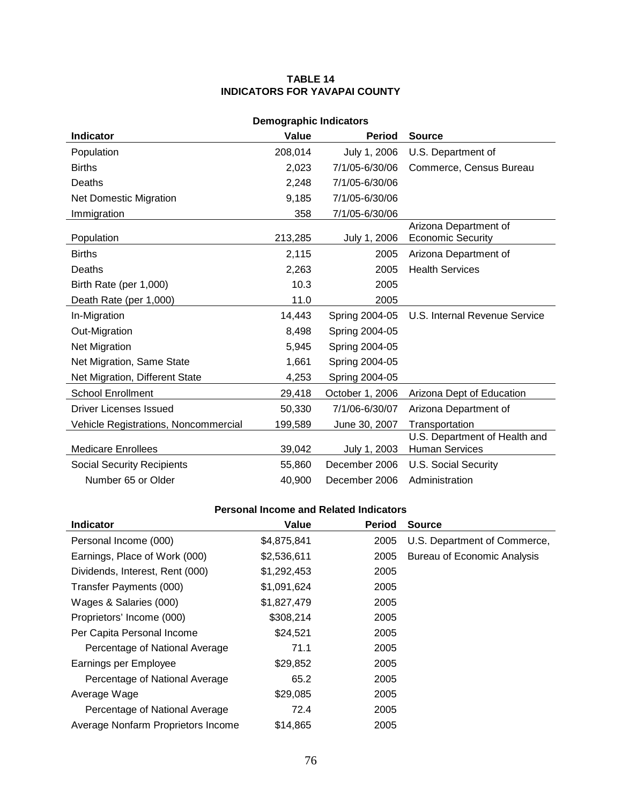## **TABLE 14 INDICATORS FOR YAVAPAI COUNTY**

| <b>Demographic Indicators</b>        |         |                 |                                                        |  |  |
|--------------------------------------|---------|-----------------|--------------------------------------------------------|--|--|
| <b>Indicator</b>                     | Value   | <b>Period</b>   | <b>Source</b>                                          |  |  |
| Population                           | 208,014 | July 1, 2006    | U.S. Department of                                     |  |  |
| <b>Births</b>                        | 2,023   | 7/1/05-6/30/06  | Commerce, Census Bureau                                |  |  |
| Deaths                               | 2,248   | 7/1/05-6/30/06  |                                                        |  |  |
| <b>Net Domestic Migration</b>        | 9,185   | 7/1/05-6/30/06  |                                                        |  |  |
| Immigration                          | 358     | 7/1/05-6/30/06  |                                                        |  |  |
| Population                           | 213,285 | July 1, 2006    | Arizona Department of<br><b>Economic Security</b>      |  |  |
| <b>Births</b>                        | 2,115   | 2005            | Arizona Department of                                  |  |  |
| Deaths                               | 2,263   | 2005            | <b>Health Services</b>                                 |  |  |
| Birth Rate (per 1,000)               | 10.3    | 2005            |                                                        |  |  |
| Death Rate (per 1,000)               | 11.0    | 2005            |                                                        |  |  |
| In-Migration                         | 14,443  | Spring 2004-05  | U.S. Internal Revenue Service                          |  |  |
| Out-Migration                        | 8,498   | Spring 2004-05  |                                                        |  |  |
| <b>Net Migration</b>                 | 5,945   | Spring 2004-05  |                                                        |  |  |
| Net Migration, Same State            | 1,661   | Spring 2004-05  |                                                        |  |  |
| Net Migration, Different State       | 4,253   | Spring 2004-05  |                                                        |  |  |
| <b>School Enrollment</b>             | 29,418  | October 1, 2006 | Arizona Dept of Education                              |  |  |
| Driver Licenses Issued               | 50,330  | 7/1/06-6/30/07  | Arizona Department of                                  |  |  |
| Vehicle Registrations, Noncommercial | 199,589 | June 30, 2007   | Transportation                                         |  |  |
| <b>Medicare Enrollees</b>            | 39,042  | July 1, 2003    | U.S. Department of Health and<br><b>Human Services</b> |  |  |
| <b>Social Security Recipients</b>    | 55,860  | December 2006   | <b>U.S. Social Security</b>                            |  |  |
| Number 65 or Older                   | 40,900  | December 2006   | Administration                                         |  |  |

| <b>Indicator</b>                   | Value       | <b>Period</b> | <b>Source</b>                      |
|------------------------------------|-------------|---------------|------------------------------------|
| Personal Income (000)              | \$4,875,841 | 2005          | U.S. Department of Commerce,       |
| Earnings, Place of Work (000)      | \$2,536,611 | 2005          | <b>Bureau of Economic Analysis</b> |
| Dividends, Interest, Rent (000)    | \$1,292,453 | 2005          |                                    |
| Transfer Payments (000)            | \$1,091,624 | 2005          |                                    |
| Wages & Salaries (000)             | \$1,827,479 | 2005          |                                    |
| Proprietors' Income (000)          | \$308,214   | 2005          |                                    |
| Per Capita Personal Income         | \$24,521    | 2005          |                                    |
| Percentage of National Average     | 71.1        | 2005          |                                    |
| Earnings per Employee              | \$29,852    | 2005          |                                    |
| Percentage of National Average     | 65.2        | 2005          |                                    |
| Average Wage                       | \$29,085    | 2005          |                                    |
| Percentage of National Average     | 72.4        | 2005          |                                    |
| Average Nonfarm Proprietors Income | \$14,865    | 2005          |                                    |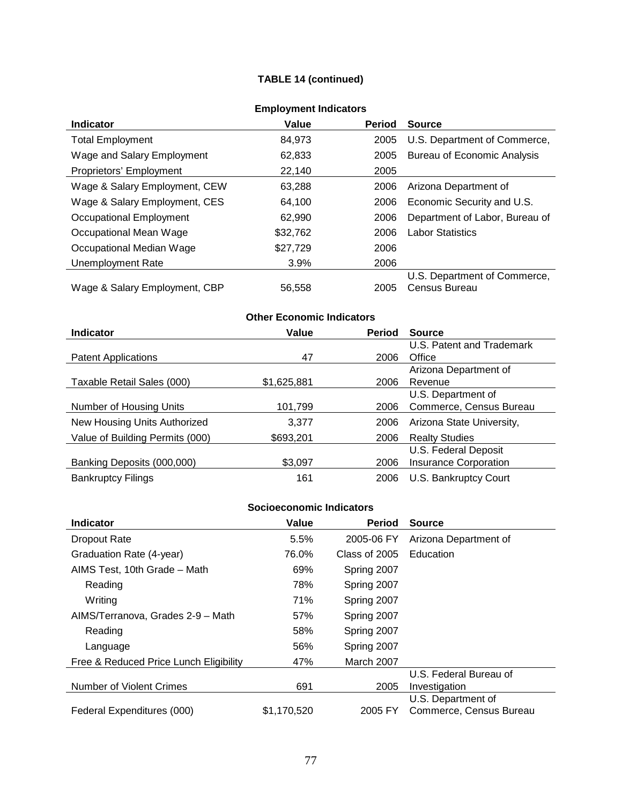## **TABLE 14 (continued)**

| ENDIVINGIN MIGICALUI 3        |          |               |                                    |  |
|-------------------------------|----------|---------------|------------------------------------|--|
| <b>Indicator</b>              | Value    | <b>Period</b> | <b>Source</b>                      |  |
| <b>Total Employment</b>       | 84,973   | 2005          | U.S. Department of Commerce,       |  |
| Wage and Salary Employment    | 62,833   | 2005          | <b>Bureau of Economic Analysis</b> |  |
| Proprietors' Employment       | 22,140   | 2005          |                                    |  |
| Wage & Salary Employment, CEW | 63.288   | 2006          | Arizona Department of              |  |
| Wage & Salary Employment, CES | 64,100   | 2006          | Economic Security and U.S.         |  |
| Occupational Employment       | 62.990   | 2006          | Department of Labor, Bureau of     |  |
| Occupational Mean Wage        | \$32,762 | 2006          | <b>Labor Statistics</b>            |  |
| Occupational Median Wage      | \$27,729 | 2006          |                                    |  |
| Unemployment Rate             | 3.9%     | 2006          |                                    |  |
|                               |          |               | U.S. Department of Commerce,       |  |
| Wage & Salary Employment, CBP | 56,558   | 2005          | Census Bureau                      |  |

## **Employment Indicators**

#### **Indicator Value Period Source** Patent Applications 47 U.S. Patent and Trademark  $2006$  Office

**Other Economic Indicators**

| <b>Fatelli</b> Applications     | 41          | ∠∪∪o | UIIICE                    |
|---------------------------------|-------------|------|---------------------------|
|                                 |             |      | Arizona Department of     |
| Taxable Retail Sales (000)      | \$1,625,881 | 2006 | Revenue                   |
|                                 |             |      | U.S. Department of        |
| Number of Housing Units         | 101,799     | 2006 | Commerce, Census Bureau   |
| New Housing Units Authorized    | 3.377       | 2006 | Arizona State University, |
| Value of Building Permits (000) | \$693,201   | 2006 | <b>Realty Studies</b>     |
|                                 |             |      | U.S. Federal Deposit      |
| Banking Deposits (000,000)      | \$3,097     | 2006 | Insurance Corporation     |
| <b>Bankruptcy Filings</b>       | 161         | 2006 | U.S. Bankruptcy Court     |

| <b>Indicator</b>                       | Value       | <b>Period</b> | <b>Source</b>           |
|----------------------------------------|-------------|---------------|-------------------------|
| <b>Dropout Rate</b>                    | 5.5%        | 2005-06 FY    | Arizona Department of   |
| Graduation Rate (4-year)               | 76.0%       | Class of 2005 | Education               |
| AIMS Test, 10th Grade - Math           | 69%         | Spring 2007   |                         |
| Reading                                | 78%         | Spring 2007   |                         |
| Writing                                | 71%         | Spring 2007   |                         |
| AIMS/Terranova, Grades 2-9 - Math      | 57%         | Spring 2007   |                         |
| Reading                                | 58%         | Spring 2007   |                         |
| Language                               | 56%         | Spring 2007   |                         |
| Free & Reduced Price Lunch Eligibility | 47%         | March 2007    |                         |
|                                        |             |               | U.S. Federal Bureau of  |
| Number of Violent Crimes               | 691         | 2005          | Investigation           |
|                                        |             |               | U.S. Department of      |
| Federal Expenditures (000)             | \$1,170,520 | 2005 FY       | Commerce, Census Bureau |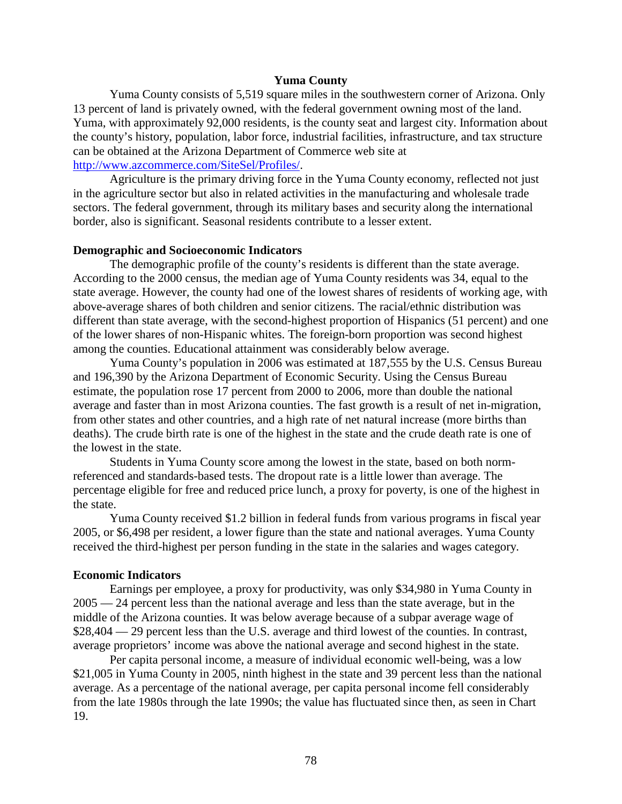### **Yuma County**

Yuma County consists of 5,519 square miles in the southwestern corner of Arizona. Only 13 percent of land is privately owned, with the federal government owning most of the land. Yuma, with approximately 92,000 residents, is the county seat and largest city. Information about the county's history, population, labor force, industrial facilities, infrastructure, and tax structure can be obtained at the Arizona Department of Commerce web site at [http://www.azcommerce.com/SiteSel/Profiles/.](http://www.azcommerce.com/SiteSel/Profiles/)

Agriculture is the primary driving force in the Yuma County economy, reflected not just in the agriculture sector but also in related activities in the manufacturing and wholesale trade sectors. The federal government, through its military bases and security along the international border, also is significant. Seasonal residents contribute to a lesser extent.

#### **Demographic and Socioeconomic Indicators**

The demographic profile of the county's residents is different than the state average. According to the 2000 census, the median age of Yuma County residents was 34, equal to the state average. However, the county had one of the lowest shares of residents of working age, with above-average shares of both children and senior citizens. The racial/ethnic distribution was different than state average, with the second-highest proportion of Hispanics (51 percent) and one of the lower shares of non-Hispanic whites. The foreign-born proportion was second highest among the counties. Educational attainment was considerably below average.

Yuma County's population in 2006 was estimated at 187,555 by the U.S. Census Bureau and 196,390 by the Arizona Department of Economic Security. Using the Census Bureau estimate, the population rose 17 percent from 2000 to 2006, more than double the national average and faster than in most Arizona counties. The fast growth is a result of net in-migration, from other states and other countries, and a high rate of net natural increase (more births than deaths). The crude birth rate is one of the highest in the state and the crude death rate is one of the lowest in the state.

Students in Yuma County score among the lowest in the state, based on both normreferenced and standards-based tests. The dropout rate is a little lower than average. The percentage eligible for free and reduced price lunch, a proxy for poverty, is one of the highest in the state.

Yuma County received \$1.2 billion in federal funds from various programs in fiscal year 2005, or \$6,498 per resident, a lower figure than the state and national averages. Yuma County received the third-highest per person funding in the state in the salaries and wages category.

#### **Economic Indicators**

Earnings per employee, a proxy for productivity, was only \$34,980 in Yuma County in 2005 — 24 percent less than the national average and less than the state average, but in the middle of the Arizona counties. It was below average because of a subpar average wage of \$28,404 — 29 percent less than the U.S. average and third lowest of the counties. In contrast, average proprietors' income was above the national average and second highest in the state.

Per capita personal income, a measure of individual economic well-being, was a low \$21,005 in Yuma County in 2005, ninth highest in the state and 39 percent less than the national average. As a percentage of the national average, per capita personal income fell considerably from the late 1980s through the late 1990s; the value has fluctuated since then, as seen in Chart 19.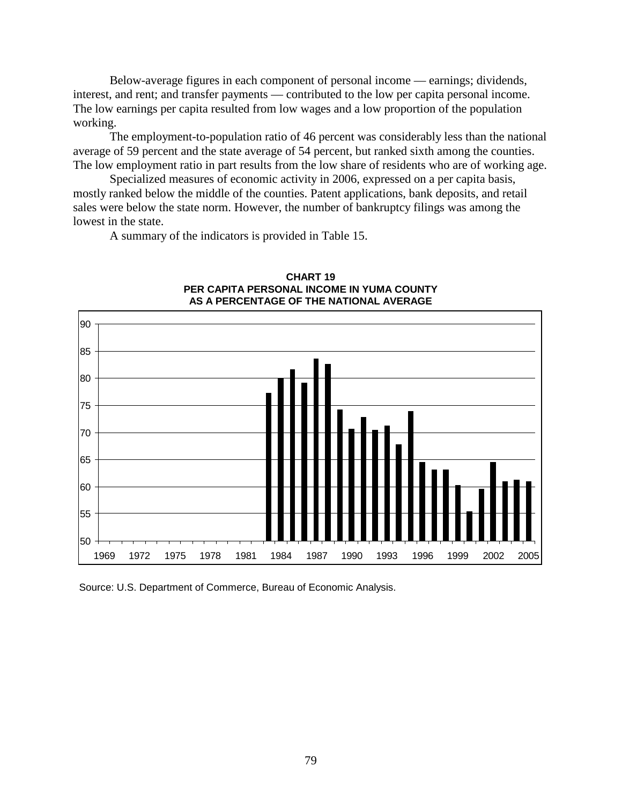Below-average figures in each component of personal income — earnings; dividends, interest, and rent; and transfer payments — contributed to the low per capita personal income. The low earnings per capita resulted from low wages and a low proportion of the population working.

The employment-to-population ratio of 46 percent was considerably less than the national average of 59 percent and the state average of 54 percent, but ranked sixth among the counties. The low employment ratio in part results from the low share of residents who are of working age.

Specialized measures of economic activity in 2006, expressed on a per capita basis, mostly ranked below the middle of the counties. Patent applications, bank deposits, and retail sales were below the state norm. However, the number of bankruptcy filings was among the lowest in the state.

A summary of the indicators is provided in Table 15.



#### **CHART 19 PER CAPITA PERSONAL INCOME IN YUMA COUNTY AS A PERCENTAGE OF THE NATIONAL AVERAGE**

Source: U.S. Department of Commerce, Bureau of Economic Analysis.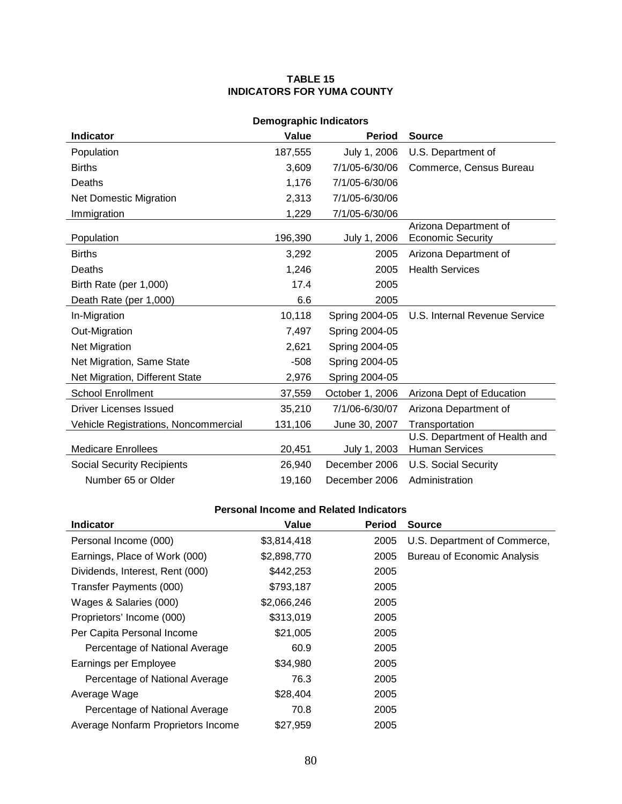### **TABLE 15 INDICATORS FOR YUMA COUNTY**

| <b>Demographic Indicators</b>        |         |                 |                                                        |  |
|--------------------------------------|---------|-----------------|--------------------------------------------------------|--|
| <b>Indicator</b>                     | Value   | <b>Period</b>   | <b>Source</b>                                          |  |
| Population                           | 187,555 | July 1, 2006    | U.S. Department of                                     |  |
| <b>Births</b>                        | 3,609   | 7/1/05-6/30/06  | Commerce, Census Bureau                                |  |
| Deaths                               | 1,176   | 7/1/05-6/30/06  |                                                        |  |
| <b>Net Domestic Migration</b>        | 2,313   | 7/1/05-6/30/06  |                                                        |  |
| Immigration                          | 1,229   | 7/1/05-6/30/06  |                                                        |  |
| Population                           | 196,390 | July 1, 2006    | Arizona Department of<br><b>Economic Security</b>      |  |
| <b>Births</b>                        | 3,292   | 2005            | Arizona Department of                                  |  |
| Deaths                               | 1,246   | 2005            | <b>Health Services</b>                                 |  |
| Birth Rate (per 1,000)               | 17.4    | 2005            |                                                        |  |
| Death Rate (per 1,000)               | 6.6     | 2005            |                                                        |  |
| In-Migration                         | 10,118  | Spring 2004-05  | U.S. Internal Revenue Service                          |  |
| Out-Migration                        | 7,497   | Spring 2004-05  |                                                        |  |
| Net Migration                        | 2,621   | Spring 2004-05  |                                                        |  |
| Net Migration, Same State            | $-508$  | Spring 2004-05  |                                                        |  |
| Net Migration, Different State       | 2,976   | Spring 2004-05  |                                                        |  |
| <b>School Enrollment</b>             | 37,559  | October 1, 2006 | Arizona Dept of Education                              |  |
| Driver Licenses Issued               | 35,210  | 7/1/06-6/30/07  | Arizona Department of                                  |  |
| Vehicle Registrations, Noncommercial | 131,106 | June 30, 2007   | Transportation                                         |  |
| <b>Medicare Enrollees</b>            | 20,451  | July 1, 2003    | U.S. Department of Health and<br><b>Human Services</b> |  |
| <b>Social Security Recipients</b>    | 26,940  | December 2006   | <b>U.S. Social Security</b>                            |  |
| Number 65 or Older                   | 19,160  | December 2006   | Administration                                         |  |

| <b>Indicator</b>                   | Value       | <b>Period</b> | <b>Source</b>                      |
|------------------------------------|-------------|---------------|------------------------------------|
| Personal Income (000)              | \$3,814,418 | 2005          | U.S. Department of Commerce,       |
| Earnings, Place of Work (000)      | \$2,898,770 | 2005          | <b>Bureau of Economic Analysis</b> |
| Dividends, Interest, Rent (000)    | \$442,253   | 2005          |                                    |
| Transfer Payments (000)            | \$793,187   | 2005          |                                    |
| Wages & Salaries (000)             | \$2,066,246 | 2005          |                                    |
| Proprietors' Income (000)          | \$313,019   | 2005          |                                    |
| Per Capita Personal Income         | \$21,005    | 2005          |                                    |
| Percentage of National Average     | 60.9        | 2005          |                                    |
| Earnings per Employee              | \$34,980    | 2005          |                                    |
| Percentage of National Average     | 76.3        | 2005          |                                    |
| Average Wage                       | \$28,404    | 2005          |                                    |
| Percentage of National Average     | 70.8        | 2005          |                                    |
| Average Nonfarm Proprietors Income | \$27.959    | 2005          |                                    |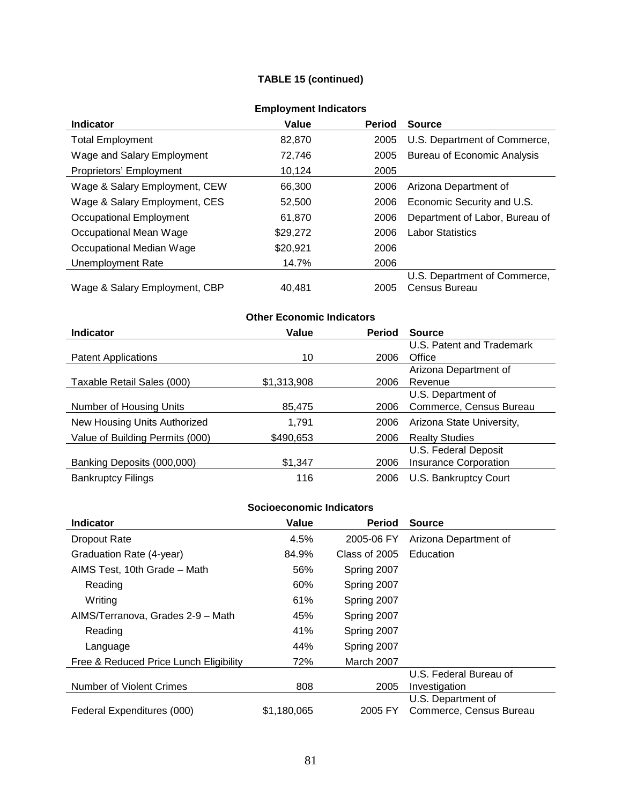## **TABLE 15 (continued)**

| ENDIVINGIN MIGICALUI 3        |          |               |                                    |  |
|-------------------------------|----------|---------------|------------------------------------|--|
| <b>Indicator</b>              | Value    | <b>Period</b> | <b>Source</b>                      |  |
| <b>Total Employment</b>       | 82.870   | 2005          | U.S. Department of Commerce,       |  |
| Wage and Salary Employment    | 72,746   | 2005          | <b>Bureau of Economic Analysis</b> |  |
| Proprietors' Employment       | 10.124   | 2005          |                                    |  |
| Wage & Salary Employment, CEW | 66.300   | 2006          | Arizona Department of              |  |
| Wage & Salary Employment, CES | 52,500   | 2006          | Economic Security and U.S.         |  |
| Occupational Employment       | 61,870   | 2006          | Department of Labor, Bureau of     |  |
| Occupational Mean Wage        | \$29,272 | 2006          | <b>Labor Statistics</b>            |  |
| Occupational Median Wage      | \$20,921 | 2006          |                                    |  |
| Unemployment Rate             | 14.7%    | 2006          |                                    |  |
|                               |          |               | U.S. Department of Commerce,       |  |
| Wage & Salary Employment, CBP | 40.481   | 2005          | Census Bureau                      |  |

## **Employment Indicators**

#### **Other Economic Indicators Indicator Value Period Source** Patent Applications 10 2006 U.S. Patent and Trademark **Office** Taxable Retail Sales (000) \$1,313,908 2006 Arizona Department of Revenue Number of Housing Units 85,475 2006 U.S. Department of Commerce, Census Bureau New Housing Units Authorized 1,791 2006 Arizona State University, Value of Building Permits (000) \$490,653 2006 Realty Studies Banking Deposits (000,000) \$1,347 2006 U.S. Federal Deposit Insurance Corporation Bankruptcy Filings **116** 2006 U.S. Bankruptcy Court

| <b>Indicator</b>                       | Value       | <b>Period</b> | <b>Source</b>           |
|----------------------------------------|-------------|---------------|-------------------------|
| <b>Dropout Rate</b>                    | 4.5%        | 2005-06 FY    | Arizona Department of   |
| Graduation Rate (4-year)               | 84.9%       | Class of 2005 | Education               |
| AIMS Test, 10th Grade - Math           | 56%         | Spring 2007   |                         |
| Reading                                | 60%         | Spring 2007   |                         |
| Writing                                | 61%         | Spring 2007   |                         |
| AIMS/Terranova, Grades 2-9 - Math      | 45%         | Spring 2007   |                         |
| Reading                                | 41%         | Spring 2007   |                         |
| Language                               | 44%         | Spring 2007   |                         |
| Free & Reduced Price Lunch Eligibility | 72%         | March 2007    |                         |
|                                        |             |               | U.S. Federal Bureau of  |
| <b>Number of Violent Crimes</b>        | 808         | 2005          | Investigation           |
|                                        |             |               | U.S. Department of      |
| Federal Expenditures (000)             | \$1,180,065 | 2005 FY       | Commerce, Census Bureau |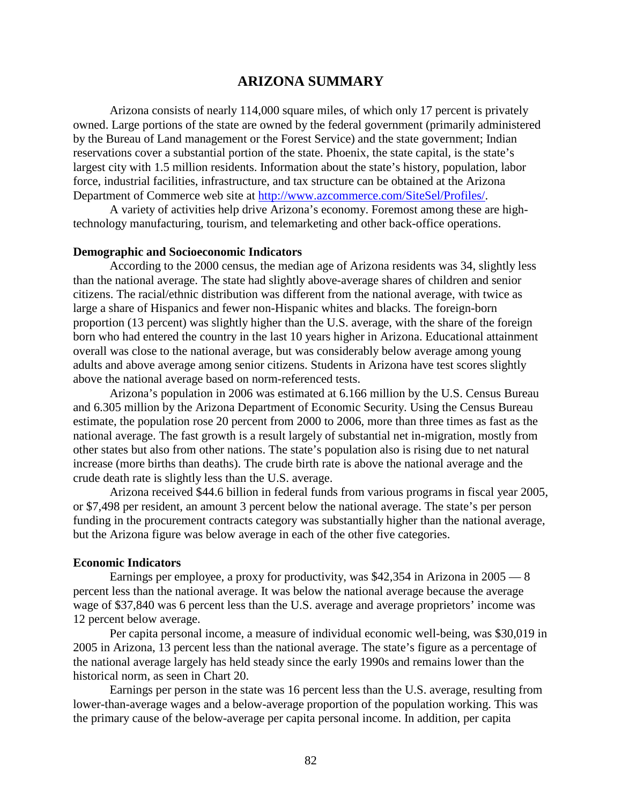## **ARIZONA SUMMARY**

Arizona consists of nearly 114,000 square miles, of which only 17 percent is privately owned. Large portions of the state are owned by the federal government (primarily administered by the Bureau of Land management or the Forest Service) and the state government; Indian reservations cover a substantial portion of the state. Phoenix, the state capital, is the state's largest city with 1.5 million residents. Information about the state's history, population, labor force, industrial facilities, infrastructure, and tax structure can be obtained at the Arizona Department of Commerce web site at [http://www.azcommerce.com/SiteSel/Profiles/.](http://www.azcommerce.com/SiteSel/Profiles/)

A variety of activities help drive Arizona's economy. Foremost among these are hightechnology manufacturing, tourism, and telemarketing and other back-office operations.

#### **Demographic and Socioeconomic Indicators**

According to the 2000 census, the median age of Arizona residents was 34, slightly less than the national average. The state had slightly above-average shares of children and senior citizens. The racial/ethnic distribution was different from the national average, with twice as large a share of Hispanics and fewer non-Hispanic whites and blacks. The foreign-born proportion (13 percent) was slightly higher than the U.S. average, with the share of the foreign born who had entered the country in the last 10 years higher in Arizona. Educational attainment overall was close to the national average, but was considerably below average among young adults and above average among senior citizens. Students in Arizona have test scores slightly above the national average based on norm-referenced tests.

Arizona's population in 2006 was estimated at 6.166 million by the U.S. Census Bureau and 6.305 million by the Arizona Department of Economic Security. Using the Census Bureau estimate, the population rose 20 percent from 2000 to 2006, more than three times as fast as the national average. The fast growth is a result largely of substantial net in-migration, mostly from other states but also from other nations. The state's population also is rising due to net natural increase (more births than deaths). The crude birth rate is above the national average and the crude death rate is slightly less than the U.S. average.

Arizona received \$44.6 billion in federal funds from various programs in fiscal year 2005, or \$7,498 per resident, an amount 3 percent below the national average. The state's per person funding in the procurement contracts category was substantially higher than the national average, but the Arizona figure was below average in each of the other five categories.

#### **Economic Indicators**

Earnings per employee, a proxy for productivity, was \$42,354 in Arizona in 2005 — 8 percent less than the national average. It was below the national average because the average wage of \$37,840 was 6 percent less than the U.S. average and average proprietors' income was 12 percent below average.

Per capita personal income, a measure of individual economic well-being, was \$30,019 in 2005 in Arizona, 13 percent less than the national average. The state's figure as a percentage of the national average largely has held steady since the early 1990s and remains lower than the historical norm, as seen in Chart 20.

Earnings per person in the state was 16 percent less than the U.S. average, resulting from lower-than-average wages and a below-average proportion of the population working. This was the primary cause of the below-average per capita personal income. In addition, per capita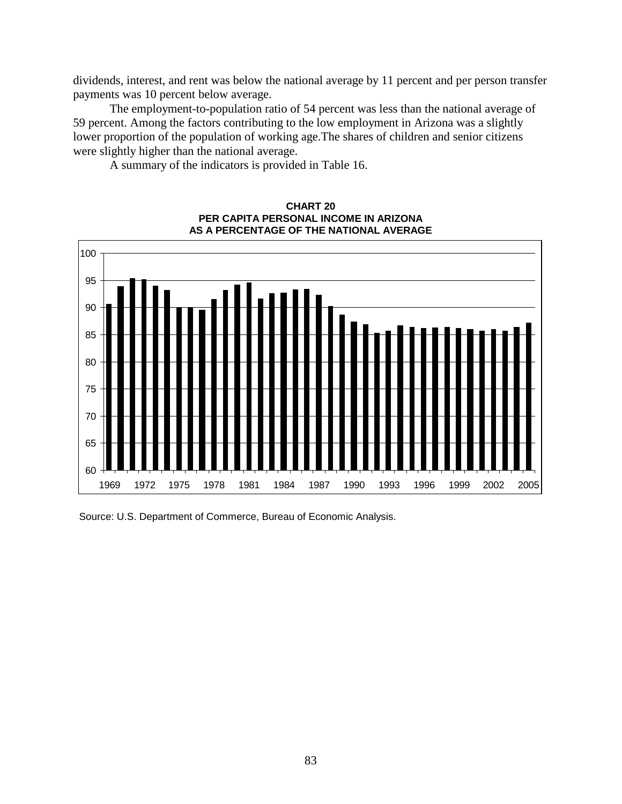dividends, interest, and rent was below the national average by 11 percent and per person transfer payments was 10 percent below average.

The employment-to-population ratio of 54 percent was less than the national average of 59 percent. Among the factors contributing to the low employment in Arizona was a slightly lower proportion of the population of working age.The shares of children and senior citizens were slightly higher than the national average.

A summary of the indicators is provided in Table 16.



**CHART 20 PER CAPITA PERSONAL INCOME IN ARIZONA AS A PERCENTAGE OF THE NATIONAL AVERAGE**

Source: U.S. Department of Commerce, Bureau of Economic Analysis.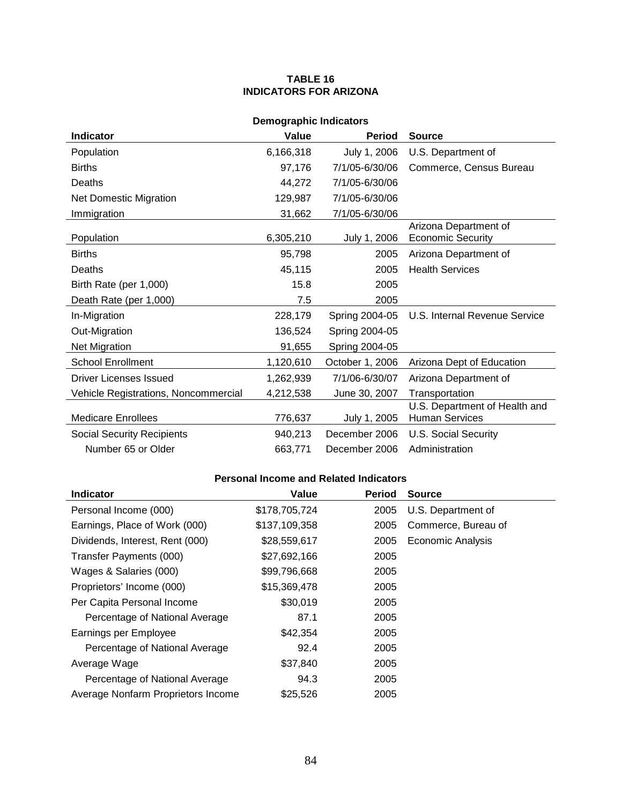### **TABLE 16 INDICATORS FOR ARIZONA**

| <b>Demographic Indicators</b>        |           |                 |                                                        |  |
|--------------------------------------|-----------|-----------------|--------------------------------------------------------|--|
| <b>Indicator</b>                     | Value     | <b>Period</b>   | <b>Source</b>                                          |  |
| Population                           | 6,166,318 | July 1, 2006    | U.S. Department of                                     |  |
| <b>Births</b>                        | 97,176    | 7/1/05-6/30/06  | Commerce, Census Bureau                                |  |
| Deaths                               | 44,272    | 7/1/05-6/30/06  |                                                        |  |
| <b>Net Domestic Migration</b>        | 129,987   | 7/1/05-6/30/06  |                                                        |  |
| Immigration                          | 31,662    | 7/1/05-6/30/06  |                                                        |  |
| Population                           | 6,305,210 | July 1, 2006    | Arizona Department of<br><b>Economic Security</b>      |  |
| <b>Births</b>                        | 95,798    | 2005            | Arizona Department of                                  |  |
| Deaths                               | 45,115    | 2005            | <b>Health Services</b>                                 |  |
| Birth Rate (per 1,000)               | 15.8      | 2005            |                                                        |  |
| Death Rate (per 1,000)               | 7.5       | 2005            |                                                        |  |
| In-Migration                         | 228,179   | Spring 2004-05  | U.S. Internal Revenue Service                          |  |
| Out-Migration                        | 136,524   | Spring 2004-05  |                                                        |  |
| <b>Net Migration</b>                 | 91,655    | Spring 2004-05  |                                                        |  |
| <b>School Enrollment</b>             | 1,120,610 | October 1, 2006 | Arizona Dept of Education                              |  |
| <b>Driver Licenses Issued</b>        | 1,262,939 | 7/1/06-6/30/07  | Arizona Department of                                  |  |
| Vehicle Registrations, Noncommercial | 4,212,538 | June 30, 2007   | Transportation                                         |  |
| <b>Medicare Enrollees</b>            | 776,637   | July 1, 2005    | U.S. Department of Health and<br><b>Human Services</b> |  |
| <b>Social Security Recipients</b>    | 940,213   | December 2006   | <b>U.S. Social Security</b>                            |  |
| Number 65 or Older                   | 663,771   | December 2006   | Administration                                         |  |

| <b>Indicator</b>                   | Value         | <b>Period</b> | <b>Source</b>            |
|------------------------------------|---------------|---------------|--------------------------|
| Personal Income (000)              | \$178,705,724 | 2005          | U.S. Department of       |
| Earnings, Place of Work (000)      | \$137,109,358 | 2005          | Commerce, Bureau of      |
| Dividends, Interest, Rent (000)    | \$28,559,617  | 2005          | <b>Economic Analysis</b> |
| Transfer Payments (000)            | \$27,692,166  | 2005          |                          |
| Wages & Salaries (000)             | \$99,796,668  | 2005          |                          |
| Proprietors' Income (000)          | \$15,369,478  | 2005          |                          |
| Per Capita Personal Income         | \$30,019      | 2005          |                          |
| Percentage of National Average     | 87.1          | 2005          |                          |
| Earnings per Employee              | \$42,354      | 2005          |                          |
| Percentage of National Average     | 92.4          | 2005          |                          |
| Average Wage                       | \$37,840      | 2005          |                          |
| Percentage of National Average     | 94.3          | 2005          |                          |
| Average Nonfarm Proprietors Income | \$25,526      | 2005          |                          |